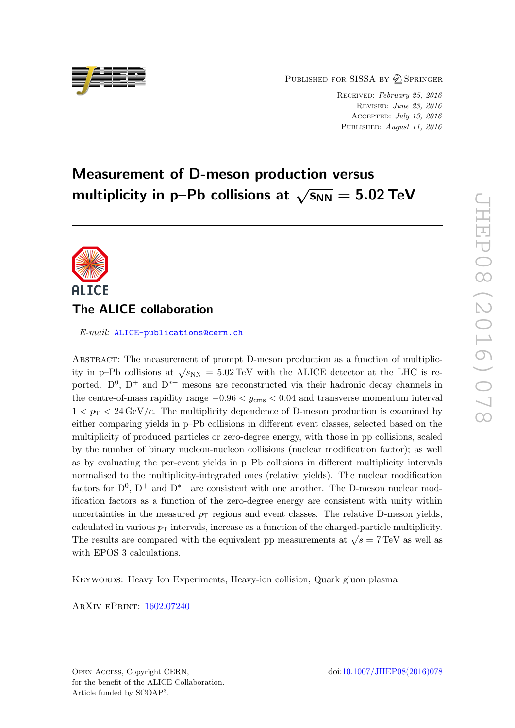PUBLISHED FOR SISSA BY 2 SPRINGER

Received: February 25, 2016 Revised: June 23, 2016 Accepted: July 13, 2016 PUBLISHED: August 11, 2016

# Measurement of D-meson production versus multiplicity in p–Pb collisions at  $\sqrt{s_{NN}} = 5.02$  TeV



# The ALICE collaboration

E-mail: [ALICE-publications@cern.ch](mailto:ALICE-publications@cern.ch)

Abstract: The measurement of prompt D-meson production as a function of multiplicity in p–Pb collisions at  $\sqrt{s_{NN}} = 5.02 \text{ TeV}$  with the ALICE detector at the LHC is reported.  $D^0$ ,  $D^+$  and  $D^{*+}$  mesons are reconstructed via their hadronic decay channels in the centre-of-mass rapidity range  $-0.96 < y_{\rm cms} < 0.04$  and transverse momentum interval  $1 < p<sub>T</sub> < 24 \,\text{GeV}/c$ . The multiplicity dependence of D-meson production is examined by either comparing yields in p–Pb collisions in different event classes, selected based on the multiplicity of produced particles or zero-degree energy, with those in pp collisions, scaled by the number of binary nucleon-nucleon collisions (nuclear modification factor); as well as by evaluating the per-event yields in p–Pb collisions in different multiplicity intervals normalised to the multiplicity-integrated ones (relative yields). The nuclear modification factors for  $D^0$ ,  $D^+$  and  $D^{*+}$  are consistent with one another. The D-meson nuclear modification factors as a function of the zero-degree energy are consistent with unity within uncertainties in the measured  $p<sub>T</sub>$  regions and event classes. The relative D-meson yields, calculated in various  $p<sub>T</sub>$  intervals, increase as a function of the charged-particle multiplicity. The results are compared with the equivalent pp measurements at  $\sqrt{s} = 7$  TeV as well as with EPOS 3 calculations.

Keywords: Heavy Ion Experiments, Heavy-ion collision, Quark gluon plasma

ArXiv ePrint: [1602.07240](http://arxiv.org/abs/1602.07240)

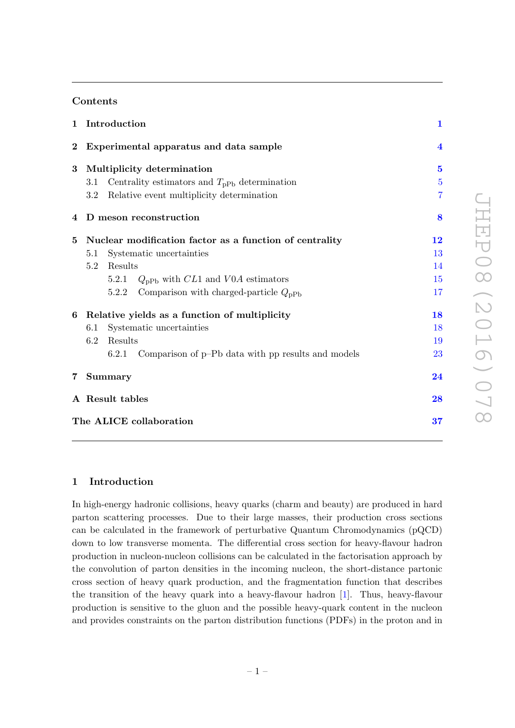# Contents

|          | 1 Introduction                                               | $\mathbf{1}$            |
|----------|--------------------------------------------------------------|-------------------------|
| $\bf{2}$ | Experimental apparatus and data sample                       | $\overline{\mathbf{4}}$ |
| $\bf{3}$ | Multiplicity determination                                   | $\bf{5}$                |
|          | Centrality estimators and $T_{\rm pPb}$ determination<br>3.1 | $\overline{5}$          |
|          | Relative event multiplicity determination<br>3.2             | $\overline{7}$          |
|          | 4 D meson reconstruction                                     | 8                       |
| 5        | Nuclear modification factor as a function of centrality      | 12                      |
|          | Systematic uncertainties<br>5.1                              | 13                      |
|          | Results<br>5.2                                               | 14                      |
|          | $Q_{\text{pPb}}$ with CL1 and V0A estimators<br>5.2.1        | 15                      |
|          | Comparison with charged-particle $Q_{\text{pPb}}$<br>5.2.2   | 17                      |
| 6        | Relative yields as a function of multiplicity                | 18                      |
|          | 6.1<br>Systematic uncertainties                              | 18                      |
|          | 6.2<br>Results                                               | 19                      |
|          | Comparison of p-Pb data with pp results and models<br>6.2.1  | 23                      |
| $7\,$    | Summary                                                      | 24                      |
|          | A Result tables                                              | 28                      |
|          | The ALICE collaboration                                      | 37                      |

# <span id="page-1-0"></span>1 Introduction

In high-energy hadronic collisions, heavy quarks (charm and beauty) are produced in hard parton scattering processes. Due to their large masses, their production cross sections can be calculated in the framework of perturbative Quantum Chromodynamics (pQCD) down to low transverse momenta. The differential cross section for heavy-flavour hadron production in nucleon-nucleon collisions can be calculated in the factorisation approach by the convolution of parton densities in the incoming nucleon, the short-distance partonic cross section of heavy quark production, and the fragmentation function that describes the transition of the heavy quark into a heavy-flavour hadron [\[1\]](#page-32-0). Thus, heavy-flavour production is sensitive to the gluon and the possible heavy-quark content in the nucleon and provides constraints on the parton distribution functions (PDFs) in the proton and in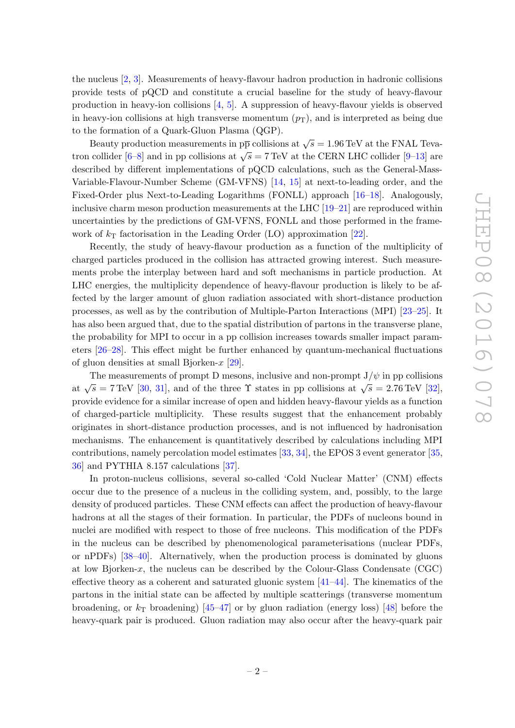the nucleus [\[2,](#page-32-1) [3\]](#page-32-2). Measurements of heavy-flavour hadron production in hadronic collisions provide tests of pQCD and constitute a crucial baseline for the study of heavy-flavour production in heavy-ion collisions  $[4, 5]$  $[4, 5]$  $[4, 5]$ . A suppression of heavy-flavour yields is observed in heavy-ion collisions at high transverse momentum  $(p_T)$ , and is interpreted as being due to the formation of a Quark-Gluon Plasma (QGP).

Beauty production measurements in  $p\bar{p}$  collisions at  $\sqrt{s} = 1.96 \text{ TeV}$  at the FNAL Tevatron collider  $[6-8]$  $[6-8]$  and in pp collisions at  $\sqrt{s} = 7$  TeV at the CERN LHC collider  $[9-13]$  $[9-13]$  are described by different implementations of pQCD calculations, such as the General-Mass-Variable-Flavour-Number Scheme (GM-VFNS) [\[14,](#page-32-9) [15\]](#page-32-10) at next-to-leading order, and the Fixed-Order plus Next-to-Leading Logarithms (FONLL) approach [\[16–](#page-33-0)[18\]](#page-33-1). Analogously, inclusive charm meson production measurements at the LHC  $[19-21]$  $[19-21]$  are reproduced within uncertainties by the predictions of GM-VFNS, FONLL and those performed in the framework of  $k_T$  factorisation in the Leading Order (LO) approximation [\[22\]](#page-33-4).

Recently, the study of heavy-flavour production as a function of the multiplicity of charged particles produced in the collision has attracted growing interest. Such measurements probe the interplay between hard and soft mechanisms in particle production. At LHC energies, the multiplicity dependence of heavy-flavour production is likely to be affected by the larger amount of gluon radiation associated with short-distance production processes, as well as by the contribution of Multiple-Parton Interactions (MPI) [\[23–](#page-33-5)[25\]](#page-33-6). It has also been argued that, due to the spatial distribution of partons in the transverse plane, the probability for MPI to occur in a pp collision increases towards smaller impact parameters [\[26–](#page-33-7)[28\]](#page-33-8). This effect might be further enhanced by quantum-mechanical fluctuations of gluon densities at small Bjorken- $x$  [\[29\]](#page-33-9).

The measurements of prompt D mesons, inclusive and non-prompt  $J/\psi$  in pp collisions at  $\sqrt{s} = 7$  TeV [\[30,](#page-33-10) [31\]](#page-33-11), and of the three  $\Upsilon$  states in pp collisions at  $\sqrt{s} = 2.76$  TeV [\[32\]](#page-33-12), provide evidence for a similar increase of open and hidden heavy-flavour yields as a function of charged-particle multiplicity. These results suggest that the enhancement probably originates in short-distance production processes, and is not influenced by hadronisation mechanisms. The enhancement is quantitatively described by calculations including MPI contributions, namely percolation model estimates [\[33,](#page-33-13) [34\]](#page-34-0), the EPOS 3 event generator [\[35,](#page-34-1) [36\]](#page-34-2) and PYTHIA 8.157 calculations [\[37\]](#page-34-3).

In proton-nucleus collisions, several so-called 'Cold Nuclear Matter' (CNM) effects occur due to the presence of a nucleus in the colliding system, and, possibly, to the large density of produced particles. These CNM effects can affect the production of heavy-flavour hadrons at all the stages of their formation. In particular, the PDFs of nucleons bound in nuclei are modified with respect to those of free nucleons. This modification of the PDFs in the nucleus can be described by phenomenological parameterisations (nuclear PDFs, or nPDFs) [\[38](#page-34-4)[–40\]](#page-34-5). Alternatively, when the production process is dominated by gluons at low Bjorken-x, the nucleus can be described by the Colour-Glass Condensate (CGC) effective theory as a coherent and saturated gluonic system  $[41-44]$  $[41-44]$ . The kinematics of the partons in the initial state can be affected by multiple scatterings (transverse momentum broadening, or  $k_T$  broadening) [\[45–](#page-34-8)[47\]](#page-34-9) or by gluon radiation (energy loss) [\[48\]](#page-34-10) before the heavy-quark pair is produced. Gluon radiation may also occur after the heavy-quark pair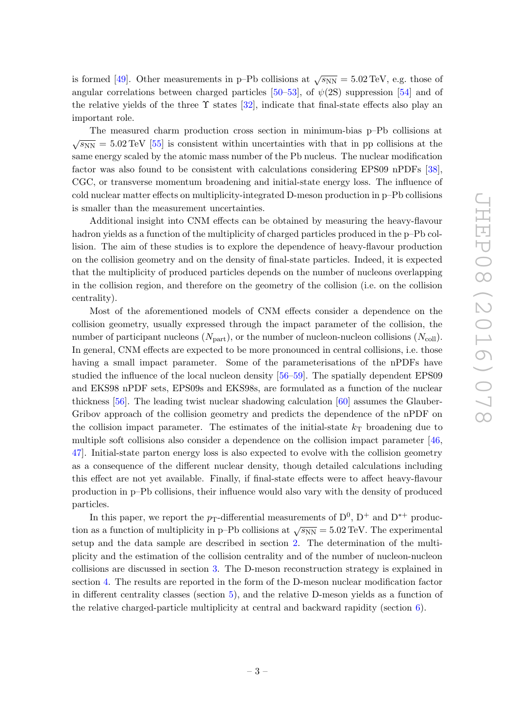is formed [\[49\]](#page-34-11). Other measurements in p–Pb collisions at  $\sqrt{s_{NN}} = 5.02 \,\text{TeV}$ , e.g. those of angular correlations between charged particles [\[50](#page-34-12)[–53\]](#page-35-0), of  $\psi(2S)$  suppression [\[54\]](#page-35-1) and of the relative yields of the three  $\Upsilon$  states [\[32\]](#page-33-12), indicate that final-state effects also play an important role.

The measured charm production cross section in minimum-bias p–Pb collisions at  $\sqrt{s_{NN}} = 5.02 \text{ TeV}$  [\[55\]](#page-35-2) is consistent within uncertainties with that in pp collisions at the same energy scaled by the atomic mass number of the Pb nucleus. The nuclear modification factor was also found to be consistent with calculations considering EPS09 nPDFs [\[38\]](#page-34-4), CGC, or transverse momentum broadening and initial-state energy loss. The influence of cold nuclear matter effects on multiplicity-integrated D-meson production in p–Pb collisions is smaller than the measurement uncertainties.

Additional insight into CNM effects can be obtained by measuring the heavy-flavour hadron yields as a function of the multiplicity of charged particles produced in the p–Pb collision. The aim of these studies is to explore the dependence of heavy-flavour production on the collision geometry and on the density of final-state particles. Indeed, it is expected that the multiplicity of produced particles depends on the number of nucleons overlapping in the collision region, and therefore on the geometry of the collision (i.e. on the collision centrality).

Most of the aforementioned models of CNM effects consider a dependence on the collision geometry, usually expressed through the impact parameter of the collision, the number of participant nucleons  $(N_{part})$ , or the number of nucleon-nucleon collisions  $(N_{coll})$ . In general, CNM effects are expected to be more pronounced in central collisions, i.e. those having a small impact parameter. Some of the parameterisations of the nPDFs have studied the influence of the local nucleon density [\[56](#page-35-3)[–59\]](#page-35-4). The spatially dependent EPS09 and EKS98 nPDF sets, EPS09s and EKS98s, are formulated as a function of the nuclear thickness [\[56\]](#page-35-3). The leading twist nuclear shadowing calculation [\[60\]](#page-35-5) assumes the Glauber-Gribov approach of the collision geometry and predicts the dependence of the nPDF on the collision impact parameter. The estimates of the initial-state  $k<sub>T</sub>$  broadening due to multiple soft collisions also consider a dependence on the collision impact parameter [\[46,](#page-34-13) [47\]](#page-34-9). Initial-state parton energy loss is also expected to evolve with the collision geometry as a consequence of the different nuclear density, though detailed calculations including this effect are not yet available. Finally, if final-state effects were to affect heavy-flavour production in p–Pb collisions, their influence would also vary with the density of produced particles.

In this paper, we report the  $p_T$ -differential measurements of  $D^0$ ,  $D^+$  and  $D^{*+}$  production as a function of multiplicity in p–Pb collisions at  $\sqrt{s_{NN}} = 5.02 \text{ TeV}$ . The experimental setup and the data sample are described in section [2.](#page-4-0) The determination of the multiplicity and the estimation of the collision centrality and of the number of nucleon-nucleon collisions are discussed in section [3.](#page-5-0) The D-meson reconstruction strategy is explained in section [4.](#page-8-0) The results are reported in the form of the D-meson nuclear modification factor in different centrality classes (section [5\)](#page-12-0), and the relative D-meson yields as a function of the relative charged-particle multiplicity at central and backward rapidity (section  $6$ ).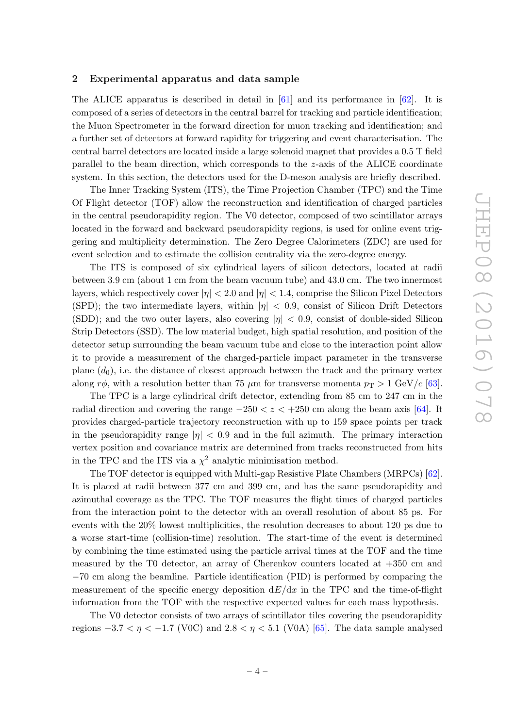#### <span id="page-4-0"></span>2 Experimental apparatus and data sample

The ALICE apparatus is described in detail in [\[61\]](#page-35-6) and its performance in [\[62\]](#page-35-7). It is composed of a series of detectors in the central barrel for tracking and particle identification; the Muon Spectrometer in the forward direction for muon tracking and identification; and a further set of detectors at forward rapidity for triggering and event characterisation. The central barrel detectors are located inside a large solenoid magnet that provides a 0.5 T field parallel to the beam direction, which corresponds to the z-axis of the ALICE coordinate system. In this section, the detectors used for the D-meson analysis are briefly described.

The Inner Tracking System (ITS), the Time Projection Chamber (TPC) and the Time Of Flight detector (TOF) allow the reconstruction and identification of charged particles in the central pseudorapidity region. The V0 detector, composed of two scintillator arrays located in the forward and backward pseudorapidity regions, is used for online event triggering and multiplicity determination. The Zero Degree Calorimeters (ZDC) are used for event selection and to estimate the collision centrality via the zero-degree energy.

The ITS is composed of six cylindrical layers of silicon detectors, located at radii between 3.9 cm (about 1 cm from the beam vacuum tube) and 43.0 cm. The two innermost layers, which respectively cover  $|\eta| < 2.0$  and  $|\eta| < 1.4$ , comprise the Silicon Pixel Detectors (SPD); the two intermediate layers, within  $|\eta| < 0.9$ , consist of Silicon Drift Detectors (SDD); and the two outer layers, also covering  $|\eta| < 0.9$ , consist of double-sided Silicon Strip Detectors (SSD). The low material budget, high spatial resolution, and position of the detector setup surrounding the beam vacuum tube and close to the interaction point allow it to provide a measurement of the charged-particle impact parameter in the transverse plane  $(d_0)$ , i.e. the distance of closest approach between the track and the primary vertex along  $r\phi$ , with a resolution better than 75  $\mu$ m for transverse momenta  $p_T > 1$  GeV/c [\[63\]](#page-35-8).

The TPC is a large cylindrical drift detector, extending from 85 cm to 247 cm in the radial direction and covering the range  $-250 < z < +250$  cm along the beam axis [\[64\]](#page-35-9). It provides charged-particle trajectory reconstruction with up to 159 space points per track in the pseudorapidity range  $|\eta| < 0.9$  and in the full azimuth. The primary interaction vertex position and covariance matrix are determined from tracks reconstructed from hits in the TPC and the ITS via a  $\chi^2$  analytic minimisation method.

The TOF detector is equipped with Multi-gap Resistive Plate Chambers (MRPCs) [\[62\]](#page-35-7). It is placed at radii between 377 cm and 399 cm, and has the same pseudorapidity and azimuthal coverage as the TPC. The TOF measures the flight times of charged particles from the interaction point to the detector with an overall resolution of about 85 ps. For events with the 20% lowest multiplicities, the resolution decreases to about 120 ps due to a worse start-time (collision-time) resolution. The start-time of the event is determined by combining the time estimated using the particle arrival times at the TOF and the time measured by the T0 detector, an array of Cherenkov counters located at +350 cm and −70 cm along the beamline. Particle identification (PID) is performed by comparing the measurement of the specific energy deposition  $dE/dx$  in the TPC and the time-of-flight information from the TOF with the respective expected values for each mass hypothesis.

The V0 detector consists of two arrays of scintillator tiles covering the pseudorapidity regions  $-3.7 < \eta < -1.7$  (V0C) and  $2.8 < \eta < 5.1$  (V0A) [\[65\]](#page-35-10). The data sample analysed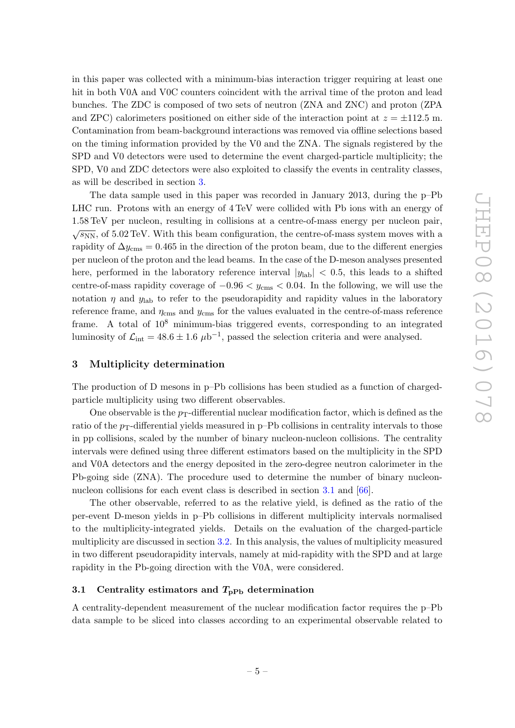in this paper was collected with a minimum-bias interaction trigger requiring at least one hit in both V0A and V0C counters coincident with the arrival time of the proton and lead bunches. The ZDC is composed of two sets of neutron (ZNA and ZNC) and proton (ZPA and ZPC) calorimeters positioned on either side of the interaction point at  $z = \pm 112.5$  m. Contamination from beam-background interactions was removed via offline selections based on the timing information provided by the V0 and the ZNA. The signals registered by the SPD and V0 detectors were used to determine the event charged-particle multiplicity; the SPD, V0 and ZDC detectors were also exploited to classify the events in centrality classes, as will be described in section [3.](#page-5-0)

The data sample used in this paper was recorded in January 2013, during the p–Pb LHC run. Protons with an energy of 4 TeV were collided with Pb ions with an energy of 1.58 TeV per nucleon, resulting in collisions at a centre-of-mass energy per nucleon pair,  $\sqrt{s_{NN}}$ , of 5.02 TeV. With this beam configuration, the centre-of-mass system moves with a rapidity of  $\Delta y_{\rm cms}=0.465$  in the direction of the proton beam, due to the different energies per nucleon of the proton and the lead beams. In the case of the D-meson analyses presented here, performed in the laboratory reference interval  $|y_{\text{lab}}|$  < 0.5, this leads to a shifted centre-of-mass rapidity coverage of  $-0.96 < y_{\rm cms} < 0.04$ . In the following, we will use the notation  $\eta$  and  $y_{\text{lab}}$  to refer to the pseudorapidity and rapidity values in the laboratory reference frame, and  $\eta_{\rm cms}$  and  $y_{\rm cms}$  for the values evaluated in the centre-of-mass reference frame. A total of 10<sup>8</sup> minimum-bias triggered events, corresponding to an integrated luminosity of  $\mathcal{L}_{int} = 48.6 \pm 1.6 \,\mu b^{-1}$ , passed the selection criteria and were analysed.

### <span id="page-5-0"></span>3 Multiplicity determination

The production of D mesons in p–Pb collisions has been studied as a function of chargedparticle multiplicity using two different observables.

One observable is the  $p_T$ -differential nuclear modification factor, which is defined as the ratio of the  $p_T$ -differential yields measured in  $p$ -Pb collisions in centrality intervals to those in pp collisions, scaled by the number of binary nucleon-nucleon collisions. The centrality intervals were defined using three different estimators based on the multiplicity in the SPD and V0A detectors and the energy deposited in the zero-degree neutron calorimeter in the Pb-going side (ZNA). The procedure used to determine the number of binary nucleon-nucleon collisions for each event class is described in section [3.1](#page-5-1) and [\[66\]](#page-35-11).

The other observable, referred to as the relative yield, is defined as the ratio of the per-event D-meson yields in p–Pb collisions in different multiplicity intervals normalised to the multiplicity-integrated yields. Details on the evaluation of the charged-particle multiplicity are discussed in section [3.2.](#page-7-0) In this analysis, the values of multiplicity measured in two different pseudorapidity intervals, namely at mid-rapidity with the SPD and at large rapidity in the Pb-going direction with the V0A, were considered.

#### <span id="page-5-1"></span>3.1 Centrality estimators and  $T_{\text{pPb}}$  determination

A centrality-dependent measurement of the nuclear modification factor requires the p–Pb data sample to be sliced into classes according to an experimental observable related to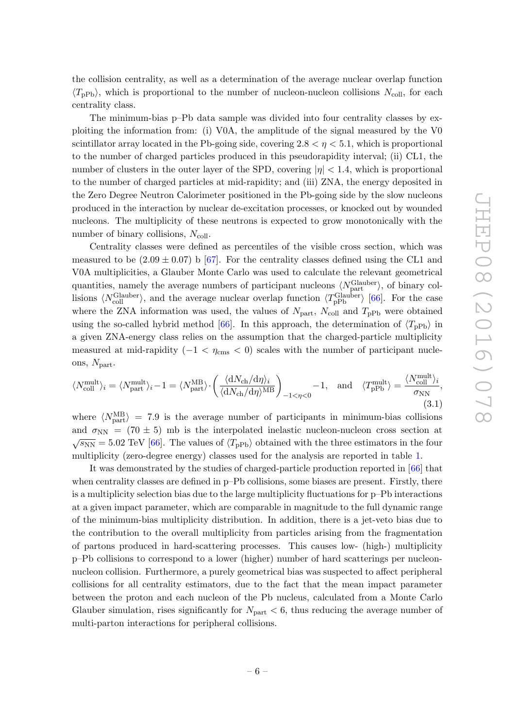the collision centrality, as well as a determination of the average nuclear overlap function  $\langle T_{\rm pPb} \rangle$ , which is proportional to the number of nucleon-nucleon collisions  $N_{\rm coll}$ , for each centrality class.

The minimum-bias p–Pb data sample was divided into four centrality classes by exploiting the information from: (i) V0A, the amplitude of the signal measured by the V0 scintillator array located in the Pb-going side, covering  $2.8 < \eta < 5.1$ , which is proportional to the number of charged particles produced in this pseudorapidity interval; (ii) CL1, the number of clusters in the outer layer of the SPD, covering  $|\eta| < 1.4$ , which is proportional to the number of charged particles at mid-rapidity; and (iii) ZNA, the energy deposited in the Zero Degree Neutron Calorimeter positioned in the Pb-going side by the slow nucleons produced in the interaction by nuclear de-excitation processes, or knocked out by wounded nucleons. The multiplicity of these neutrons is expected to grow monotonically with the number of binary collisions,  $N_{\text{coll}}$ .

Centrality classes were defined as percentiles of the visible cross section, which was measured to be  $(2.09 \pm 0.07)$  b [\[67\]](#page-35-12). For the centrality classes defined using the CL1 and V0A multiplicities, a Glauber Monte Carlo was used to calculate the relevant geometrical quantities, namely the average numbers of participant nucleons  $\langle N_{\rm part}^{\rm Gla} \rangle$ , of binary collisions  $\langle N_{\rm coll}^{\rm Glauber} \rangle$ , and the average nuclear overlap function  $\langle T_{\rm pPb}^{\rm Glauber} \rangle$  [\[66\]](#page-35-11). For the case where the ZNA information was used, the values of  $N_{\text{part}}$ ,  $N_{\text{coll}}$  and  $T_{\text{pPb}}$  were obtained using the so-called hybrid method [\[66\]](#page-35-11). In this approach, the determination of  $\langle T_{\text{pPb}} \rangle$  in a given ZNA-energy class relies on the assumption that the charged-particle multiplicity measured at mid-rapidity ( $-1 < \eta_{\text{cms}} < 0$ ) scales with the number of participant nucleons,  $N_{\text{part}}$ .

$$
\langle N_{\text{coll}}^{\text{mult}} \rangle_i = \langle N_{\text{part}}^{\text{mult}} \rangle_i - 1 = \langle N_{\text{part}}^{\text{MB}} \rangle \cdot \left( \frac{\langle dN_{\text{ch}}/d\eta \rangle_i}{\langle dN_{\text{ch}}/d\eta \rangle^{\text{MB}}} \right)_{-1 < \eta < 0} - 1, \quad \text{and} \quad \langle T_{\text{pPb}}^{\text{mult}} \rangle = \frac{\langle N_{\text{coll}}^{\text{mult}} \rangle_i}{\sigma_{\text{NN}}},\tag{3.1}
$$

where  $\langle N_{\rm part}^{\rm MB} \rangle = 7.9$  is the average number of participants in minimum-bias collisions and  $\sigma_{NN}$  = (70 ± 5) mb is the interpolated inelastic nucleon-nucleon cross section at  $\sqrt{s_{NN}}$  = 5.02 TeV [\[66\]](#page-35-11). The values of  $\langle T_{\rm pPb} \rangle$  obtained with the three estimators in the four multiplicity (zero-degree energy) classes used for the analysis are reported in table [1.](#page-7-1)

It was demonstrated by the studies of charged-particle production reported in [\[66\]](#page-35-11) that when centrality classes are defined in p–Pb collisions, some biases are present. Firstly, there is a multiplicity selection bias due to the large multiplicity fluctuations for p–Pb interactions at a given impact parameter, which are comparable in magnitude to the full dynamic range of the minimum-bias multiplicity distribution. In addition, there is a jet-veto bias due to the contribution to the overall multiplicity from particles arising from the fragmentation of partons produced in hard-scattering processes. This causes low- (high-) multiplicity p–Pb collisions to correspond to a lower (higher) number of hard scatterings per nucleonnucleon collision. Furthermore, a purely geometrical bias was suspected to affect peripheral collisions for all centrality estimators, due to the fact that the mean impact parameter between the proton and each nucleon of the Pb nucleus, calculated from a Monte Carlo Glauber simulation, rises significantly for  $N_{part} < 6$ , thus reducing the average number of multi-parton interactions for peripheral collisions.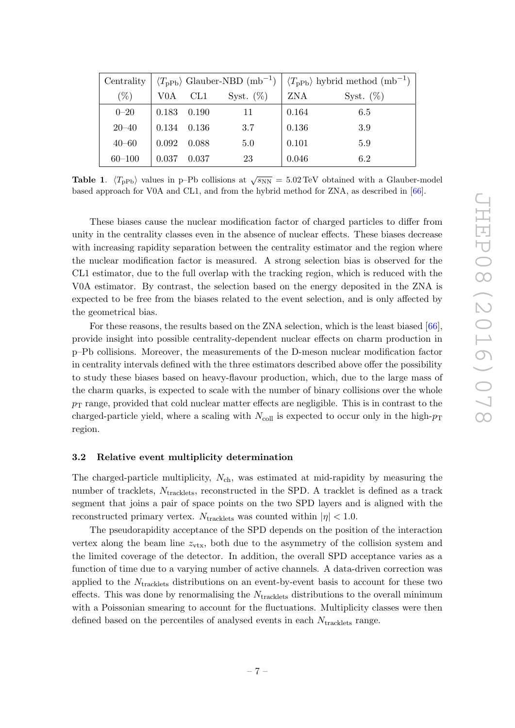| $0 - 20$   | 0.183 | 0.190 | 11  | 0.164                                                                                                                                                                                                                   | 6.5 |  |
|------------|-------|-------|-----|-------------------------------------------------------------------------------------------------------------------------------------------------------------------------------------------------------------------------|-----|--|
| $20 - 40$  | 0.134 | 0.136 | 3.7 | 0.136                                                                                                                                                                                                                   | 3.9 |  |
| $40 - 60$  | 0.092 | 0.088 | 5.0 | 0.101                                                                                                                                                                                                                   | 5.9 |  |
| $60 - 100$ | 0.037 | 0.037 | 23  | 0.046                                                                                                                                                                                                                   | 6.2 |  |
|            |       |       |     | $\langle T_{\rm pPb} \rangle$ values in p-Pb collisions at $\sqrt{s_{\rm NN}} = 5.02 \,\text{TeV}$ obtained with a Glauber-model<br>roach for V0A and CL1, and from the hybrid method for ZNA, as described in $[66]$ . |     |  |
|            |       |       |     | e biases cause the nuclear modification factor of charged particles to differ from                                                                                                                                      |     |  |
|            |       |       |     | he centrality classes even in the absence of nuclear effects. These biases decrease                                                                                                                                     |     |  |
|            |       |       |     | easing rapidity separation between the centrality estimator and the region where                                                                                                                                        |     |  |
|            |       |       |     |                                                                                                                                                                                                                         |     |  |

)  $\langle T_{\rm pPb} \rangle$  hybrid method  ${\rm (mb^{-1})}$ 

**Table 1.**  $\langle T_{\text{pPb}} \rangle$  values in p–Pb collisions at  $\sqrt{s_{NN}} = 5.02 \text{ TeV}$  obtained with a Glauber-model based approach for V0A and CL1, and from the hybrid method for  $\mathcal{V}$ 

 $(\%)$  | V0A CL1 Syst.  $(\%)$  | ZNA Syst.  $(\%)$ 

These biases cause the nuclear modification factor of c unity in the centrality classes even in the absence of nuclear with increasing rapidity separation between the centrality estimator and the region when the nuclear modification factor is measured. A strong selection bias is observed for the CL1 estimator, due to the full overlap with the tracking region, which is reduced with the V0A estimator. By contrast, the selection based on the energy deposited in the ZNA is expected to be free from the biases related to the event selection, and is only affected by the geometrical bias.

For these reasons, the results based on the ZNA selection, which is the least biased [\[66\]](#page-35-11), provide insight into possible centrality-dependent nuclear effects on charm production in p–Pb collisions. Moreover, the measurements of the D-meson nuclear modification factor in centrality intervals defined with the three estimators described above offer the possibility to study these biases based on heavy-flavour production, which, due to the large mass of the charm quarks, is expected to scale with the number of binary collisions over the whole  $p<sub>T</sub>$  range, provided that cold nuclear matter effects are negligible. This is in contrast to the charged-particle yield, where a scaling with  $N_{\text{coll}}$  is expected to occur only in the high- $p_{\text{T}}$ region.

#### <span id="page-7-0"></span>3.2 Relative event multiplicity determination

<span id="page-7-1"></span>Centrality  $\langle T_{\rm pPb} \rangle$  Glauber-NBD (mb<sup>-1</sup>)

The charged-particle multiplicity,  $N_{ch}$ , was estimated at mid-rapidity by measuring the number of tracklets,  $N_{\text{tracklets}}$ , reconstructed in the SPD. A tracklet is defined as a track segment that joins a pair of space points on the two SPD layers and is aligned with the reconstructed primary vertex.  $N_{\text{tracklets}}$  was counted within  $|\eta| < 1.0$ .

The pseudorapidity acceptance of the SPD depends on the position of the interaction vertex along the beam line  $z_{\text{vtx}}$ , both due to the asymmetry of the collision system and the limited coverage of the detector. In addition, the overall SPD acceptance varies as a function of time due to a varying number of active channels. A data-driven correction was applied to the  $N<sub>tracklets</sub>$  distributions on an event-by-event basis to account for these two effects. This was done by renormalising the  $N_{\text{tracklets}}$  distributions to the overall minimum with a Poissonian smearing to account for the fluctuations. Multiplicity classes were then defined based on the percentiles of analysed events in each  $N_{\text{tracklets}}$  range.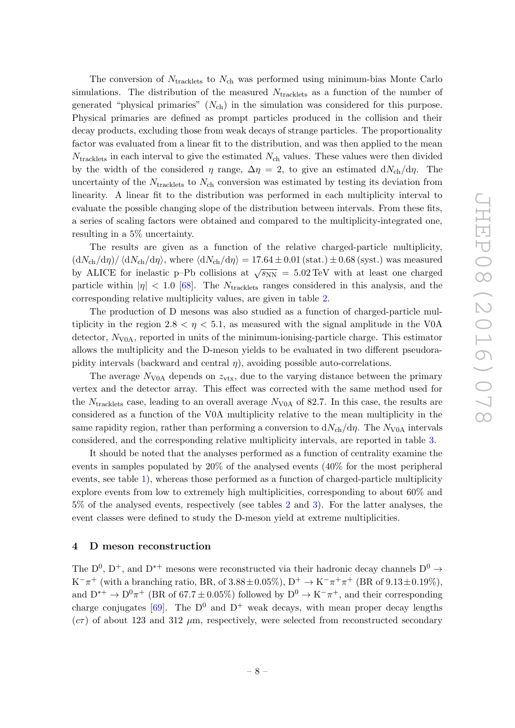The conversion of  $N_{\text{tracklets}}$  to  $N_{\text{ch}}$  was performed using minimum-bias Monte Carlo simulations. The distribution of the measured  $N<sub>tracklets</sub>$  as a function of the number of generated "physical primaries"  $(N_{ch})$  in the simulation was considered for this purpose. Physical primaries are defined as prompt particles produced in the collision and their decay products, excluding those from weak decays of strange particles. The proportionality factor was evaluated from a linear fit to the distribution, and was then applied to the mean  $N_{\text{tracklets}}$  in each interval to give the estimated  $N_{\text{ch}}$  values. These values were then divided by the width of the considered  $\eta$  range,  $\Delta \eta = 2$ , to give an estimated  $dN_{ch}/d\eta$ . The uncertainty of the  $N<sub>tracklets</sub>$  to  $N<sub>ch</sub>$  conversion was estimated by testing its deviation from linearity. A linear fit to the distribution was performed in each multiplicity interval to evaluate the possible changing slope of the distribution between intervals. From these fits, a series of scaling factors were obtained and compared to the multiplicity-integrated one, resulting in a 5% uncertainty.

The results are given as a function of the relative charged-particle multiplicity,  $(dN_{ch}/d\eta)/ \langle dN_{ch}/d\eta \rangle$ , where  $\langle dN_{ch}/d\eta \rangle = 17.64 \pm 0.01$  (stat.)  $\pm 0.68$  (syst.) was measured by ALICE for inelastic p–Pb collisions at  $\sqrt{s_{NN}} = 5.02 \text{ TeV}$  with at least one charged particle within  $|\eta| < 1.0$  [\[68\]](#page-35-13). The  $N_{\text{tracks}}$  ranges considered in this analysis, and the corresponding relative multiplicity values, are given in table [2.](#page-9-0)

The production of D mesons was also studied as a function of charged-particle multiplicity in the region  $2.8 < \eta < 5.1$ , as measured with the signal amplitude in the V0A detector,  $N_{V0A}$ , reported in units of the minimum-ionising-particle charge. This estimator allows the multiplicity and the D-meson yields to be evaluated in two different pseudorapidity intervals (backward and central  $\eta$ ), avoiding possible auto-correlations.

The average  $N_{V0A}$  depends on  $z_{\text{vtx}}$ , due to the varying distance between the primary vertex and the detector array. This effect was corrected with the same method used for the  $N<sub>tracklets</sub>$  case, leading to an overall average  $N<sub>V0A</sub>$  of 82.7. In this case, the results are considered as a function of the V0A multiplicity relative to the mean multiplicity in the same rapidity region, rather than performing a conversion to  $dN_{ch}/d\eta$ . The  $N_{V0A}$  intervals considered, and the corresponding relative multiplicity intervals, are reported in table [3.](#page-9-1)

It should be noted that the analyses performed as a function of centrality examine the events in samples populated by 20% of the analysed events (40% for the most peripheral events, see table [1\)](#page-7-1), whereas those performed as a function of charged-particle multiplicity explore events from low to extremely high multiplicities, corresponding to about 60% and 5% of the analysed events, respectively (see tables [2](#page-9-0) and [3\)](#page-9-1). For the latter analyses, the event classes were defined to study the D-meson yield at extreme multiplicities.

#### <span id="page-8-0"></span>4 D meson reconstruction

The  $D^0$ ,  $D^+$ , and  $D^{*+}$  mesons were reconstructed via their hadronic decay channels  $D^0 \rightarrow$  $K^-\pi^+$  (with a branching ratio, BR, of  $3.88 \pm 0.05\%$ ),  $D^+ \to K^-\pi^+\pi^+$  (BR of  $9.13 \pm 0.19\%$ ), and  $D^{*+} \to D^0 \pi^+$  (BR of 67.7 ± 0.05%) followed by  $D^0 \to K^- \pi^+$ , and their corresponding charge conjugates [\[69\]](#page-35-14). The  $D^0$  and  $D^+$  weak decays, with mean proper decay lengths  $(c\tau)$  of about 123 and 312  $\mu$ m, respectively, were selected from reconstructed secondary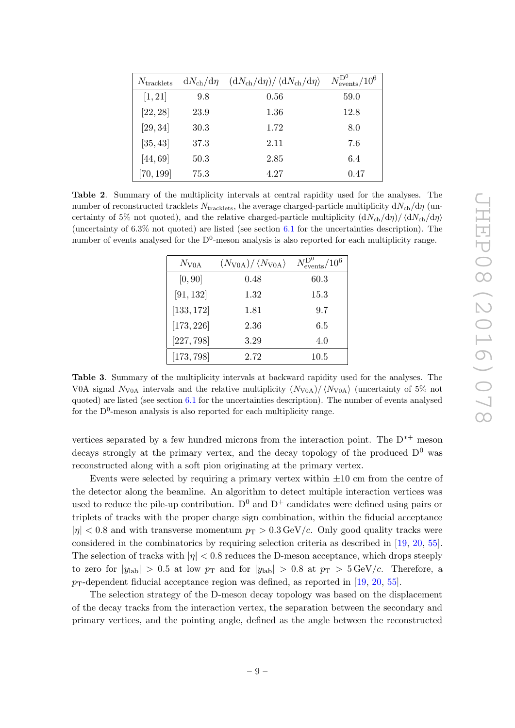<span id="page-9-0"></span>

| $N_{\text{tracklets}}$ |      | $dN_{ch}/d\eta$ $(dN_{ch}/d\eta)/\langle dN_{ch}/d\eta \rangle$ $N_{events}^{D^0}/10^6$ |      |
|------------------------|------|-----------------------------------------------------------------------------------------|------|
| [1, 21]                | 9.8  | 0.56                                                                                    | 59.0 |
| [22, 28]               | 23.9 | 1.36                                                                                    | 12.8 |
| [29, 34]               | 30.3 | 1.72                                                                                    | 8.0  |
| [35, 43]               | 37.3 | 2.11                                                                                    | 7.6  |
| [44, 69]               | 50.3 | 2.85                                                                                    | 6.4  |
| [70, 199]              | 75.3 | 4.27                                                                                    | 0.47 |

<span id="page-9-1"></span>Table 2. Summary of the multiplicity intervals at central rapidity used for the analyses. The number of reconstructed tracklets  $N_{\text{tracklets}}$ , the average charged-particle multiplicity  $dN_{\text{ch}}/d\eta$  (uncertainty of 5% not quoted), and the relative charged-particle multiplicity  $\left(\frac{dN_{ch}}{d\eta}\right)/\left\langle \frac{dN_{ch}}{d\eta}\right\rangle$ (uncertainty of  $6.3\%$  not quoted) are listed (see section  $6.1$  for the uncertainties description). The number of events analysed for the  $D^0$ -meson analysis is also reported for each multiplicity range.

| $N_{V0A}$  | $(N_{\text{VOA}})/\langle N_{\text{VOA}}\rangle$ | $N_{\text{events}}^{\text{D}^0}/10^6$ |
|------------|--------------------------------------------------|---------------------------------------|
| [0, 90]    | 0.48                                             | 60.3                                  |
| [91, 132]  | 1.32                                             | 15.3                                  |
| [133, 172] | 1.81                                             | 9.7                                   |
| [173, 226] | 2.36                                             | 6.5                                   |
| [227, 798] | 3.29                                             | 4.0                                   |
| [173, 798] | 2.72                                             | 10.5                                  |

Table 3. Summary of the multiplicity intervals at backward rapidity used for the analyses. The V0A signal  $N_{V0A}$  intervals and the relative multiplicity  $(N_{V0A})/(N_{V0A})$  (uncertainty of 5% not quoted) are listed (see section  $6.1$  for the uncertainties description). The number of events analysed for the  $D^0$ -meson analysis is also reported for each multiplicity range.

vertices separated by a few hundred microns from the interaction point. The D∗<sup>+</sup> meson decays strongly at the primary vertex, and the decay topology of the produced  $D^0$  was reconstructed along with a soft pion originating at the primary vertex.

Events were selected by requiring a primary vertex within  $\pm 10$  cm from the centre of the detector along the beamline. An algorithm to detect multiple interaction vertices was used to reduce the pile-up contribution.  $D^0$  and  $D^+$  candidates were defined using pairs or triplets of tracks with the proper charge sign combination, within the fiducial acceptance  $|\eta| < 0.8$  and with transverse momentum  $p_T > 0.3 \,\text{GeV}/c$ . Only good quality tracks were considered in the combinatorics by requiring selection criteria as described in [\[19,](#page-33-2) [20,](#page-33-14) [55\]](#page-35-2). The selection of tracks with  $|\eta| < 0.8$  reduces the D-meson acceptance, which drops steeply to zero for  $|y_{\text{lab}}| > 0.5$  at low  $p_{\text{T}}$  and for  $|y_{\text{lab}}| > 0.8$  at  $p_{\text{T}} > 5 \text{ GeV}/c$ . Therefore, a  $p_T$ -dependent fiducial acceptance region was defined, as reported in [\[19,](#page-33-2) [20,](#page-33-14) [55\]](#page-35-2).

The selection strategy of the D-meson decay topology was based on the displacement of the decay tracks from the interaction vertex, the separation between the secondary and primary vertices, and the pointing angle, defined as the angle between the reconstructed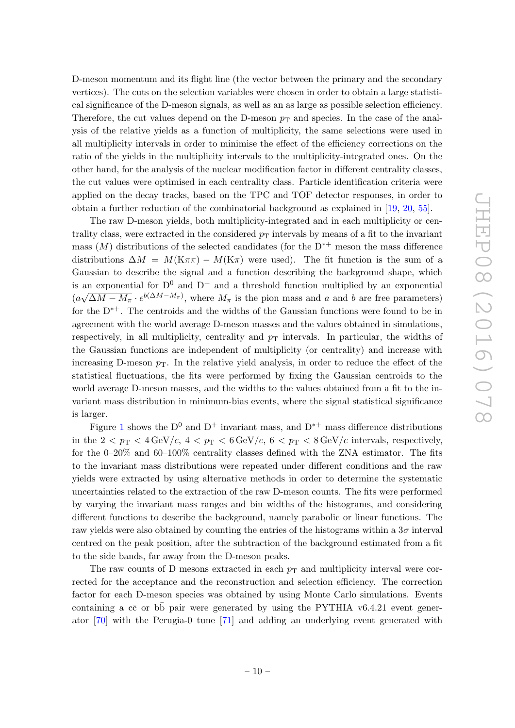D-meson momentum and its flight line (the vector between the primary and the secondary vertices). The cuts on the selection variables were chosen in order to obtain a large statistical significance of the D-meson signals, as well as an as large as possible selection efficiency. Therefore, the cut values depend on the D-meson  $p_T$  and species. In the case of the analysis of the relative yields as a function of multiplicity, the same selections were used in all multiplicity intervals in order to minimise the effect of the efficiency corrections on the ratio of the yields in the multiplicity intervals to the multiplicity-integrated ones. On the other hand, for the analysis of the nuclear modification factor in different centrality classes, the cut values were optimised in each centrality class. Particle identification criteria were applied on the decay tracks, based on the TPC and TOF detector responses, in order to obtain a further reduction of the combinatorial background as explained in [\[19,](#page-33-2) [20,](#page-33-14) [55\]](#page-35-2).

The raw D-meson yields, both multiplicity-integrated and in each multiplicity or centrality class, were extracted in the considered  $p<sub>T</sub>$  intervals by means of a fit to the invariant mass  $(M)$  distributions of the selected candidates (for the D<sup>∗+</sup> meson the mass difference distributions  $\Delta M = M(K\pi\pi) - M(K\pi)$  were used). The fit function is the sum of a Gaussian to describe the signal and a function describing the background shape, which is an exponential for  $D^0$  and  $D^+$  and a threshold function multiplied by an exponential  $(a\sqrt{\Delta M-M_{\pi}} \cdot e^{b(\Delta M-M_{\pi})})$ , where  $M_{\pi}$  is the pion mass and a and b are free parameters) for the D∗+. The centroids and the widths of the Gaussian functions were found to be in agreement with the world average D-meson masses and the values obtained in simulations, respectively, in all multiplicity, centrality and  $p<sub>T</sub>$  intervals. In particular, the widths of the Gaussian functions are independent of multiplicity (or centrality) and increase with increasing D-meson  $p<sub>T</sub>$ . In the relative yield analysis, in order to reduce the effect of the statistical fluctuations, the fits were performed by fixing the Gaussian centroids to the world average D-meson masses, and the widths to the values obtained from a fit to the invariant mass distribution in minimum-bias events, where the signal statistical significance is larger.

Figure [1](#page-11-0) shows the  $D^0$  and  $D^+$  invariant mass, and  $D^{*+}$  mass difference distributions in the  $2 < p_T < 4 \text{ GeV}/c$ ,  $4 < p_T < 6 \text{ GeV}/c$ ,  $6 < p_T < 8 \text{ GeV}/c$  intervals, respectively, for the  $0-20\%$  and  $60-100\%$  centrality classes defined with the ZNA estimator. The fits to the invariant mass distributions were repeated under different conditions and the raw yields were extracted by using alternative methods in order to determine the systematic uncertainties related to the extraction of the raw D-meson counts. The fits were performed by varying the invariant mass ranges and bin widths of the histograms, and considering different functions to describe the background, namely parabolic or linear functions. The raw yields were also obtained by counting the entries of the histograms within a  $3\sigma$  interval centred on the peak position, after the subtraction of the background estimated from a fit to the side bands, far away from the D-meson peaks.

The raw counts of D mesons extracted in each  $p<sub>T</sub>$  and multiplicity interval were corrected for the acceptance and the reconstruction and selection efficiency. The correction factor for each D-meson species was obtained by using Monte Carlo simulations. Events containing a  $c\bar{c}$  or bb pair were generated by using the PYTHIA v6.4.21 event generator [\[70\]](#page-35-15) with the Perugia-0 tune [\[71\]](#page-36-0) and adding an underlying event generated with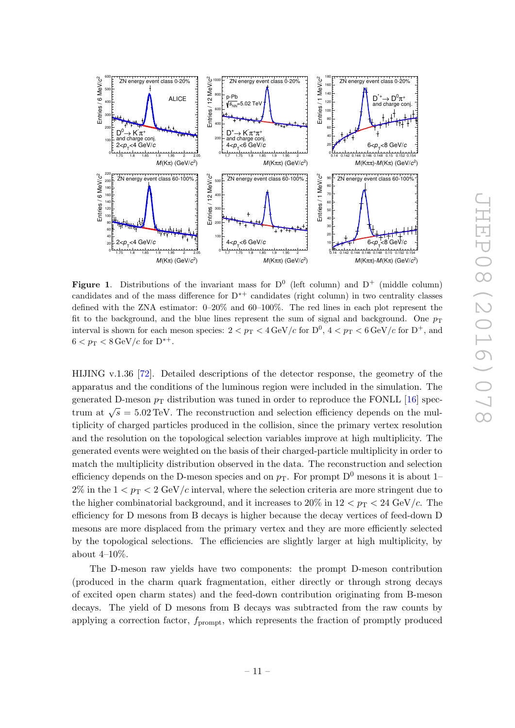<span id="page-11-0"></span>

Figure 1. Distributions of the invariant mass for  $D^0$  (left column) and  $D^+$  (middle column) candidates and of the mass difference for  $D^{*+}$  candidates (right column) in two centrality classes defined with the ZNA estimator: 0–20% and 60–100%. The red lines in each plot represent the fit to the background, and the blue lines represent the sum of signal and background. One  $p_T$ interval is shown for each meson species:  $2 < p_T < 4 \text{ GeV}/c$  for  $D^0$ ,  $4 < p_T < 6 \text{ GeV}/c$  for  $D^+$ , and  $6 < p_{\rm T} < 8 \,\text{GeV}/c \text{ for D}^{*+}.$ 

HIJING v.1.36 [\[72\]](#page-36-1). Detailed descriptions of the detector response, the geometry of the apparatus and the conditions of the luminous region were included in the simulation. The generated D-meson  $p<sub>T</sub>$  distribution was tuned in order to reproduce the FONLL [\[16\]](#page-33-0) spectrum at  $\sqrt{s} = 5.02 \text{ TeV}$ . The reconstruction and selection efficiency depends on the multiplicity of charged particles produced in the collision, since the primary vertex resolution and the resolution on the topological selection variables improve at high multiplicity. The generated events were weighted on the basis of their charged-particle multiplicity in order to match the multiplicity distribution observed in the data. The reconstruction and selection efficiency depends on the D-meson species and on  $p_T$ . For prompt  $D^0$  mesons it is about 1–  $2\%$  in the  $1 < p_T < 2 \text{ GeV}/c$  interval, where the selection criteria are more stringent due to the higher combinatorial background, and it increases to 20% in  $12 < p_T < 24 \text{ GeV}/c$ . The efficiency for D mesons from B decays is higher because the decay vertices of feed-down D mesons are more displaced from the primary vertex and they are more efficiently selected by the topological selections. The efficiencies are slightly larger at high multiplicity, by about 4–10%.

The D-meson raw yields have two components: the prompt D-meson contribution (produced in the charm quark fragmentation, either directly or through strong decays of excited open charm states) and the feed-down contribution originating from B-meson decays. The yield of D mesons from B decays was subtracted from the raw counts by applying a correction factor,  $f_{\text{prompt}}$ , which represents the fraction of promptly produced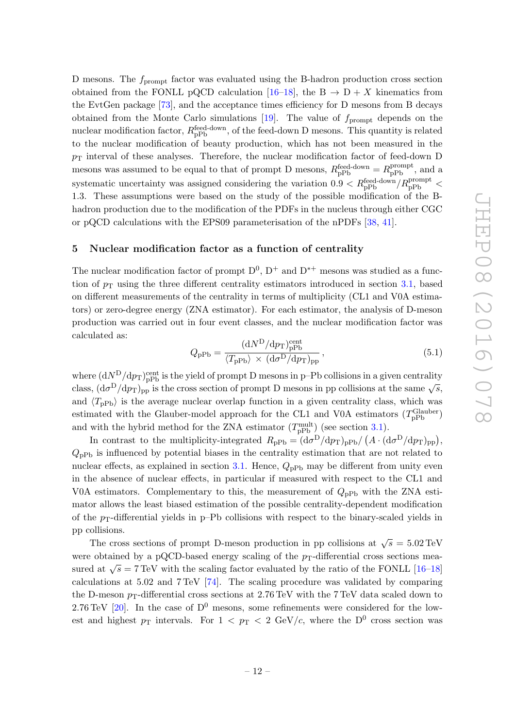D mesons. The  $f_{\text{prompt}}$  factor was evaluated using the B-hadron production cross section obtained from the FONLL pQCD calculation [\[16–](#page-33-0)[18\]](#page-33-1), the  $B \to D + X$  kinematics from the EvtGen package [\[73\]](#page-36-2), and the acceptance times efficiency for D mesons from B decays obtained from the Monte Carlo simulations  $[19]$ . The value of  $f_{\text{prompt}}$  depends on the nuclear modification factor,  $R_{\text{pPb}}^{\text{feed-down}}$ , of the feed-down D mesons. This quantity is related to the nuclear modification of beauty production, which has not been measured in the  $p_{\rm T}$  interval of these analyses. Therefore, the nuclear modification factor of feed-down D mesons was assumed to be equal to that of prompt D mesons,  $R_{\rm pPb}^{\rm feed-down} = R_{\rm pPb}^{\rm prompt}$ , and a systematic uncertainty was assigned considering the variation  $0.9 < R_{\rm pPb}^{\rm feed-down}/R_{\rm pPb}^{\rm prompt} <$ 1.3. These assumptions were based on the study of the possible modification of the Bhadron production due to the modification of the PDFs in the nucleus through either CGC or pQCD calculations with the EPS09 parameterisation of the nPDFs [\[38,](#page-34-4) [41\]](#page-34-6).

#### <span id="page-12-0"></span>5 Nuclear modification factor as a function of centrality

The nuclear modification factor of prompt  $D^0$ ,  $D^+$  and  $D^{*+}$  mesons was studied as a function of  $p_T$  using the three different centrality estimators introduced in section [3.1,](#page-5-1) based on different measurements of the centrality in terms of multiplicity (CL1 and V0A estimators) or zero-degree energy (ZNA estimator). For each estimator, the analysis of D-meson production was carried out in four event classes, and the nuclear modification factor was calculated as:

<span id="page-12-1"></span>
$$
Q_{\rm pPb} = \frac{(\rm dN^D/dp_T)_{\rm pPb}^{\rm cent}}{\langle T_{\rm pPb} \rangle \times (\rm d\sigma^D/dp_T)_{\rm pp}},\tag{5.1}
$$

where  $(dN^D/dp_T)_{\rm pPb}^{\rm cent}$  is the yield of prompt D mesons in p–Pb collisions in a given centrality class,  $(d\sigma^D/dp_T)_{\text{pp}}$  is the cross section of prompt D mesons in pp collisions at the same  $\sqrt{s}$ , and  $\langle T_{\text{pPb}} \rangle$  is the average nuclear overlap function in a given centrality class, which was estimated with the Glauber-model approach for the CL1 and V0A estimators  $(T_{\text{pPb}}^{\text{Glauber}})$ and with the hybrid method for the ZNA estimator  $(T_{\text{pPb}}^{\text{mult}})$  (see section [3.1\)](#page-5-1).

In contrast to the multiplicity-integrated  $R_{\rm pPb} = (d\sigma^D/dp_T)_{\rm pPb}/(A \cdot (d\sigma^D/dp_T)_{\rm pp}),$  $Q_{\rm pPb}$  is influenced by potential biases in the centrality estimation that are not related to nuclear effects, as explained in section [3.1.](#page-5-1) Hence,  $Q_{\rm pPb}$  may be different from unity even in the absence of nuclear effects, in particular if measured with respect to the CL1 and V0A estimators. Complementary to this, the measurement of  $Q_{\text{pPb}}$  with the ZNA estimator allows the least biased estimation of the possible centrality-dependent modification of the  $p_T$ -differential yields in p–Pb collisions with respect to the binary-scaled yields in pp collisions.

The cross sections of prompt D-meson production in pp collisions at  $\sqrt{s} = 5.02 \text{ TeV}$ were obtained by a pQCD-based energy scaling of the  $p<sub>T</sub>$ -differential cross sections measured at  $\sqrt{s} = 7$  TeV with the scaling factor evaluated by the ratio of the FONLL [\[16–](#page-33-0)[18\]](#page-33-1) calculations at 5.02 and 7 TeV [\[74\]](#page-36-3). The scaling procedure was validated by comparing the D-meson  $p_T$ -differential cross sections at 2.76 TeV with the 7 TeV data scaled down to 2.76 TeV [\[20\]](#page-33-14). In the case of  $D^0$  mesons, some refinements were considered for the lowest and highest  $p_T$  intervals. For  $1 < p_T < 2$  GeV/c, where the D<sup>0</sup> cross section was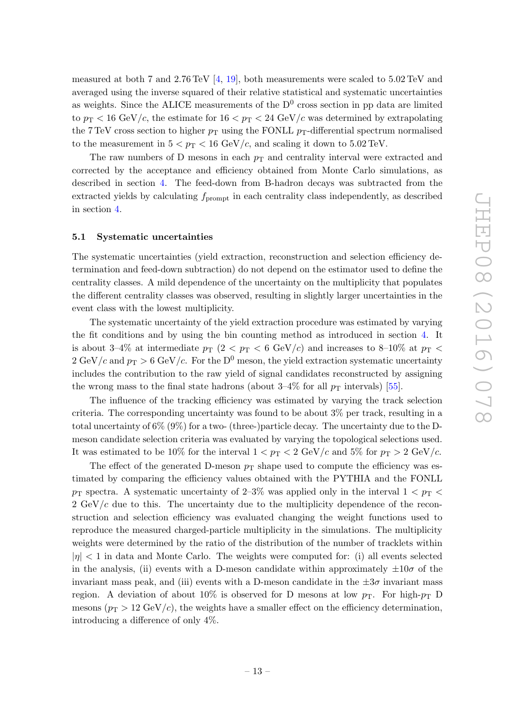measured at both 7 and 2.76 TeV  $[4, 19]$  $[4, 19]$  $[4, 19]$ , both measurements were scaled to 5.02 TeV and averaged using the inverse squared of their relative statistical and systematic uncertainties as weights. Since the ALICE measurements of the  $D^0$  cross section in pp data are limited to  $p_T < 16 \text{ GeV}/c$ , the estimate for  $16 < p_T < 24 \text{ GeV}/c$  was determined by extrapolating the 7 TeV cross section to higher  $p_T$  using the FONLL  $p_T$ -differential spectrum normalised to the measurement in  $5 < p_T < 16$  GeV/c, and scaling it down to 5.02 TeV.

The raw numbers of D mesons in each  $p_T$  and centrality interval were extracted and corrected by the acceptance and efficiency obtained from Monte Carlo simulations, as described in section [4.](#page-8-0) The feed-down from B-hadron decays was subtracted from the extracted yields by calculating  $f_{\text{prompt}}$  in each centrality class independently, as described in section [4.](#page-8-0)

#### <span id="page-13-0"></span>5.1 Systematic uncertainties

The systematic uncertainties (yield extraction, reconstruction and selection efficiency determination and feed-down subtraction) do not depend on the estimator used to define the centrality classes. A mild dependence of the uncertainty on the multiplicity that populates the different centrality classes was observed, resulting in slightly larger uncertainties in the event class with the lowest multiplicity.

The systematic uncertainty of the yield extraction procedure was estimated by varying the fit conditions and by using the bin counting method as introduced in section [4.](#page-8-0) It is about 3-4% at intermediate  $p_T$  (2 <  $p_T < 6$  GeV/c) and increases to 8-10% at  $p_T <$ 2 GeV/c and  $p_T > 6$  GeV/c. For the D<sup>0</sup> meson, the yield extraction systematic uncertainty includes the contribution to the raw yield of signal candidates reconstructed by assigning the wrong mass to the final state hadrons (about  $3-4\%$  for all  $p_T$  intervals) [\[55\]](#page-35-2).

The influence of the tracking efficiency was estimated by varying the track selection criteria. The corresponding uncertainty was found to be about 3% per track, resulting in a total uncertainty of 6% (9%) for a two- (three-)particle decay. The uncertainty due to the Dmeson candidate selection criteria was evaluated by varying the topological selections used. It was estimated to be 10% for the interval  $1 < p_T < 2$  GeV/c and 5% for  $p_T > 2$  GeV/c.

The effect of the generated D-meson  $p<sub>T</sub>$  shape used to compute the efficiency was estimated by comparing the efficiency values obtained with the PYTHIA and the FONLL  $p_{\rm T}$  spectra. A systematic uncertainty of 2–3% was applied only in the interval  $1 < p_{\rm T}$ 2 GeV/c due to this. The uncertainty due to the multiplicity dependence of the reconstruction and selection efficiency was evaluated changing the weight functions used to reproduce the measured charged-particle multiplicity in the simulations. The multiplicity weights were determined by the ratio of the distribution of the number of tracklets within  $|\eta|$  < 1 in data and Monte Carlo. The weights were computed for: (i) all events selected in the analysis, (ii) events with a D-meson candidate within approximately  $\pm 10\sigma$  of the invariant mass peak, and (iii) events with a D-meson candidate in the  $\pm 3\sigma$  invariant mass region. A deviation of about 10% is observed for D mesons at low  $p_T$ . For high- $p_T$  D mesons  $(p_T > 12 \text{ GeV}/c)$ , the weights have a smaller effect on the efficiency determination, introducing a difference of only 4%.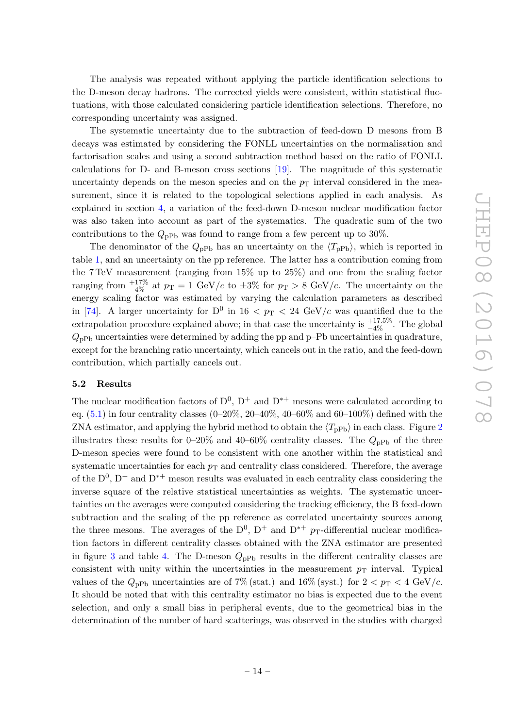The analysis was repeated without applying the particle identification selections to the D-meson decay hadrons. The corrected yields were consistent, within statistical fluctuations, with those calculated considering particle identification selections. Therefore, no corresponding uncertainty was assigned.

The systematic uncertainty due to the subtraction of feed-down D mesons from B decays was estimated by considering the FONLL uncertainties on the normalisation and factorisation scales and using a second subtraction method based on the ratio of FONLL calculations for D- and B-meson cross sections [\[19\]](#page-33-2). The magnitude of this systematic uncertainty depends on the meson species and on the  $p<sub>T</sub>$  interval considered in the measurement, since it is related to the topological selections applied in each analysis. As explained in section [4,](#page-8-0) a variation of the feed-down D-meson nuclear modification factor was also taken into account as part of the systematics. The quadratic sum of the two contributions to the  $Q_{\text{pPb}}$  was found to range from a few percent up to 30%.

The denominator of the  $Q_{\text{pPb}}$  has an uncertainty on the  $\langle T_{\text{pPb}} \rangle$ , which is reported in table [1,](#page-7-1) and an uncertainty on the pp reference. The latter has a contribution coming from the 7 TeV measurement (ranging from 15% up to 25%) and one from the scaling factor ranging from  $^{+17\%}_{-4\%}$  at  $p_T = 1$  GeV/c to  $\pm 3\%$  for  $p_T > 8$  GeV/c. The uncertainty on the energy scaling factor was estimated by varying the calculation parameters as described in [\[74\]](#page-36-3). A larger uncertainty for  $D^0$  in  $16 < p_T < 24$  GeV/c was quantified due to the extrapolation procedure explained above; in that case the uncertainty is  $_{-4\%}^{+17.5\%}$ . The global  $Q_{pPb}$  uncertainties were determined by adding the pp and p–Pb uncertainties in quadrature, except for the branching ratio uncertainty, which cancels out in the ratio, and the feed-down contribution, which partially cancels out.

#### <span id="page-14-0"></span>5.2 Results

The nuclear modification factors of  $D^0$ ,  $D^+$  and  $D^{*+}$  mesons were calculated according to eq.  $(5.1)$  in four centrality classes  $(0-20\%, 20-40\%, 40-60\% \text{ and } 60-100\%)$  defined with the ZNA estimator, and applying the hybrid method to obtain the  $\langle T_{\rm pPb} \rangle$  in each class. Figure [2](#page-15-1) illustrates these results for 0–20% and 40–60% centrality classes. The  $Q_{\text{pPb}}$  of the three D-meson species were found to be consistent with one another within the statistical and systematic uncertainties for each  $p<sub>T</sub>$  and centrality class considered. Therefore, the average of the  $D^0$ ,  $D^+$  and  $D^{*+}$  meson results was evaluated in each centrality class considering the inverse square of the relative statistical uncertainties as weights. The systematic uncertainties on the averages were computed considering the tracking efficiency, the B feed-down subtraction and the scaling of the pp reference as correlated uncertainty sources among the three mesons. The averages of the  $D^0$ ,  $D^+$  and  $D^{*+}$  p<sub>T</sub>-differential nuclear modification factors in different centrality classes obtained with the ZNA estimator are presented in figure [3](#page-16-0) and table [4.](#page-28-1) The D-meson  $Q_{\text{pPb}}$  results in the different centrality classes are consistent with unity within the uncertainties in the measurement  $p<sub>T</sub>$  interval. Typical values of the  $Q_{\text{pPb}}$  uncertainties are of 7% (stat.) and 16% (syst.) for  $2 < p_{\text{T}} < 4 \text{ GeV}/c$ . It should be noted that with this centrality estimator no bias is expected due to the event selection, and only a small bias in peripheral events, due to the geometrical bias in the determination of the number of hard scatterings, was observed in the studies with charged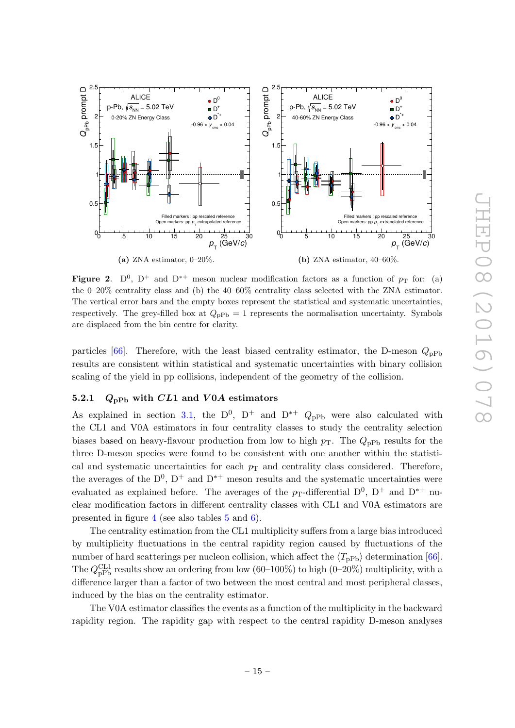<span id="page-15-1"></span>

Figure 2.  $D^0$ ,  $D^+$  and  $D^{*+}$  meson nuclear modification factors as a function of  $p_T$  for: (a) the 0–20% centrality class and (b) the 40–60% centrality class selected with the ZNA estimator. The vertical error bars and the empty boxes represent the statistical and systematic uncertainties, respectively. The grey-filled box at  $Q_{\text{pPb}} = 1$  represents the normalisation uncertainty. Symbols are displaced from the bin centre for clarity.

particles [\[66\]](#page-35-11). Therefore, with the least biased centrality estimator, the D-meson  $Q_{\text{pPb}}$ results are consistent within statistical and systematic uncertainties with binary collision scaling of the yield in pp collisions, independent of the geometry of the collision.

#### <span id="page-15-0"></span>5.2.1  $Q_{\text{pPb}}$  with CL1 and V0A estimators

As explained in section [3.1,](#page-5-1) the  $D^0$ ,  $D^+$  and  $D^{*+}$   $Q_{pPb}$  were also calculated with the CL1 and V0A estimators in four centrality classes to study the centrality selection biases based on heavy-flavour production from low to high  $p_T$ . The  $Q_{pPb}$  results for the three D-meson species were found to be consistent with one another within the statistical and systematic uncertainties for each  $p<sub>T</sub>$  and centrality class considered. Therefore, the averages of the  $D^0$ ,  $D^+$  and  $D^{*+}$  meson results and the systematic uncertainties were evaluated as explained before. The averages of the  $p_T$ -differential  $D^0$ ,  $D^+$  and  $D^{*+}$  nuclear modification factors in different centrality classes with CL1 and V0A estimators are presented in figure [4](#page-16-1) (see also tables [5](#page-29-0) and [6\)](#page-29-1).

The centrality estimation from the CL1 multiplicity suffers from a large bias introduced by multiplicity fluctuations in the central rapidity region caused by fluctuations of the number of hard scatterings per nucleon collision, which affect the  $\langle T_{\rm pPb} \rangle$  determination [\[66\]](#page-35-11). The  $Q_{\rm pPb}^{\rm CL1}$  results show an ordering from low (60–100%) to high (0–20%) multiplicity, with a difference larger than a factor of two between the most central and most peripheral classes, induced by the bias on the centrality estimator.

The V0A estimator classifies the events as a function of the multiplicity in the backward rapidity region. The rapidity gap with respect to the central rapidity D-meson analyses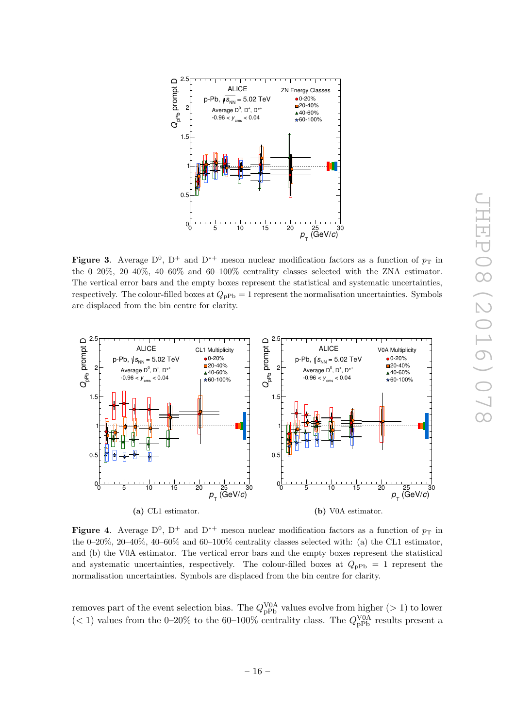<span id="page-16-0"></span>

Figure 3. Average  $D^0$ ,  $D^+$  and  $D^{*+}$  meson nuclear modification factors as a function of  $p_T$  in the 0–20%, 20–40%, 40–60% and 60–100% centrality classes selected with the ZNA estimator. The vertical error bars and the empty boxes represent the statistical and systematic uncertainties, respectively. The colour-filled boxes at  $Q_{\text{pPb}} = 1$  represent the normalisation uncertainties. Symbols are displaced from the bin centre for clarity.

<span id="page-16-1"></span>

**Figure 4.** Average  $D^0$ ,  $D^+$  and  $D^{*+}$  meson nuclear modification factors as a function of  $p_T$  in the 0–20%, 20–40%, 40–60% and 60–100% centrality classes selected with: (a) the CL1 estimator, and (b) the V0A estimator. The vertical error bars and the empty boxes represent the statistical and systematic uncertainties, respectively. The colour-filled boxes at  $Q_{\text{pPb}} = 1$  represent the normalisation uncertainties. Symbols are displaced from the bin centre for clarity.

removes part of the event selection bias. The  $Q_{\rm pPb}^{\rm V0A}$  values evolve from higher (> 1) to lower ( $\langle 1 \rangle$ ) values from the 0-20% to the 60-100% centrality class. The  $Q_{\rm pPb}^{\rm V0A}$  results present a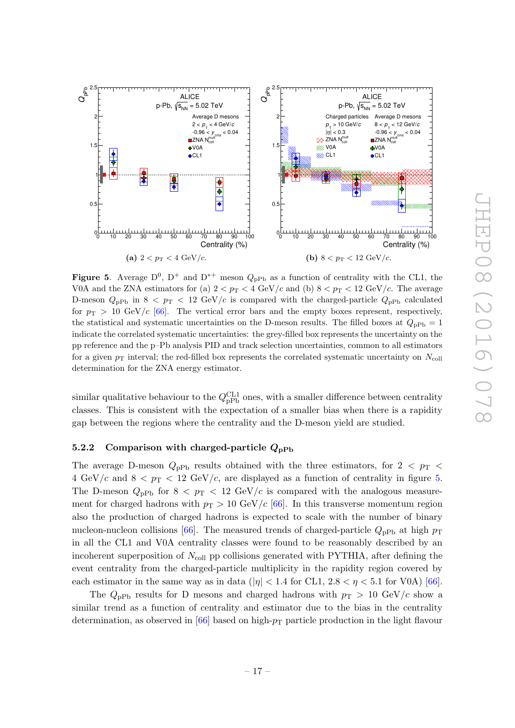<span id="page-17-1"></span>

Figure 5. Average  $D^0$ ,  $D^+$  and  $D^{*+}$  meson  $Q_{pPb}$  as a function of centrality with the CL1, the V0A and the ZNA estimators for (a)  $2 < p_T < 4$  GeV/c and (b)  $8 < p_T < 12$  GeV/c. The average D-meson  $Q_{\text{pPb}}$  in  $8 < p_{\text{T}} < 12 \text{ GeV}/c$  is compared with the charged-particle  $Q_{\text{pPb}}$  calculated for  $p_T > 10$  GeV/c [\[66\]](#page-35-11). The vertical error bars and the empty boxes represent, respectively, the statistical and systematic uncertainties on the D-meson results. The filled boxes at  $Q_{\text{pPb}} = 1$ indicate the correlated systematic uncertainties: the grey-filled box represents the uncertainty on the pp reference and the p–Pb analysis PID and track selection uncertainties, common to all estimators for a given  $p_T$  interval; the red-filled box represents the correlated systematic uncertainty on  $N_{\text{coll}}$ determination for the ZNA energy estimator.

similar qualitative behaviour to the  $Q_{\text{pPb}}^{\text{CL1}}$  ones, with a smaller difference between centrality classes. This is consistent with the expectation of a smaller bias when there is a rapidity gap between the regions where the centrality and the D-meson yield are studied.

#### <span id="page-17-0"></span>5.2.2 Comparison with charged-particle  $Q_{\text{pPb}}$

The average D-meson  $Q_{\text{pPb}}$  results obtained with the three estimators, for  $2 < p_{\text{T}} <$ 4 GeV/c and  $8 < p_T < 12$  GeV/c, are displayed as a function of centrality in figure [5.](#page-17-1) The D-meson  $Q_{\text{pPb}}$  for  $8 < p_{\text{T}} < 12 \text{ GeV}/c$  is compared with the analogous measurement for charged hadrons with  $p_T > 10 \text{ GeV}/c$  [\[66\]](#page-35-11). In this transverse momentum region also the production of charged hadrons is expected to scale with the number of binary nucleon-nucleon collisions [\[66\]](#page-35-11). The measured trends of charged-particle  $Q_{\text{pPb}}$  at high  $p_{\text{T}}$ in all the CL1 and V0A centrality classes were found to be reasonably described by an incoherent superposition of  $N_{\text{coll}}$  pp collisions generated with PYTHIA, after defining the event centrality from the charged-particle multiplicity in the rapidity region covered by each estimator in the same way as in data  $(|\eta| < 1.4$  for CL1,  $2.8 < \eta < 5.1$  for V0A) [\[66\]](#page-35-11).

The  $Q_{\text{pPb}}$  results for D mesons and charged hadrons with  $p_{\text{T}} > 10 \text{ GeV}/c$  show a similar trend as a function of centrality and estimator due to the bias in the centrality determination, as observed in [\[66\]](#page-35-11) based on high- $p_T$  particle production in the light flavour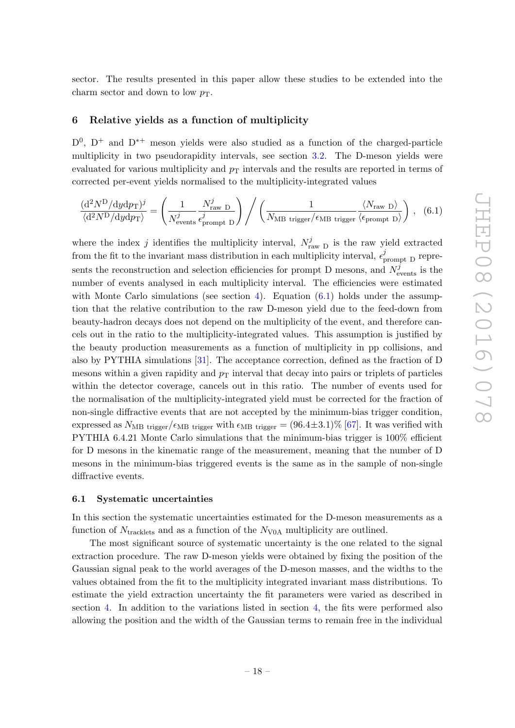sector. The results presented in this paper allow these studies to be extended into the charm sector and down to low  $p_T$ .

## <span id="page-18-0"></span>6 Relative yields as a function of multiplicity

 $D^0$ ,  $D^+$  and  $D^{*+}$  meson yields were also studied as a function of the charged-particle multiplicity in two pseudorapidity intervals, see section [3.2.](#page-7-0) The D-meson yields were evaluated for various multiplicity and  $p<sub>T</sub>$  intervals and the results are reported in terms of corrected per-event yields normalised to the multiplicity-integrated values

<span id="page-18-2"></span>
$$
\frac{(\mathrm{d}^2 N^{\mathrm{D}}/\mathrm{d}y \mathrm{d}p_{\mathrm{T}})^j}{\langle \mathrm{d}^2 N^{\mathrm{D}}/\mathrm{d}y \mathrm{d}p_{\mathrm{T}} \rangle} = \left(\frac{1}{N_{\mathrm{events}}^j} \frac{N_{\mathrm{raw\ D}}^j}{\epsilon_{\mathrm{prompt\ D}}^j}\right) / \left(\frac{1}{N_{\mathrm{MB\ trigger}}/\epsilon_{\mathrm{MB\ trigger}} \frac{\langle N_{\mathrm{raw\ D}} \rangle}{\langle \epsilon_{\mathrm{prompt\ D}} \rangle}}\right), \quad (6.1)
$$

where the index j identifies the multiplicity interval,  $N_{\text{raw D}}^j$  is the raw yield extracted from the fit to the invariant mass distribution in each multiplicity interval,  $\epsilon_{\text{prompt D}}^j$  represents the reconstruction and selection efficiencies for prompt D mesons, and  $N_{\text{events}}^j$  is the number of events analysed in each multiplicity interval. The efficiencies were estimated with Monte Carlo simulations (see section [4\)](#page-8-0). Equation  $(6.1)$  holds under the assumption that the relative contribution to the raw D-meson yield due to the feed-down from beauty-hadron decays does not depend on the multiplicity of the event, and therefore cancels out in the ratio to the multiplicity-integrated values. This assumption is justified by the beauty production measurements as a function of multiplicity in pp collisions, and also by PYTHIA simulations [\[31\]](#page-33-11). The acceptance correction, defined as the fraction of D mesons within a given rapidity and  $p<sub>T</sub>$  interval that decay into pairs or triplets of particles within the detector coverage, cancels out in this ratio. The number of events used for the normalisation of the multiplicity-integrated yield must be corrected for the fraction of non-single diffractive events that are not accepted by the minimum-bias trigger condition, expressed as  $N_{\text{MB trigger}}/\epsilon_{\text{MB trigger}}$  with  $\epsilon_{\text{MB trigger}} = (96.4 \pm 3.1)\%$  [\[67\]](#page-35-12). It was verified with PYTHIA 6.4.21 Monte Carlo simulations that the minimum-bias trigger is 100% efficient for D mesons in the kinematic range of the measurement, meaning that the number of D mesons in the minimum-bias triggered events is the same as in the sample of non-single diffractive events.

#### <span id="page-18-1"></span>6.1 Systematic uncertainties

In this section the systematic uncertainties estimated for the D-meson measurements as a function of  $N_{\text{tracklets}}$  and as a function of the  $N_{\text{VOA}}$  multiplicity are outlined.

The most significant source of systematic uncertainty is the one related to the signal extraction procedure. The raw D-meson yields were obtained by fixing the position of the Gaussian signal peak to the world averages of the D-meson masses, and the widths to the values obtained from the fit to the multiplicity integrated invariant mass distributions. To estimate the yield extraction uncertainty the fit parameters were varied as described in section [4.](#page-8-0) In addition to the variations listed in section [4,](#page-8-0) the fits were performed also allowing the position and the width of the Gaussian terms to remain free in the individual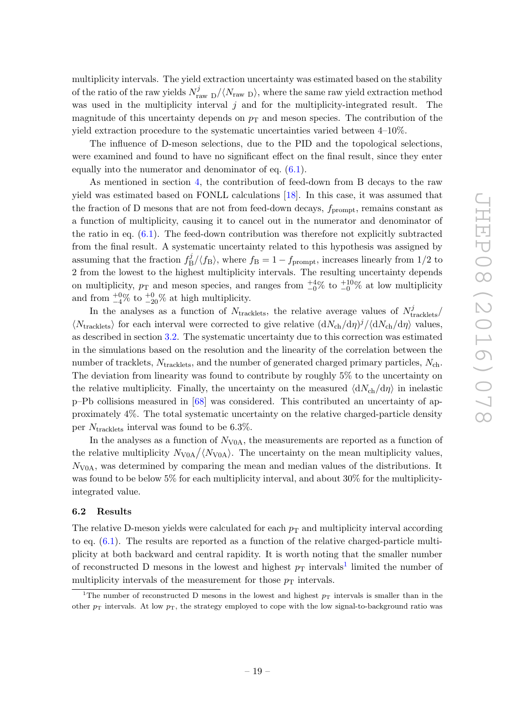multiplicity intervals. The yield extraction uncertainty was estimated based on the stability of the ratio of the raw yields  $N_{\text{raw D}}^j / \langle N_{\text{raw D}} \rangle$ , where the same raw yield extraction method was used in the multiplicity interval  $j$  and for the multiplicity-integrated result. The magnitude of this uncertainty depends on  $p<sub>T</sub>$  and meson species. The contribution of the yield extraction procedure to the systematic uncertainties varied between 4–10%.

The influence of D-meson selections, due to the PID and the topological selections, were examined and found to have no significant effect on the final result, since they enter equally into the numerator and denominator of eq. [\(6.1\)](#page-18-2).

As mentioned in section [4,](#page-8-0) the contribution of feed-down from B decays to the raw yield was estimated based on FONLL calculations [\[18\]](#page-33-1). In this case, it was assumed that the fraction of D mesons that are not from feed-down decays,  $f_{\text{prompt}}$ , remains constant as a function of multiplicity, causing it to cancel out in the numerator and denominator of the ratio in eq.  $(6.1)$ . The feed-down contribution was therefore not explicitly subtracted from the final result. A systematic uncertainty related to this hypothesis was assigned by assuming that the fraction  $f_{\rm F}^j$  $\frac{d^3y}{d^3y}$ , where  $f_B = 1 - f_{\text{prompt}}$ , increases linearly from 1/2 to 2 from the lowest to the highest multiplicity intervals. The resulting uncertainty depends on multiplicity,  $p_T$  and meson species, and ranges from  $_{-0}^{+4}\%$  to  $_{-0}^{+10}\%$  at low multiplicity and from  $^{+0}_{-4}$ % to  $^{+0}_{-20}$ % at high multiplicity.

In the analyses as a function of  $N_{\text{tracklets}}$ , the relative average values of  $N_{\text{tracklets}}^j$  $\langle N_{\text{tracklets}} \rangle$  for each interval were corrected to give relative  $(dN_{ch}/d\eta)^j/\langle dN_{ch}/d\eta \rangle$  values, as described in section [3.2.](#page-7-0) The systematic uncertainty due to this correction was estimated in the simulations based on the resolution and the linearity of the correlation between the number of tracklets,  $N_{\text{tracklets}}$ , and the number of generated charged primary particles,  $N_{\text{ch}}$ . The deviation from linearity was found to contribute by roughly 5% to the uncertainty on the relative multiplicity. Finally, the uncertainty on the measured  $\langle dN_{ch}/d\eta \rangle$  in inelastic p–Pb collisions measured in [\[68\]](#page-35-13) was considered. This contributed an uncertainty of approximately 4%. The total systematic uncertainty on the relative charged-particle density per  $N_{\text{tracklets}}$  interval was found to be 6.3%.

In the analyses as a function of  $N_{V0A}$ , the measurements are reported as a function of the relative multiplicity  $N_{\text{VOA}}/ \langle N_{\text{VOA}} \rangle$ . The uncertainty on the mean multiplicity values,  $N<sub>V0A</sub>$ , was determined by comparing the mean and median values of the distributions. It was found to be below 5% for each multiplicity interval, and about 30% for the multiplicityintegrated value.

#### <span id="page-19-0"></span>6.2 Results

The relative D-meson yields were calculated for each  $p<sub>T</sub>$  and multiplicity interval according to eq. [\(6.1\)](#page-18-2). The results are reported as a function of the relative charged-particle multiplicity at both backward and central rapidity. It is worth noting that the smaller number of reconstructed D mesons in the lowest and highest  $p_T$  intervals<sup>[1](#page-19-1)</sup> limited the number of multiplicity intervals of the measurement for those  $p<sub>T</sub>$  intervals.

<span id="page-19-1"></span><sup>&</sup>lt;sup>1</sup>The number of reconstructed D mesons in the lowest and highest  $p_T$  intervals is smaller than in the other  $p_T$  intervals. At low  $p_T$ , the strategy employed to cope with the low signal-to-background ratio was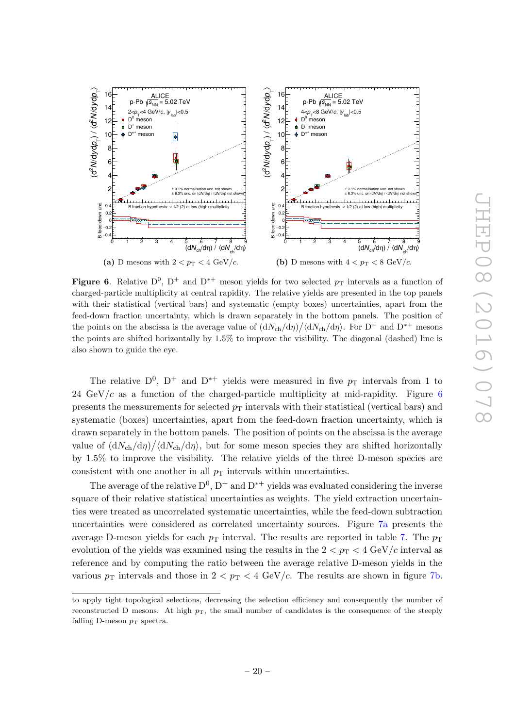<span id="page-20-0"></span>

Figure 6. Relative  $D^0$ ,  $D^+$  and  $D^{*+}$  meson yields for two selected  $p_T$  intervals as a function of charged-particle multiplicity at central rapidity. The relative yields are presented in the top panels with their statistical (vertical bars) and systematic (empty boxes) uncertainties, apart from the feed-down fraction uncertainty, which is drawn separately in the bottom panels. The position of the points on the abscissa is the average value of  $(dN_{ch}/d\eta)/\langle dN_{ch}/d\eta \rangle$ . For D<sup>+</sup> and D<sup>\*+</sup> mesons the points are shifted horizontally by 1.5% to improve the visibility. The diagonal (dashed) line is also shown to guide the eye.

The relative  $D^0$ ,  $D^+$  and  $D^{*+}$  yields were measured in five  $p_T$  intervals from 1 to 24 GeV/c as a function of the charged-particle multiplicity at mid-rapidity. Figure [6](#page-20-0) presents the measurements for selected  $p<sub>T</sub>$  intervals with their statistical (vertical bars) and systematic (boxes) uncertainties, apart from the feed-down fraction uncertainty, which is drawn separately in the bottom panels. The position of points on the abscissa is the average value of  $(dN_{ch}/d\eta)/\langle dN_{ch}/d\eta\rangle$ , but for some meson species they are shifted horizontally by 1.5% to improve the visibility. The relative yields of the three D-meson species are consistent with one another in all  $p_T$  intervals within uncertainties.

The average of the relative  $D^0$ ,  $D^+$  and  $D^{*+}$  yields was evaluated considering the inverse square of their relative statistical uncertainties as weights. The yield extraction uncertainties were treated as uncorrelated systematic uncertainties, while the feed-down subtraction uncertainties were considered as correlated uncertainty sources. Figure [7a](#page-21-0) presents the average D-meson yields for each  $p<sub>T</sub>$  interval. The results are reported in table [7.](#page-30-0) The  $p<sub>T</sub>$ evolution of the yields was examined using the results in the  $2 < p_T < 4$  GeV/c interval as reference and by computing the ratio between the average relative D-meson yields in the various  $p_T$  intervals and those in  $2 < p_T < 4$  GeV/c. The results are shown in figure [7b.](#page-21-1)

to apply tight topological selections, decreasing the selection efficiency and consequently the number of reconstructed D mesons. At high  $p<sub>T</sub>$ , the small number of candidates is the consequence of the steeply falling D-meson  $p_T$  spectra.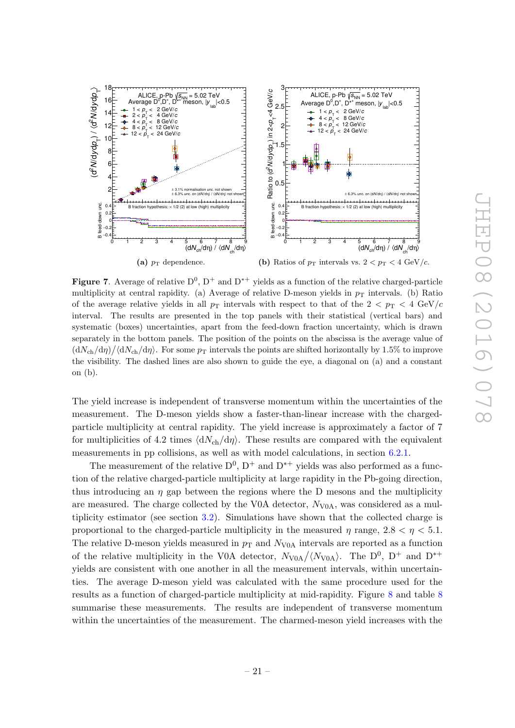<span id="page-21-0"></span>

<span id="page-21-1"></span>Figure 7. Average of relative  $D^0$ ,  $D^+$  and  $D^{*+}$  yields as a function of the relative charged-particle multiplicity at central rapidity. (a) Average of relative D-meson yields in  $p<sub>T</sub>$  intervals. (b) Ratio of the average relative yields in all  $p_T$  intervals with respect to that of the  $2 < p_T < 4$  GeV/c interval. The results are presented in the top panels with their statistical (vertical bars) and systematic (boxes) uncertainties, apart from the feed-down fraction uncertainty, which is drawn separately in the bottom panels. The position of the points on the abscissa is the average value of  $(dN_{ch}/d\eta)/\langle dN_{ch}/d\eta \rangle$ . For some  $p_T$  intervals the points are shifted horizontally by 1.5% to improve the visibility. The dashed lines are also shown to guide the eye, a diagonal on (a) and a constant on (b).

The yield increase is independent of transverse momentum within the uncertainties of the measurement. The D-meson yields show a faster-than-linear increase with the chargedparticle multiplicity at central rapidity. The yield increase is approximately a factor of 7 for multiplicities of 4.2 times  $\langle dN_{ch}/d\eta \rangle$ . These results are compared with the equivalent measurements in pp collisions, as well as with model calculations, in section [6.2.1.](#page-23-0)

The measurement of the relative  $D^0$ ,  $D^+$  and  $D^{*+}$  yields was also performed as a function of the relative charged-particle multiplicity at large rapidity in the Pb-going direction, thus introducing an  $\eta$  gap between the regions where the D mesons and the multiplicity are measured. The charge collected by the V0A detector,  $N_{V0A}$ , was considered as a multiplicity estimator (see section [3.2\)](#page-7-0). Simulations have shown that the collected charge is proportional to the charged-particle multiplicity in the measured  $\eta$  range,  $2.8 < \eta < 5.1$ . The relative D-meson yields measured in  $p_T$  and  $N_{V0A}$  intervals are reported as a function of the relative multiplicity in the V0A detector,  $N_{\text{VOA}} / \langle N_{\text{VOA}} \rangle$ . The D<sup>0</sup>, D<sup>+</sup> and D<sup>\*+</sup> yields are consistent with one another in all the measurement intervals, within uncertainties. The average D-meson yield was calculated with the same procedure used for the results as a function of charged-particle multiplicity at mid-rapidity. Figure [8](#page-22-0) and table [8](#page-31-0) summarise these measurements. The results are independent of transverse momentum within the uncertainties of the measurement. The charmed-meson yield increases with the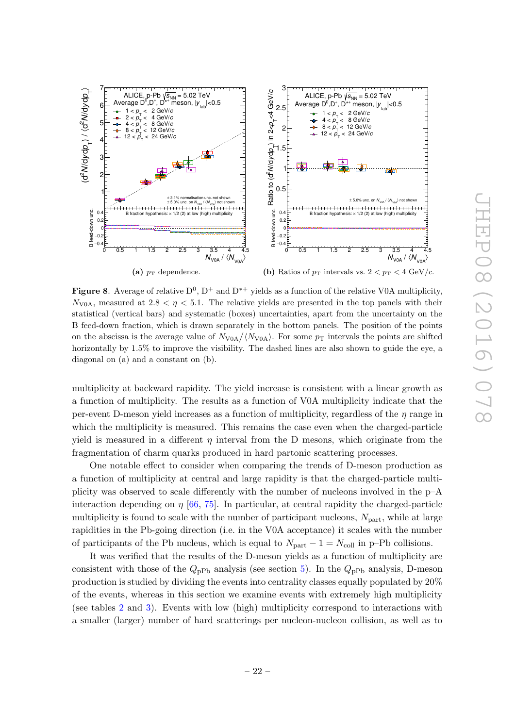<span id="page-22-0"></span>

Figure 8. Average of relative  $D^0$ ,  $D^+$  and  $D^{*+}$  yields as a function of the relative V0A multiplicity,  $N_{V0}$ A, measured at 2.8  $\lt$   $\eta$   $\lt$  5.1. The relative yields are presented in the top panels with their statistical (vertical bars) and systematic (boxes) uncertainties, apart from the uncertainty on the B feed-down fraction, which is drawn separately in the bottom panels. The position of the points on the abscissa is the average value of  $N_{\text{VOA}}/ \langle N_{\text{VOA}} \rangle$ . For some  $p_{\text{T}}$  intervals the points are shifted horizontally by 1.5% to improve the visibility. The dashed lines are also shown to guide the eye, a diagonal on (a) and a constant on (b).

multiplicity at backward rapidity. The yield increase is consistent with a linear growth as a function of multiplicity. The results as a function of V0A multiplicity indicate that the per-event D-meson yield increases as a function of multiplicity, regardless of the  $\eta$  range in which the multiplicity is measured. This remains the case even when the charged-particle yield is measured in a different  $\eta$  interval from the D mesons, which originate from the fragmentation of charm quarks produced in hard partonic scattering processes.

One notable effect to consider when comparing the trends of D-meson production as a function of multiplicity at central and large rapidity is that the charged-particle multiplicity was observed to scale differently with the number of nucleons involved in the p–A interaction depending on  $\eta$  [\[66,](#page-35-11) [75\]](#page-36-4). In particular, at central rapidity the charged-particle multiplicity is found to scale with the number of participant nucleons,  $N_{part}$ , while at large rapidities in the Pb-going direction (i.e. in the V0A acceptance) it scales with the number of participants of the Pb nucleus, which is equal to  $N_{part} - 1 = N_{coll}$  in p–Pb collisions.

It was verified that the results of the D-meson yields as a function of multiplicity are consistent with those of the  $Q_{\text{pPb}}$  analysis (see section [5\)](#page-12-0). In the  $Q_{\text{pPb}}$  analysis, D-meson production is studied by dividing the events into centrality classes equally populated by 20% of the events, whereas in this section we examine events with extremely high multiplicity (see tables [2](#page-9-0) and [3\)](#page-9-1). Events with low (high) multiplicity correspond to interactions with a smaller (larger) number of hard scatterings per nucleon-nucleon collision, as well as to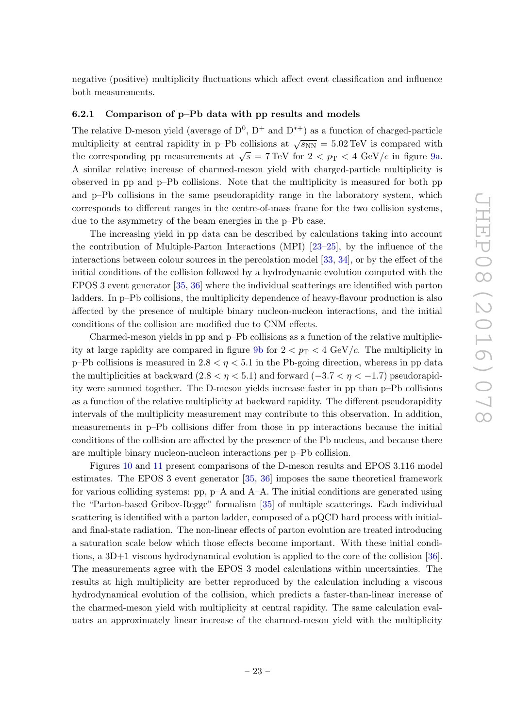negative (positive) multiplicity fluctuations which affect event classification and influence both measurements.

#### <span id="page-23-0"></span>6.2.1 Comparison of p–Pb data with pp results and models

The relative D-meson yield (average of  $D^0$ ,  $D^+$  and  $D^{*+}$ ) as a function of charged-particle multiplicity at central rapidity in p–Pb collisions at  $\sqrt{s_{NN}} = 5.02 \text{ TeV}$  is compared with the corresponding pp measurements at  $\sqrt{s} = 7 \text{ TeV}$  for  $2 < p_T < 4 \text{ GeV}/c$  in figure [9a.](#page-24-1) A similar relative increase of charmed-meson yield with charged-particle multiplicity is observed in pp and p–Pb collisions. Note that the multiplicity is measured for both pp and p–Pb collisions in the same pseudorapidity range in the laboratory system, which corresponds to different ranges in the centre-of-mass frame for the two collision systems, due to the asymmetry of the beam energies in the p–Pb case.

The increasing yield in pp data can be described by calculations taking into account the contribution of Multiple-Parton Interactions (MPI) [\[23–](#page-33-5)[25\]](#page-33-6), by the influence of the interactions between colour sources in the percolation model [\[33,](#page-33-13) [34\]](#page-34-0), or by the effect of the initial conditions of the collision followed by a hydrodynamic evolution computed with the EPOS 3 event generator [\[35,](#page-34-1) [36\]](#page-34-2) where the individual scatterings are identified with parton ladders. In p–Pb collisions, the multiplicity dependence of heavy-flavour production is also affected by the presence of multiple binary nucleon-nucleon interactions, and the initial conditions of the collision are modified due to CNM effects.

Charmed-meson yields in pp and p–Pb collisions as a function of the relative multiplic-ity at large rapidity are compared in figure [9b](#page-24-2) for  $2 < p_T < 4$  GeV/c. The multiplicity in p–Pb collisions is measured in  $2.8 < \eta < 5.1$  in the Pb-going direction, whereas in pp data the multiplicities at backward  $(2.8 < \eta < 5.1)$  and forward  $(-3.7 < \eta < -1.7)$  pseudorapidity were summed together. The D-meson yields increase faster in pp than p–Pb collisions as a function of the relative multiplicity at backward rapidity. The different pseudorapidity intervals of the multiplicity measurement may contribute to this observation. In addition, measurements in p–Pb collisions differ from those in pp interactions because the initial conditions of the collision are affected by the presence of the Pb nucleus, and because there are multiple binary nucleon-nucleon interactions per p–Pb collision.

Figures [10](#page-25-0) and [11](#page-26-0) present comparisons of the D-meson results and EPOS 3.116 model estimates. The EPOS 3 event generator [\[35,](#page-34-1) [36\]](#page-34-2) imposes the same theoretical framework for various colliding systems: pp,  $p-A$  and  $A-A$ . The initial conditions are generated using the "Parton-based Gribov-Regge" formalism [\[35\]](#page-34-1) of multiple scatterings. Each individual scattering is identified with a parton ladder, composed of a pQCD hard process with initialand final-state radiation. The non-linear effects of parton evolution are treated introducing a saturation scale below which those effects become important. With these initial conditions, a 3D+1 viscous hydrodynamical evolution is applied to the core of the collision [\[36\]](#page-34-2). The measurements agree with the EPOS 3 model calculations within uncertainties. The results at high multiplicity are better reproduced by the calculation including a viscous hydrodynamical evolution of the collision, which predicts a faster-than-linear increase of the charmed-meson yield with multiplicity at central rapidity. The same calculation evaluates an approximately linear increase of the charmed-meson yield with the multiplicity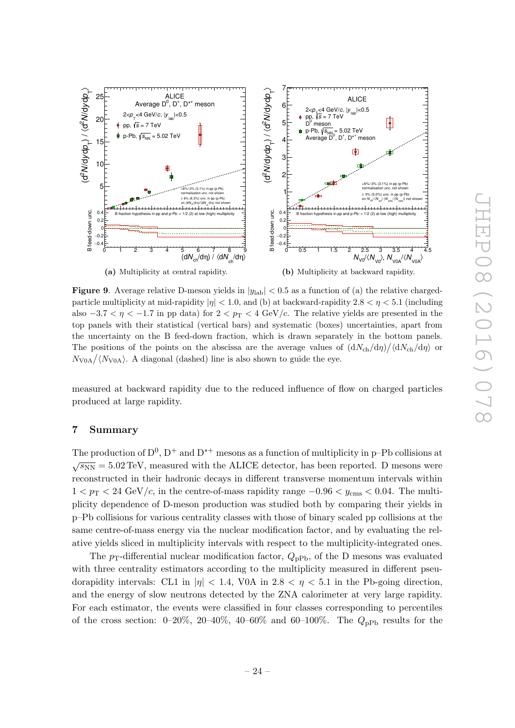<span id="page-24-1"></span>

<span id="page-24-2"></span>**Figure 9.** Average relative D-meson yields in  $|y_{lab}| < 0.5$  as a function of (a) the relative chargedparticle multiplicity at mid-rapidity  $|\eta| < 1.0$ , and (b) at backward-rapidity  $2.8 < \eta < 5.1$  (including also  $-3.7 < \eta < -1.7$  in pp data) for  $2 < p_T < 4$  GeV/c. The relative yields are presented in the top panels with their statistical (vertical bars) and systematic (boxes) uncertainties, apart from the uncertainty on the B feed-down fraction, which is drawn separately in the bottom panels. The positions of the points on the abscissa are the average values of  $(dN_{ch}/d\eta)/\langle dN_{ch}/d\eta \rangle$  or  $N_{\text{VOA}}/ \langle N_{\text{VOA}} \rangle$ . A diagonal (dashed) line is also shown to guide the eye.

measured at backward rapidity due to the reduced influence of flow on charged particles produced at large rapidity.

# <span id="page-24-0"></span>7 Summary

The production of  $D^0$ ,  $D^+$  and  $D^{*+}$  mesons as a function of multiplicity in p–Pb collisions at  $\sqrt{s_{NN}} = 5.02 \text{ TeV}$ , measured with the ALICE detector, has been reported. D mesons were reconstructed in their hadronic decays in different transverse momentum intervals within  $1 < p_{\rm T} < 24$  GeV/c, in the centre-of-mass rapidity range  $-0.96 < y_{\rm cms} < 0.04$ . The multiplicity dependence of D-meson production was studied both by comparing their yields in p–Pb collisions for various centrality classes with those of binary scaled pp collisions at the same centre-of-mass energy via the nuclear modification factor, and by evaluating the relative yields sliced in multiplicity intervals with respect to the multiplicity-integrated ones.

The  $p_T$ -differential nuclear modification factor,  $Q_{\text{pPb}}$ , of the D mesons was evaluated with three centrality estimators according to the multiplicity measured in different pseudorapidity intervals: CL1 in  $|\eta|$  < 1.4, V0A in 2.8 <  $\eta$  < 5.1 in the Pb-going direction, and the energy of slow neutrons detected by the ZNA calorimeter at very large rapidity. For each estimator, the events were classified in four classes corresponding to percentiles of the cross section:  $0-20\%$ ,  $20-40\%$ ,  $40-60\%$  and  $60-100\%$ . The  $Q_{pPb}$  results for the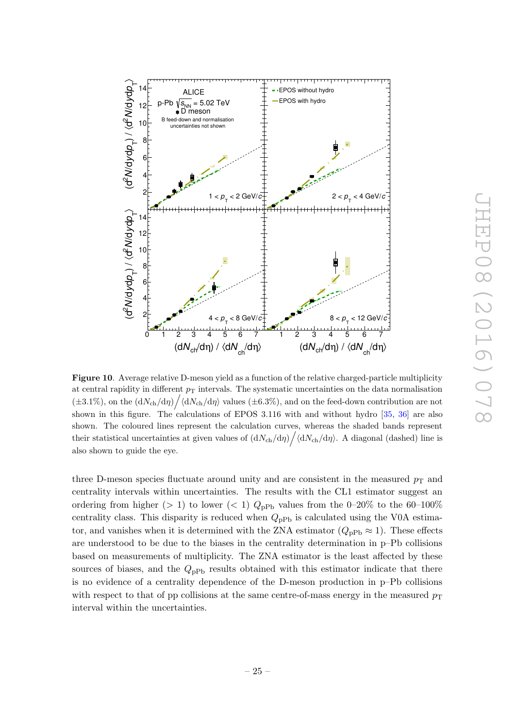<span id="page-25-0"></span>

Figure 10. Average relative D-meson yield as a function of the relative charged-particle multiplicity at central rapidity in different  $p<sub>T</sub>$  intervals. The systematic uncertainties on the data normalisation  $(\pm 3.1\%)$ , on the  $(dN_{ch}/d\eta)/\langle dN_{ch}/d\eta \rangle$  values  $(\pm 6.3\%)$ , and on the feed-down contribution are not shown in this figure. The calculations of EPOS 3.116 with and without hydro [\[35,](#page-34-1) [36\]](#page-34-2) are also shown. The coloured lines represent the calculation curves, whereas the shaded bands represent their statistical uncertainties at given values of  $(dN_{ch}/d\eta)/\langle dN_{ch}/d\eta \rangle$ . A diagonal (dashed) line is also shown to guide the eye.

three D-meson species fluctuate around unity and are consistent in the measured  $p_T$  and centrality intervals within uncertainties. The results with the CL1 estimator suggest an ordering from higher (> 1) to lower (< 1)  $Q_{\text{pPb}}$  values from the 0–20% to the 60–100% centrality class. This disparity is reduced when  $Q_{\text{pPb}}$  is calculated using the V0A estimator, and vanishes when it is determined with the ZNA estimator  $(Q_{pPb} \approx 1)$ . These effects are understood to be due to the biases in the centrality determination in p–Pb collisions based on measurements of multiplicity. The ZNA estimator is the least affected by these sources of biases, and the  $Q_{\text{pPb}}$  results obtained with this estimator indicate that there is no evidence of a centrality dependence of the D-meson production in p–Pb collisions with respect to that of pp collisions at the same centre-of-mass energy in the measured  $p_T$ interval within the uncertainties.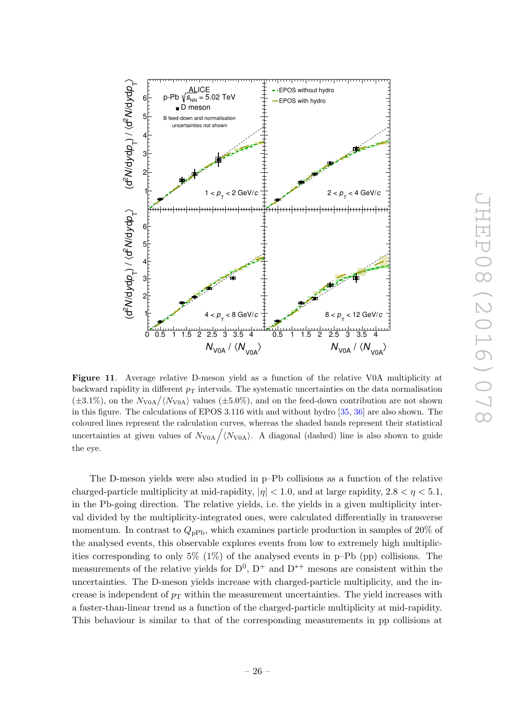<span id="page-26-0"></span>

Figure 11. Average relative D-meson yield as a function of the relative V0A multiplicity at backward rapidity in different  $p<sub>T</sub>$  intervals. The systematic uncertainties on the data normalisation  $(\pm 3.1\%)$ , on the  $N_{\text{VOA}}/ \langle N_{\text{VOA}} \rangle$  values ( $\pm 5.0\%$ ), and on the feed-down contribution are not shown in this figure. The calculations of EPOS 3.116 with and without hydro [\[35,](#page-34-1) [36\]](#page-34-2) are also shown. The coloured lines represent the calculation curves, whereas the shaded bands represent their statistical uncertainties at given values of  $N_{\text{VOA}} / \langle N_{\text{VOA}} \rangle$ . A diagonal (dashed) line is also shown to guide the eye.

The D-meson yields were also studied in p–Pb collisions as a function of the relative charged-particle multiplicity at mid-rapidity,  $|\eta| < 1.0$ , and at large rapidity,  $2.8 < \eta < 5.1$ , in the Pb-going direction. The relative yields, i.e. the yields in a given multiplicity interval divided by the multiplicity-integrated ones, were calculated differentially in transverse momentum. In contrast to  $Q_{\text{pPb}}$ , which examines particle production in samples of 20% of the analysed events, this observable explores events from low to extremely high multiplicities corresponding to only 5%  $(1\%)$  of the analysed events in p–Pb (pp) collisions. The measurements of the relative yields for  $D^0$ ,  $D^+$  and  $D^{*+}$  mesons are consistent within the uncertainties. The D-meson yields increase with charged-particle multiplicity, and the increase is independent of  $p<sub>T</sub>$  within the measurement uncertainties. The yield increases with a faster-than-linear trend as a function of the charged-particle multiplicity at mid-rapidity. This behaviour is similar to that of the corresponding measurements in pp collisions at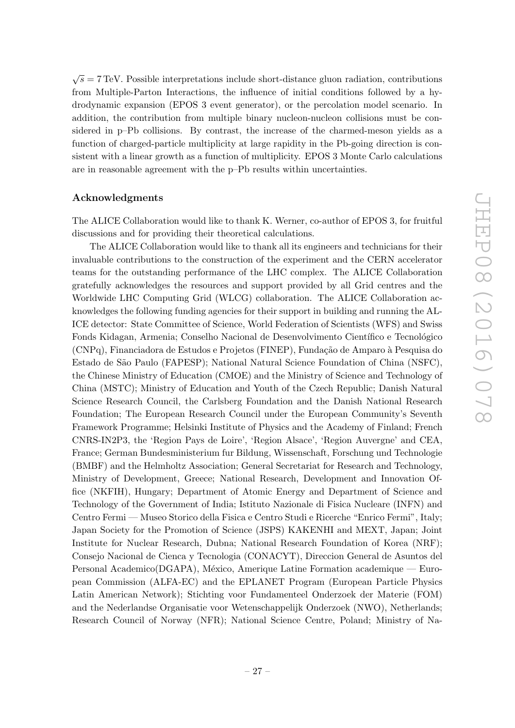$\sqrt{s} = 7$  TeV. Possible interpretations include short-distance gluon radiation, contributions from Multiple-Parton Interactions, the influence of initial conditions followed by a hydrodynamic expansion (EPOS 3 event generator), or the percolation model scenario. In addition, the contribution from multiple binary nucleon-nucleon collisions must be considered in p–Pb collisions. By contrast, the increase of the charmed-meson yields as a function of charged-particle multiplicity at large rapidity in the Pb-going direction is consistent with a linear growth as a function of multiplicity. EPOS 3 Monte Carlo calculations are in reasonable agreement with the p–Pb results within uncertainties.

#### Acknowledgments

The ALICE Collaboration would like to thank K. Werner, co-author of EPOS 3, for fruitful discussions and for providing their theoretical calculations.

The ALICE Collaboration would like to thank all its engineers and technicians for their invaluable contributions to the construction of the experiment and the CERN accelerator teams for the outstanding performance of the LHC complex. The ALICE Collaboration gratefully acknowledges the resources and support provided by all Grid centres and the Worldwide LHC Computing Grid (WLCG) collaboration. The ALICE Collaboration acknowledges the following funding agencies for their support in building and running the AL-ICE detector: State Committee of Science, World Federation of Scientists (WFS) and Swiss Fonds Kidagan, Armenia; Conselho Nacional de Desenvolvimento Científico e Tecnológico (CNPq), Financiadora de Estudos e Projetos (FINEP), Fundação de Amparo à Pesquisa do Estado de S˜ao Paulo (FAPESP); National Natural Science Foundation of China (NSFC), the Chinese Ministry of Education (CMOE) and the Ministry of Science and Technology of China (MSTC); Ministry of Education and Youth of the Czech Republic; Danish Natural Science Research Council, the Carlsberg Foundation and the Danish National Research Foundation; The European Research Council under the European Community's Seventh Framework Programme; Helsinki Institute of Physics and the Academy of Finland; French CNRS-IN2P3, the 'Region Pays de Loire', 'Region Alsace', 'Region Auvergne' and CEA, France; German Bundesministerium fur Bildung, Wissenschaft, Forschung und Technologie (BMBF) and the Helmholtz Association; General Secretariat for Research and Technology, Ministry of Development, Greece; National Research, Development and Innovation Office (NKFIH), Hungary; Department of Atomic Energy and Department of Science and Technology of the Government of India; Istituto Nazionale di Fisica Nucleare (INFN) and Centro Fermi — Museo Storico della Fisica e Centro Studi e Ricerche "Enrico Fermi", Italy; Japan Society for the Promotion of Science (JSPS) KAKENHI and MEXT, Japan; Joint Institute for Nuclear Research, Dubna; National Research Foundation of Korea (NRF); Consejo Nacional de Cienca y Tecnologia (CONACYT), Direccion General de Asuntos del Personal Academico(DGAPA), México, Amerique Latine Formation academique — European Commission (ALFA-EC) and the EPLANET Program (European Particle Physics Latin American Network); Stichting voor Fundamenteel Onderzoek der Materie (FOM) and the Nederlandse Organisatie voor Wetenschappelijk Onderzoek (NWO), Netherlands; Research Council of Norway (NFR); National Science Centre, Poland; Ministry of Na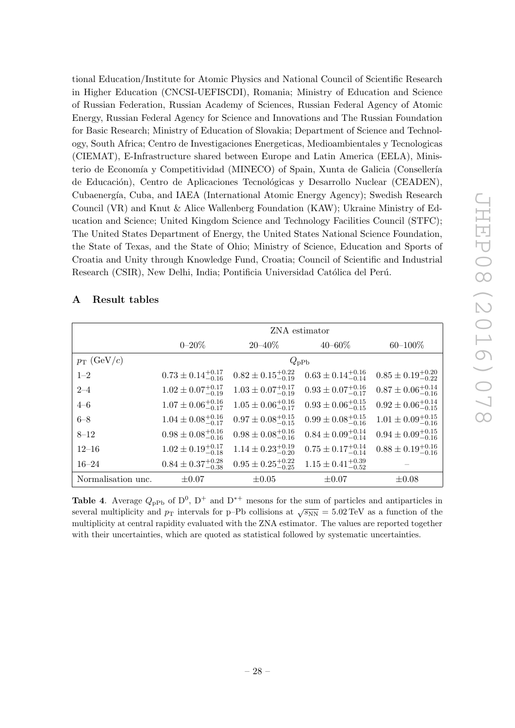tional Education/Institute for Atomic Physics and National Council of Scientific Research in Higher Education (CNCSI-UEFISCDI), Romania; Ministry of Education and Science of Russian Federation, Russian Academy of Sciences, Russian Federal Agency of Atomic Energy, Russian Federal Agency for Science and Innovations and The Russian Foundation for Basic Research; Ministry of Education of Slovakia; Department of Science and Technology, South Africa; Centro de Investigaciones Energeticas, Medioambientales y Tecnologicas (CIEMAT), E-Infrastructure shared between Europe and Latin America (EELA), Ministerio de Economía y Competitividad (MINECO) of Spain, Xunta de Galicia (Consellería de Educación), Centro de Aplicaciones Tecnológicas y Desarrollo Nuclear (CEADEN), Cubaenergía, Cuba, and IAEA (International Atomic Energy Agency); Swedish Research Council (VR) and Knut & Alice Wallenberg Foundation (KAW); Ukraine Ministry of Education and Science; United Kingdom Science and Technology Facilities Council (STFC); The United States Department of Energy, the United States National Science Foundation, the State of Texas, and the State of Ohio; Ministry of Science, Education and Sports of Croatia and Unity through Knowledge Fund, Croatia; Council of Scientific and Industrial Research (CSIR), New Delhi, India; Pontificia Universidad Católica del Perú.

<span id="page-28-1"></span>

|                    |                                 |                                 | ZNA estimator                   |                                 |
|--------------------|---------------------------------|---------------------------------|---------------------------------|---------------------------------|
|                    | $0 - 20\%$                      | $20\text{--}40\%$               | $40 - 60\%$                     | $60 - 100\%$                    |
| $p_T$ (GeV/c)      |                                 |                                 | $Q_{\rm pPb}$                   |                                 |
| $1 - 2$            | $0.73 \pm 0.14_{-0.16}^{+0.17}$ | $0.82 \pm 0.15_{-0.19}^{+0.22}$ | $0.63 \pm 0.14_{-0.14}^{+0.16}$ | $0.85 \pm 0.19_{-0.22}^{+0.20}$ |
| $2 - 4$            | $1.02 \pm 0.07_{-0.19}^{+0.17}$ | $1.03 \pm 0.07_{-0.19}^{+0.17}$ | $0.93 \pm 0.07_{-0.17}^{+0.16}$ | $0.87 \pm 0.06_{-0.16}^{+0.14}$ |
| $4 - 6$            | $1.07 \pm 0.06_{-0.17}^{+0.16}$ | $1.05 \pm 0.06_{-0.17}^{+0.16}$ | $0.93 \pm 0.06_{-0.15}^{+0.15}$ | $0.92 \pm 0.06_{-0.15}^{+0.14}$ |
| $6 - 8$            | $1.04 \pm 0.08_{-0.17}^{+0.16}$ | $0.97 \pm 0.08_{-0.15}^{+0.15}$ | $0.99 \pm 0.08_{-0.16}^{+0.15}$ | $1.01 \pm 0.09_{-0.16}^{+0.15}$ |
| $8 - 12$           | $0.98 \pm 0.08_{-0.16}^{+0.16}$ | $0.98 \pm 0.08_{-0.16}^{+0.16}$ | $0.84 \pm 0.09_{-0.14}^{+0.14}$ | $0.94 \pm 0.09_{-0.16}^{+0.15}$ |
| $12 - 16$          | $1.02 \pm 0.19_{-0.18}^{+0.17}$ | $1.14 \pm 0.23_{-0.20}^{+0.19}$ | $0.75 \pm 0.17_{-0.14}^{+0.14}$ | $0.88 \pm 0.19_{-0.16}^{+0.16}$ |
| $16 - 24$          | $0.84 \pm 0.37_{-0.38}^{+0.28}$ | $0.95 \pm 0.25_{-0.25}^{+0.22}$ | $1.15 \pm 0.41_{-0.52}^{+0.39}$ |                                 |
| Normalisation unc. | $\pm 0.07$                      | $\pm 0.05$                      | $\pm 0.07$                      | $\pm 0.08$                      |

# <span id="page-28-0"></span>A Result tables

Table 4. Average  $Q_{\text{pPb}}$  of  $D^0$ ,  $D^+$  and  $D^{*+}$  mesons for the sum of particles and antiparticles in several multiplicity and  $p_T$  intervals for p–Pb collisions at  $\sqrt{s_{NN}} = 5.02 \text{ TeV}$  as a function of the multiplicity at central rapidity evaluated with the ZNA estimator. The values are reported together with their uncertainties, which are quoted as statistical followed by systematic uncertainties.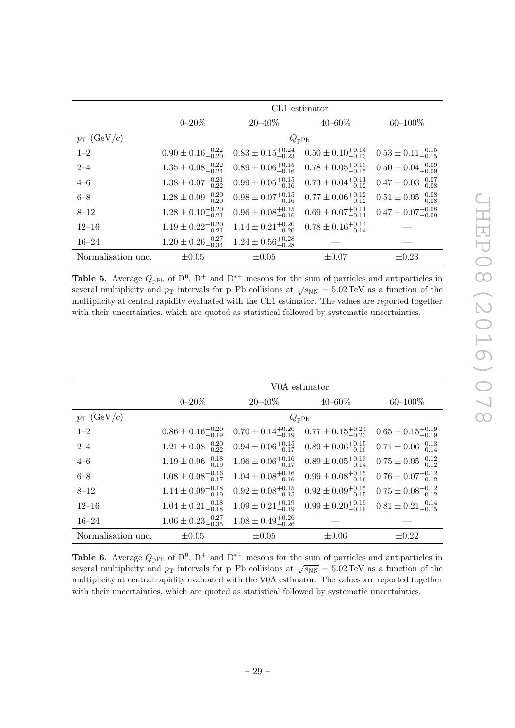<span id="page-29-0"></span>

|                     |                                 | CL1 estimator                   |                                 |                                 |
|---------------------|---------------------------------|---------------------------------|---------------------------------|---------------------------------|
|                     | $0 - 20\%$                      | $20 - 40\%$                     | $40 - 60\%$                     | $60 - 100\%$                    |
| $p_{\rm T}$ (GeV/c) |                                 | $Q_{\rm pPb}$                   |                                 |                                 |
| $1 - 2$             | $0.90 \pm 0.16_{-0.20}^{+0.22}$ | $0.83 \pm 0.15_{-0.23}^{+0.24}$ | $0.50 \pm 0.10^{+0.14}_{-0.13}$ | $0.53 \pm 0.11^{+0.15}_{-0.15}$ |
| $2 - 4$             | $1.35 \pm 0.08_{-0.24}^{+0.22}$ | $0.89 \pm 0.06_{-0.16}^{+0.15}$ | $0.78 \pm 0.05_{-0.15}^{+0.13}$ | $0.50 \pm 0.04_{-0.09}^{+0.09}$ |
| $4 - 6$             | $1.38 \pm 0.07_{-0.22}^{+0.21}$ | $0.99 \pm 0.05_{-0.16}^{+0.15}$ | $0.73 \pm 0.04_{-0.12}^{+0.11}$ | $0.47 \pm 0.03_{-0.08}^{+0.07}$ |
| $6 - 8$             | $1.28 \pm 0.09_{-0.20}^{+0.20}$ | $0.98 \pm 0.07_{-0.16}^{+0.15}$ | $0.77 \pm 0.06_{-0.12}^{+0.12}$ | $0.51 \pm 0.05_{-0.08}^{+0.08}$ |
| $8 - 12$            | $1.28 \pm 0.10^{+0.20}_{-0.21}$ | $0.96 \pm 0.08_{-0.16}^{+0.15}$ | $0.69 \pm 0.07_{-0.11}^{+0.11}$ | $0.47 \pm 0.07^{+0.08}_{-0.08}$ |
| $12 - 16$           | $1.19 \pm 0.22_{-0.21}^{+0.20}$ | $1.14 \pm 0.21_{-0.20}^{+0.20}$ | $0.78 \pm 0.16_{-0.14}^{+0.14}$ |                                 |
| $16 - 24$           | $1.20 \pm 0.26_{-0.34}^{+0.27}$ | $1.24 \pm 0.56_{-0.28}^{+0.28}$ |                                 |                                 |
| Normalisation unc.  | $\pm 0.05$                      | $\pm 0.05$                      | $\pm 0.07$                      | $\pm 0.23$                      |

Table 5. Ave several multiplicity and  $p_T$  intervals for p–Pb collisions at  $\sqrt{s_{NN}} = 5.02 \text{ TeV}$  as a function of the multiplicity at central rapidity evaluated with the CL1 estimator. The values are reported together with their uncertainties, which are quoted as statistical followed by systematic uncertainties.

 $8 - 12$ 

<span id="page-29-1"></span>

|                     |                                 |                                 | V0A estimator                   |                                 |
|---------------------|---------------------------------|---------------------------------|---------------------------------|---------------------------------|
|                     | $0 - 20\%$                      | $20 - 40\%$                     | $40 - 60\%$                     | $60 - 100\%$                    |
| $p_{\rm T}$ (GeV/c) |                                 |                                 | $Q_{\rm pPb}$                   |                                 |
| $1 - 2$             | $0.86 \pm 0.16_{-0.19}^{+0.20}$ | $0.70 \pm 0.14_{-0.19}^{+0.20}$ | $0.77 \pm 0.15_{-0.23}^{+0.24}$ | $0.65 \pm 0.15^{+0.19}_{-0.19}$ |
| $2 - 4$             | $1.21 \pm 0.08_{-0.22}^{+0.20}$ | $0.94 \pm 0.06_{-0.17}^{+0.15}$ | $0.89 \pm 0.06_{-0.16}^{+0.15}$ | $0.71 \pm 0.06_{-0.14}^{+0.13}$ |
| $4 - 6$             | $1.19 \pm 0.06_{-0.19}^{+0.18}$ | $1.06 \pm 0.06_{-0.17}^{+0.16}$ | $0.89 \pm 0.05_{-0.14}^{+0.13}$ | $0.75 \pm 0.05_{-0.12}^{+0.12}$ |
| $6 - 8$             | $1.08 \pm 0.08_{-0.17}^{+0.16}$ | $1.04 \pm 0.08_{-0.16}^{+0.16}$ | $0.99 \pm 0.08_{-0.16}^{+0.15}$ | $0.76 \pm 0.07_{-0.12}^{+0.12}$ |
| $8 - 12$            | $1.14 \pm 0.09_{-0.19}^{+0.18}$ | $0.92 \pm 0.08_{-0.15}^{+0.15}$ | $0.92 \pm 0.09_{-0.15}^{+0.15}$ | $0.75 \pm 0.08_{-0.12}^{+0.12}$ |
| $12 - 16$           | $1.04 \pm 0.21_{-0.18}^{+0.18}$ | $1.09 \pm 0.21_{-0.19}^{+0.19}$ | $0.99 \pm 0.20^{+0.19}_{-0.19}$ | $0.81 \pm 0.21_{-0.15}^{+0.14}$ |
| $16 - 24$           | $1.06 \pm 0.23_{-0.35}^{+0.27}$ | $1.08 \pm 0.49_{-0.26}^{+0.26}$ |                                 |                                 |
| Normalisation unc.  | $\pm 0.05$                      | $\pm 0.05$                      | $\pm 0.06$                      | $\pm 0.22$                      |

**Table 6.** Average  $Q_{\text{pPb}}$  of  $D^0$ ,  $D^+$  and  $D^{*+}$  mesons for the sum of particles and antiparticles in several multiplicity and  $p_T$  intervals for p–Pb collisions at  $\sqrt{s_{NN}} = 5.02 \text{ TeV}$  as a function of the multiplicity at central rapidity evaluated with the V0A estimator. The values are reported together with their uncertainties, which are quoted as statistical followed by systematic uncertainties.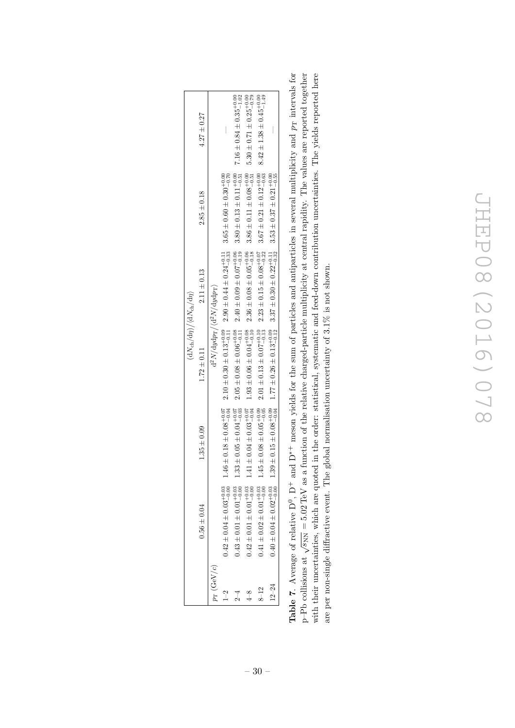| $0.41 \pm 0.02 \pm 0.01^{+0.03}_{-0.00}$<br>$0.42 \pm 0.04 \pm 0.03^{+0.03}_{-0.00}$<br>$0.43 \pm 0.01 \pm 0.01^{+0.03}_{-0.00}$<br>$0.42 \pm 0.01 \pm 0.01^{+0.03}_{-0.00}$ |  | $1.33 \pm 0.05 \pm 0.04_{-0.03}^{+0.07}$ $2.05 \pm 0.08 \pm 0.08 \pm 0.06_{-0.09}^{+0.06}$ $2.40 \pm 0.07_{-0.09}^{+0.06}$ $3.80 \pm 0.13 \pm 0.11_{-0.09}^{+0.06}$ $7.16 \pm 0.84 \pm 0.84 \pm 0.35_{-0.09}^{+0.09}$<br>$1.41 \pm 0.04 \pm 0.03^{+0.05}_{-0.01}$<br>$1.42 \pm 0.03^{+0.03}_{-0.01}$<br>$1.43 \pm 0.03^{+0.04}_{-0.01}$<br>$2.36 \pm 0.05^{+0.08}_{-0.01}$<br>$2.86 \pm 0.11 \pm 0.08^{+0.09}_{-0.01}$<br>$3.86 \pm 0.11 \pm 0.08^{+0.09}_{-0.01}$<br>$3.86 \pm 0.11 \pm 0.08^{+0.09}_{-0.01}$<br>$1.45\pm0.08\pm0.05^{+0.08}_{-0.08}~~2.01\pm0.13\pm0.13^{+0.10}_{-0.19}~~2.23\pm0.15\pm0.08^{+0.02}_{-0.02}~~3.67\pm0.21\pm0.12^{+0.00}_{-0.08}~~8.42\pm1.38\pm0.45^{+0.09}_{-0.49}~~4.38\pm0.04^{+0.00}_{-0.00}~~4.38\pm0.04^{+0.00}_{-0.00}~~4.38\pm0.04^{+0.00}_{-0.00$<br>$1.46 \pm 0.18 \pm 0.08^{+0.07}_{-0.04}$ $2.10 \pm 0.30 \pm 0.13^{+0.09}_{-0.11}$ $2.90 \pm 0.44 \pm 0.24^{+0.11}_{-0.33}$ $3.65 \pm 0.60 \pm 0.30^{+0.06}_{-0.70}$<br>$0.40 \pm 0.04 \pm 0.02^{+0.03}_{-0.00}$ $1.39 \pm 0.15 \pm 0.08^{+0.09}_{-0.04}$ $1.77 \pm 0.26 \pm 0.13^{+0.09}_{-0.12}$ $3.37 \pm 0.30 \pm 0.22^{+0.11}_{-0.32}$ $3.53 \pm 0.37 \pm 0.21^{+0.00}_{-0.55}$ |
|------------------------------------------------------------------------------------------------------------------------------------------------------------------------------|--|-------------------------------------------------------------------------------------------------------------------------------------------------------------------------------------------------------------------------------------------------------------------------------------------------------------------------------------------------------------------------------------------------------------------------------------------------------------------------------------------------------------------------------------------------------------------------------------------------------------------------------------------------------------------------------------------------------------------------------------------------------------------------------------------------------------------------------------------------------------------------------------------------------------------------------------------------------------------------------------------------------------------------------------------------------------------------------------------------------------------------------------------------------------------------------------|

 $({\rm d}N_{\rm ch}/{\rm d}\eta)/\langle{\rm d}N_{\rm ch}/{\rm d}\eta\rangle$  $0.56 \pm 0.04$   $1.35 \pm 0.09$   $1.72 \pm 0.11$   $2.11 \pm 0.13$   $2.85 \pm 0.18$   $4.27 \pm 0.27$ 

 $\left( \mathrm{d}N_{\mathrm{ch}}/\mathrm{d}\eta \right) /\langle \mathrm{d}N_{\mathrm{ch}}/\mathrm{d}\eta \rangle$ 

 $4.27\pm0.27$ 

 $2.85\pm0.18$ 

 $2.11\pm0.13$ 

 $1.72\pm0.11$ 

 $1.35\pm0.09$ 

<span id="page-30-0"></span> $0.56\pm0.04$ 

gether als for with their uncertainties, which are quoted in the order: statistical, systematic and feed-down contribution uncertainties. The yields reported here p–Pb collisions at  $\sqrt{s_\text{NN}} = 5.02$  TeV as a function of the relative charged-particle multiplicity at central rapidity. The values are reported together with their uncertainties, which are quoted in the order: statistical, systematic and feed-down contribution uncertainties. The yields reported here are per non-single diffractive event. The global normalisation uncertainty of  $3.1\%$  is not shown. are per non-single diffractive event. The global normalisation uncertainty of 3.1% is not shown.  $p-Pl$  $Ta$ 

# **JHEP08(2016)078** JHEP08(2016)078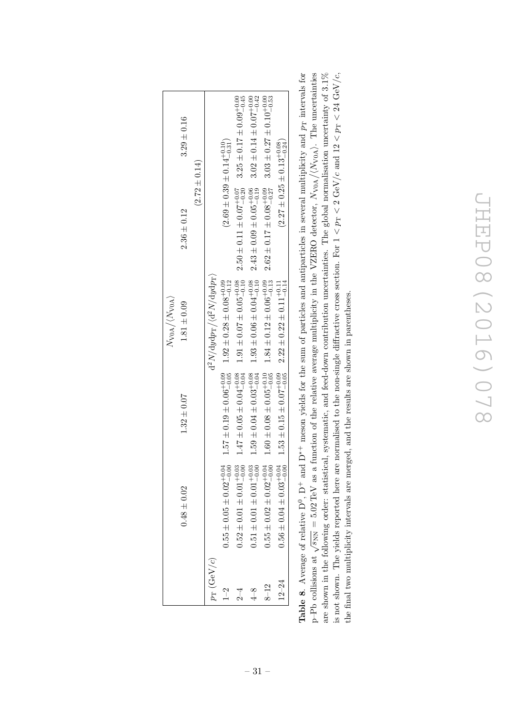|                     |                                          |                                          | $N_{\rm V0A}/\langle N_{\rm V0A}\rangle$                                                                             |                                            |                                            |
|---------------------|------------------------------------------|------------------------------------------|----------------------------------------------------------------------------------------------------------------------|--------------------------------------------|--------------------------------------------|
|                     | $0.48 \pm 0.02$                          | $1.32 \pm 0.07$                          | $1.81 \pm 0.09$                                                                                                      | $2.36 \pm 0.12$                            | $3.29 \pm 0.16$                            |
|                     |                                          |                                          |                                                                                                                      | $(2.72 \pm 0.14)$                          |                                            |
| $p_{\rm T}$ (GeV/c) |                                          |                                          | $\mathrm{d}^2N/\mathrm{d}y\mathrm{d}p_\mathrm{T}\big/\langle \mathrm{d}^2N/\mathrm{d}y\mathrm{d}p_\mathrm{T}\rangle$ |                                            |                                            |
| $\supseteq$         | $0.55 \pm 0.05 \pm 0.02^{+0.04}_{-0.00}$ | $1.57 \pm 0.19 \pm 0.06^{+0.09}_{-0.05}$ | $1.92 \pm 0.28 \pm 0.08 ^{+0.09}_{-0.12}$                                                                            |                                            | $(2.69 \pm 0.39 \pm 0.14^{+0.10}_{-0.31})$ |
| $\overline{c}$      | $0.52 \pm 0.01 \pm 0.01^{+0.03}_{-0.00}$ | $1.47 \pm 0.05 \pm 0.04^{+0.08}_{-0.04}$ | $1.91 \pm 0.07 \pm 0.05^{+0.08}_{-0.10}$                                                                             | $2.50 \pm 0.11 \pm 0.07^{+0.07}_{-0.20}$   | $3.25 \pm 0.17 \pm 0.09^{+0.00}_{-0.45}$   |
| $\frac{8}{4}$       | $0.51 \pm 0.01 \pm 0.01^{+0.03}_{-0.00}$ | $1.59 \pm 0.04 \pm 0.03_{-0.04}^{+0.08}$ | $1.93 \pm 0.06 \pm 0.04^{+0.08}_{-0.10}$                                                                             | $2.43 \pm 0.09 \pm 0.05^{+0.06}_{-0.19}$   | $3.02 \pm 0.14 \pm 0.07^{+0.00}_{-0.42}$   |
| $8 - 12$            | $0.55 \pm 0.02 \pm 0.02_{-0.00}^{+0.04}$ | $1.60 \pm 0.08 \pm 0.05^{+0.10}_{-0.05}$ | $1.84 \pm 0.12 \pm 0.06_{-0.13}^{+0.09}$                                                                             | $2.62 \pm 0.17 \pm 0.08^{+0.09}_{-0.27}$   | $3.03 \pm 0.27 \pm 0.10^{+0.00}_{-0.53}$   |
| $12 - 24$           | $0.56 \pm 0.04 \pm 0.03_{-0.00}^{+0.04}$ | $1.53 \pm 0.15 \pm 0.07^{+0.09}_{-0.05}$ | $2.22 \pm 0.22 \pm 0.11^{+0.11}_{-0.14}$                                                                             | $(2.27 \pm 0.25 \pm 0.13^{+0.08}_{-0.24})$ |                                            |
|                     |                                          |                                          |                                                                                                                      |                                            |                                            |

<span id="page-31-0"></span>**Table 8.** Average of relative  $D^0$ ,  $D^+$  and  $D^{*+}$  meson yields for the sum of particles and antiparticles in several multiplicity and  $p_T$  intervals for p-Pb collisions at  $\sqrt{s_{NN}} = 5.02$  TeV as a function of the relative average multiplicity in the VZERO detector,  $N_{V0A}/\langle N_{V0A} \rangle$ . The uncertainties are shown in the following order: statistical, systematic, and feed-down contribution uncertainties. The global normalisation uncertainty of  $3.1\%$ is not shown. The yields reported here are normalised to the non-single diffractive cross section. For  $1 < p_T < 2$  GeV/c and  $12 < p_T < 24$  GeV/c, **Table 8.** Average of relative  $D^0$ ,  $D^+$  and  $D^{*+}$  meson yields for the sum of particles and antiparticles in several multiplicity and  $p_T$  intervals for p–Pb collisions at  $\sqrt{s_{NN}} = 5.02 \text{ TeV}$  as a function of the relative average multiplicity in the VZERO detector,  $N_{V0A}/\langle N_{V0A} \rangle$ . The uncertainties are shown in the following order: statistical, systematic, and feed-down contribution uncertainties. The global normalisation uncertainty of 3.1%  $\sim$ is not shown. The yields reported here are normalised to the non-single diffractive cross section. For  $1 < p_T < 2$  GeV/c and  $12 < p_T < 24$  GeV/c, the final two multiplicity intervals are merged, and the results are shown in parentheses. the final two multiplicity intervals are merged, and the results are shown in parentheses.

# **JHEP08(2016)078** JHEP08(2016)078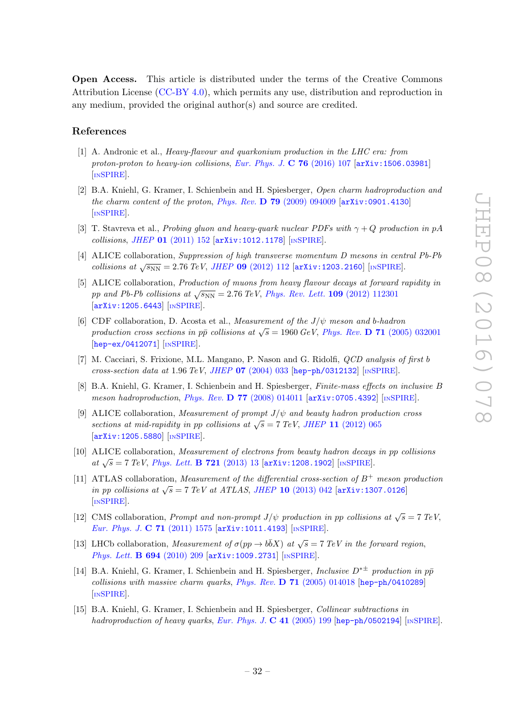Open Access. This article is distributed under the terms of the Creative Commons Attribution License [\(CC-BY 4.0\)](http://creativecommons.org/licenses/by/4.0/), which permits any use, distribution and reproduction in any medium, provided the original author(s) and source are credited.

#### References

- <span id="page-32-0"></span>[1] A. Andronic et al., Heavy-flavour and quarkonium production in the LHC era: from proton-proton to heavy-ion collisions, [Eur. Phys. J.](http://dx.doi.org/10.1140/epjc/s10052-015-3819-5)  $C$  76 (2016) 107  $[\text{arXiv}:1506.03981]$ [IN[SPIRE](http://inspirehep.net/search?p=find+EPRINT+arXiv:1506.03981)].
- <span id="page-32-1"></span>[2] B.A. Kniehl, G. Kramer, I. Schienbein and H. Spiesberger, Open charm hadroproduction and the charm content of the proton, Phys. Rev.  $\bf{D}$  79 [\(2009\) 094009](http://dx.doi.org/10.1103/PhysRevD.79.094009) [[arXiv:0901.4130](http://arxiv.org/abs/0901.4130)] [IN[SPIRE](http://inspirehep.net/search?p=find+EPRINT+arXiv:0901.4130)].
- <span id="page-32-2"></span>[3] T. Stavreva et al., Probing gluon and heavy-quark nuclear PDFs with  $\gamma + Q$  production in pA collisions, JHEP 01 [\(2011\) 152](http://dx.doi.org/10.1007/JHEP01(2011)152) [[arXiv:1012.1178](http://arxiv.org/abs/1012.1178)] [IN[SPIRE](http://inspirehep.net/search?p=find+EPRINT+arXiv:1012.1178)].
- <span id="page-32-3"></span>[4] ALICE collaboration, Suppression of high transverse momentum D mesons in central Pb-Pb collisions at  $\sqrt{s_{\rm NN}} = 2.76$  TeV, JHEP 09 [\(2012\) 112](http://dx.doi.org/10.1007/JHEP09(2012)112) [[arXiv:1203.2160](http://arxiv.org/abs/1203.2160)] [IN[SPIRE](http://inspirehep.net/search?p=find+EPRINT+arXiv:1203.2160)].
- <span id="page-32-4"></span>[5] ALICE collaboration, Production of muons from heavy flavour decays at forward rapidity in pp and Pb-Pb collisions at  $\sqrt{s_{NN}}$  = 2.76 TeV, [Phys. Rev. Lett.](http://dx.doi.org/10.1103/PhysRevLett.109.112301) 109 (2012) 112301 [[arXiv:1205.6443](http://arxiv.org/abs/1205.6443)] [IN[SPIRE](http://inspirehep.net/search?p=find+EPRINT+arXiv:1205.6443)].
- <span id="page-32-5"></span>[6] CDF collaboration, D. Acosta et al., *Measurement of the*  $J/\psi$  *meson and b-hadron* production cross sections in pp collisions at  $\sqrt{s} = 1960 \text{ GeV}$ , Phys. Rev. **D** 71 [\(2005\) 032001](http://dx.doi.org/10.1103/PhysRevD.71.032001) [[hep-ex/0412071](http://arxiv.org/abs/hep-ex/0412071)] [IN[SPIRE](http://inspirehep.net/search?p=find+EPRINT+hep-ex/0412071)].
- [7] M. Cacciari, S. Frixione, M.L. Mangano, P. Nason and G. Ridolfi, QCD analysis of first b cross-section data at 1.96 TeV, JHEP  $07$  [\(2004\) 033](http://dx.doi.org/10.1088/1126-6708/2004/07/033) [[hep-ph/0312132](http://arxiv.org/abs/hep-ph/0312132)] [IN[SPIRE](http://inspirehep.net/search?p=find+EPRINT+hep-ph/0312132)].
- <span id="page-32-6"></span>[8] B.A. Kniehl, G. Kramer, I. Schienbein and H. Spiesberger, Finite-mass effects on inclusive B meson hadroproduction, Phys. Rev. D 77 [\(2008\) 014011](http://dx.doi.org/10.1103/PhysRevD.77.014011)  $arXiv:0705.4392$  [IN[SPIRE](http://inspirehep.net/search?p=find+EPRINT+arXiv:0705.4392)].
- <span id="page-32-7"></span>[9] ALICE collaboration, Measurement of prompt  $J/\psi$  and beauty hadron production cross sections at mid-rapidity in pp collisions at  $\sqrt{s} = 7 \text{ TeV}$ , JHEP 11 [\(2012\) 065](http://dx.doi.org/10.1007/JHEP11(2012)065) [[arXiv:1205.5880](http://arxiv.org/abs/1205.5880)] [IN[SPIRE](http://inspirehep.net/search?p=find+EPRINT+arXiv:1205.5880)].
- [10] ALICE collaboration, Measurement of electrons from beauty hadron decays in pp collisions at  $\sqrt{s}$  = 7 TeV, [Phys. Lett.](http://dx.doi.org/10.1016/j.physletb.2013.01.069) **B** 721 (2013) 13 [[arXiv:1208.1902](http://arxiv.org/abs/1208.1902)] [IN[SPIRE](http://inspirehep.net/search?p=find+EPRINT+arXiv:1208.1902)].
- [11] ATLAS collaboration, *Measurement of the differential cross-section of*  $B^+$  *meson production* in pp collisions at  $\sqrt{s} = 7 \text{ TeV}$  at ATLAS, JHEP 10 [\(2013\) 042](http://dx.doi.org/10.1007/JHEP10(2013)042) [[arXiv:1307.0126](http://arxiv.org/abs/1307.0126)] [IN[SPIRE](http://inspirehep.net/search?p=find+EPRINT+arXiv:1307.0126)].
- [12] CMS collaboration, *Prompt and non-prompt J/* $\psi$  *production in pp collisions at*  $\sqrt{s} = 7 \text{ TeV}$ , [Eur. Phys. J.](http://dx.doi.org/10.1140/epjc/s10052-011-1575-8) C 71 (2011) 1575 [[arXiv:1011.4193](http://arxiv.org/abs/1011.4193)] [IN[SPIRE](http://inspirehep.net/search?p=find+EPRINT+arXiv:1011.4193)].
- <span id="page-32-8"></span>[13] LHCb collaboration, Measurement of  $\sigma(pp \to b\bar{b}X)$  at  $\sqrt{s} = 7 \; TeV$  in the forward region, [Phys. Lett.](http://dx.doi.org/10.1016/j.physletb.2010.10.010) **B 694** (2010) 209 [[arXiv:1009.2731](http://arxiv.org/abs/1009.2731)] [IN[SPIRE](http://inspirehep.net/search?p=find+EPRINT+arXiv:1009.2731)].
- <span id="page-32-9"></span>[14] B.A. Kniehl, G. Kramer, I. Schienbein and H. Spiesberger, *Inclusive*  $D^{* \pm}$  production in pp $\bar{p}$ collisions with massive charm quarks, Phys. Rev. D 71 [\(2005\) 014018](http://dx.doi.org/10.1103/PhysRevD.71.014018) [[hep-ph/0410289](http://arxiv.org/abs/hep-ph/0410289)] [IN[SPIRE](http://inspirehep.net/search?p=find+EPRINT+hep-ph/0410289)].
- <span id="page-32-10"></span>[15] B.A. Kniehl, G. Kramer, I. Schienbein and H. Spiesberger, Collinear subtractions in hadroproduction of heavy quarks, [Eur. Phys. J.](http://dx.doi.org/10.1140/epjc/s2005-02200-7) C  $41$  (2005) 199 [[hep-ph/0502194](http://arxiv.org/abs/hep-ph/0502194)] [IN[SPIRE](http://inspirehep.net/search?p=find+EPRINT+hep-ph/0502194)].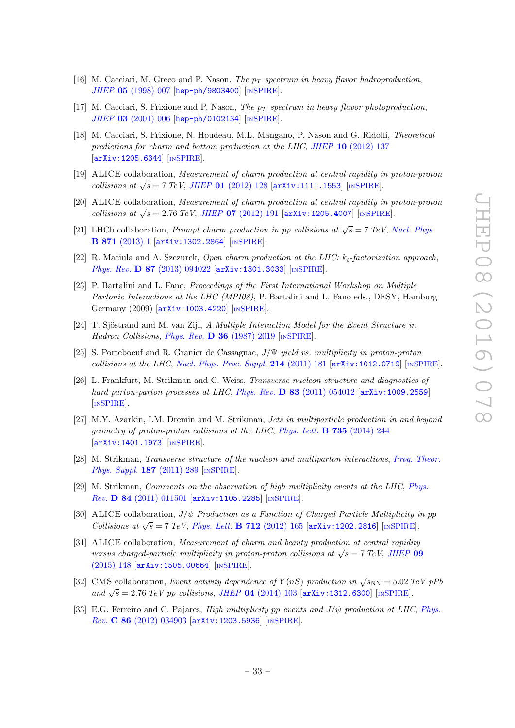- <span id="page-33-0"></span>[16] M. Cacciari, M. Greco and P. Nason, The  $p_T$  spectrum in heavy flavor hadroproduction, JHEP 05 [\(1998\) 007](http://dx.doi.org/10.1088/1126-6708/1998/05/007) [[hep-ph/9803400](http://arxiv.org/abs/hep-ph/9803400)] [IN[SPIRE](http://inspirehep.net/search?p=find+EPRINT+hep-ph/9803400)].
- [17] M. Cacciari, S. Frixione and P. Nason, The  $p_T$  spectrum in heavy flavor photoproduction, JHEP 03 [\(2001\) 006](http://dx.doi.org/10.1088/1126-6708/2001/03/006) [[hep-ph/0102134](http://arxiv.org/abs/hep-ph/0102134)] [IN[SPIRE](http://inspirehep.net/search?p=find+EPRINT+hep-ph/0102134)].
- <span id="page-33-1"></span>[18] M. Cacciari, S. Frixione, N. Houdeau, M.L. Mangano, P. Nason and G. Ridolfi, Theoretical predictions for charm and bottom production at the LHC, JHEP 10 [\(2012\) 137](http://dx.doi.org/10.1007/JHEP10(2012)137) [[arXiv:1205.6344](http://arxiv.org/abs/1205.6344)] [IN[SPIRE](http://inspirehep.net/search?p=find+EPRINT+arXiv:1205.6344)].
- <span id="page-33-2"></span>[19] ALICE collaboration, Measurement of charm production at central rapidity in proton-proton collisions at  $\sqrt{s}$  = 7 TeV, JHEP 01 [\(2012\) 128](http://dx.doi.org/10.1007/JHEP01(2012)128) [[arXiv:1111.1553](http://arxiv.org/abs/1111.1553)] [IN[SPIRE](http://inspirehep.net/search?p=find+EPRINT+arXiv:1111.1553)].
- <span id="page-33-14"></span>[20] ALICE collaboration, Measurement of charm production at central rapidity in proton-proton collisions at  $\sqrt{s}$  = 2.76 TeV, JHEP 07 [\(2012\) 191](http://dx.doi.org/10.1007/JHEP07(2012)191) [[arXiv:1205.4007](http://arxiv.org/abs/1205.4007)] [IN[SPIRE](http://inspirehep.net/search?p=find+EPRINT+arXiv:1205.4007)].
- <span id="page-33-3"></span>[21] LHCb collaboration, *Prompt charm production in pp collisions at*  $\sqrt{s} = 7 \text{ TeV}$ , *[Nucl. Phys.](http://dx.doi.org/10.1016/j.nuclphysb.2013.02.010)* B 871 [\(2013\) 1](http://dx.doi.org/10.1016/j.nuclphysb.2013.02.010) [[arXiv:1302.2864](http://arxiv.org/abs/1302.2864)] [IN[SPIRE](http://inspirehep.net/search?p=find+EPRINT+arXiv:1302.2864)].
- <span id="page-33-4"></span>[22] R. Maciula and A. Szczurek, Open charm production at the LHC:  $k_t$ -factorization approach, Phys. Rev. D 87 [\(2013\) 094022](http://dx.doi.org/10.1103/PhysRevD.87.094022) [[arXiv:1301.3033](http://arxiv.org/abs/1301.3033)] [IN[SPIRE](http://inspirehep.net/search?p=find+EPRINT+arXiv:1301.3033)].
- <span id="page-33-5"></span>[23] P. Bartalini and L. Fano, Proceedings of the First International Workshop on Multiple Partonic Interactions at the LHC (MPI08), P. Bartalini and L. Fano eds., DESY, Hamburg Germany (2009) [[arXiv:1003.4220](http://arxiv.org/abs/1003.4220)] [IN[SPIRE](http://inspirehep.net/search?p=find+IRN+8597952)].
- [24] T. Sjöstrand and M. van Zijl, A Multiple Interaction Model for the Event Structure in Hadron Collisions, Phys. Rev.  $\bf{D}$  36 [\(1987\) 2019](http://dx.doi.org/10.1103/PhysRevD.36.2019) [IN[SPIRE](http://inspirehep.net/search?p=find+J+%22Phys.Rev.,D36,2019%22)].
- <span id="page-33-6"></span>[25] S. Porteboeuf and R. Granier de Cassagnac,  $J/\Psi$  yield vs. multiplicity in proton-proton  $collisions$  at the LHC, [Nucl. Phys. Proc. Suppl.](http://dx.doi.org/10.1016/j.nuclphysBPS.2011.03.082) 214 (2011) 181  $[arXiv:1012.0719]$  $[arXiv:1012.0719]$  $[arXiv:1012.0719]$   $[nsPIRE]$ .
- <span id="page-33-7"></span>[26] L. Frankfurt, M. Strikman and C. Weiss, Transverse nucleon structure and diagnostics of hard parton-parton processes at LHC, Phys. Rev.  $D$  83 [\(2011\) 054012](http://dx.doi.org/10.1103/PhysRevD.83.054012) [[arXiv:1009.2559](http://arxiv.org/abs/1009.2559)] [IN[SPIRE](http://inspirehep.net/search?p=find+EPRINT+arXiv:1009.2559)].
- [27] M.Y. Azarkin, I.M. Dremin and M. Strikman, Jets in multiparticle production in and beyond geometry of proton-proton collisions at the LHC, [Phys. Lett.](http://dx.doi.org/10.1016/j.physletb.2014.06.040) B 735 (2014) 244 [[arXiv:1401.1973](http://arxiv.org/abs/1401.1973)] [IN[SPIRE](http://inspirehep.net/search?p=find+EPRINT+arXiv:1401.1973)].
- <span id="page-33-8"></span>[28] M. Strikman, Transverse structure of the nucleon and multiparton interactions, [Prog. Theor.](http://dx.doi.org/10.1143/PTPS.187.289) [Phys. Suppl.](http://dx.doi.org/10.1143/PTPS.187.289) **187** (2011) 289 [IN[SPIRE](http://inspirehep.net/search?p=find+J+%22Prog.Theor.Phys.Suppl.,187,289%22)].
- <span id="page-33-9"></span>[29] M. Strikman, Comments on the observation of high multiplicity events at the LHC, [Phys.](http://dx.doi.org/10.1103/PhysRevD.84.011501) Rev. D 84 [\(2011\) 011501](http://dx.doi.org/10.1103/PhysRevD.84.011501) [[arXiv:1105.2285](http://arxiv.org/abs/1105.2285)] [IN[SPIRE](http://inspirehep.net/search?p=find+EPRINT+arXiv:1105.2285)].
- <span id="page-33-10"></span>[30] ALICE collaboration,  $J/\psi$  Production as a Function of Charged Particle Multiplicity in pp Collisions at  $\sqrt{s} = 7$  TeV, [Phys. Lett.](http://dx.doi.org/10.1016/j.physletb.2012.04.052) B 712 (2012) 165 [[arXiv:1202.2816](http://arxiv.org/abs/1202.2816)] [IN[SPIRE](http://inspirehep.net/search?p=find+EPRINT+arXiv:1202.2816)].
- <span id="page-33-11"></span>[31] ALICE collaboration, Measurement of charm and beauty production at central rapidity versus charged-particle multiplicity in proton-proton collisions at  $\sqrt{s} = 7$  TeV, [JHEP](http://dx.doi.org/10.1007/JHEP09(2015)148) 09 [\(2015\) 148](http://dx.doi.org/10.1007/JHEP09(2015)148) [[arXiv:1505.00664](http://arxiv.org/abs/1505.00664)] [IN[SPIRE](http://inspirehep.net/search?p=find+EPRINT+arXiv:1505.00664)].
- <span id="page-33-12"></span>[32] CMS collaboration, Event activity dependence of  $Y(nS)$  production in  $\sqrt{s_{NN}} = 5.02 \text{ TeV } pPb$ and  $\sqrt{s} = 2.76 \text{ TeV}$  pp collisions, JHEP 04 [\(2014\) 103](http://dx.doi.org/10.1007/JHEP04(2014)103) [[arXiv:1312.6300](http://arxiv.org/abs/1312.6300)] [IN[SPIRE](http://inspirehep.net/search?p=find+EPRINT+arXiv:1312.6300)].
- <span id="page-33-13"></span>[33] E.G. Ferreiro and C. Pajares, *High multiplicity pp events and*  $J/\psi$  *production at LHC, [Phys.](http://dx.doi.org/10.1103/PhysRevC.86.034903)* Rev. C 86 [\(2012\) 034903](http://dx.doi.org/10.1103/PhysRevC.86.034903) [[arXiv:1203.5936](http://arxiv.org/abs/1203.5936)] [IN[SPIRE](http://inspirehep.net/search?p=find+EPRINT+arXiv:1203.5936)].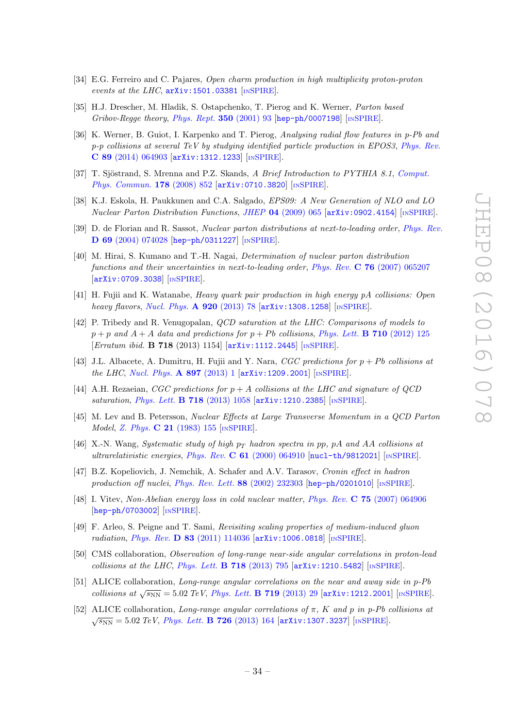- <span id="page-34-0"></span>[34] E.G. Ferreiro and C. Pajares, Open charm production in high multiplicity proton-proton events at the LHC,  $arXiv:1501.03381$  [IN[SPIRE](http://inspirehep.net/search?p=find+EPRINT+arXiv:1501.03381)].
- <span id="page-34-1"></span>[35] H.J. Drescher, M. Hladik, S. Ostapchenko, T. Pierog and K. Werner, Parton based Gribov-Regge theory, [Phys. Rept.](http://dx.doi.org/10.1016/S0370-1573(00)00122-8) 350 (2001) 93  $[hep-ph/0007198]$  $[hep-ph/0007198]$  $[hep-ph/0007198]$   $[NSPIRE]$  $[NSPIRE]$  $[NSPIRE]$ .
- <span id="page-34-2"></span>[36] K. Werner, B. Guiot, I. Karpenko and T. Pierog, Analysing radial flow features in p-Pb and  $p-p$  collisions at several TeV by studying identified particle production in EPOS3, [Phys. Rev.](http://dx.doi.org/10.1103/PhysRevC.89.064903) C 89 [\(2014\) 064903](http://dx.doi.org/10.1103/PhysRevC.89.064903) [[arXiv:1312.1233](http://arxiv.org/abs/1312.1233)] [IN[SPIRE](http://inspirehep.net/search?p=find+EPRINT+arXiv:1312.1233)].
- <span id="page-34-3"></span>[37] T. Sjöstrand, S. Mrenna and P.Z. Skands, A Brief Introduction to PYTHIA 8.1, [Comput.](http://dx.doi.org/10.1016/j.cpc.2008.01.036) [Phys. Commun.](http://dx.doi.org/10.1016/j.cpc.2008.01.036) 178 (2008) 852 [[arXiv:0710.3820](http://arxiv.org/abs/0710.3820)] [IN[SPIRE](http://inspirehep.net/search?p=find+EPRINT+arXiv:0710.3820)].
- <span id="page-34-4"></span>[38] K.J. Eskola, H. Paukkunen and C.A. Salgado, EPS09: A New Generation of NLO and LO Nuclear Parton Distribution Functions, JHEP 04 [\(2009\) 065](http://dx.doi.org/10.1088/1126-6708/2009/04/065) [[arXiv:0902.4154](http://arxiv.org/abs/0902.4154)] [IN[SPIRE](http://inspirehep.net/search?p=find+EPRINT+arXiv:0902.4154)].
- [39] D. de Florian and R. Sassot, Nuclear parton distributions at next-to-leading order, [Phys. Rev.](http://dx.doi.org/10.1103/PhysRevD.69.074028) D 69 [\(2004\) 074028](http://dx.doi.org/10.1103/PhysRevD.69.074028) [[hep-ph/0311227](http://arxiv.org/abs/hep-ph/0311227)] [IN[SPIRE](http://inspirehep.net/search?p=find+EPRINT+hep-ph/0311227)].
- <span id="page-34-5"></span>[40] M. Hirai, S. Kumano and T.-H. Nagai, Determination of nuclear parton distribution functions and their uncertainties in next-to-leading order, Phys. Rev. C 76 [\(2007\) 065207](http://dx.doi.org/10.1103/PhysRevC.76.065207) [[arXiv:0709.3038](http://arxiv.org/abs/0709.3038)] [IN[SPIRE](http://inspirehep.net/search?p=find+EPRINT+arXiv:0709.3038)].
- <span id="page-34-6"></span>[41] H. Fujii and K. Watanabe, Heavy quark pair production in high energy pA collisions: Open heavy flavors, [Nucl. Phys.](http://dx.doi.org/10.1016/j.nuclphysa.2013.10.006) A 920 (2013) 78 [[arXiv:1308.1258](http://arxiv.org/abs/1308.1258)] [IN[SPIRE](http://inspirehep.net/search?p=find+EPRINT+arXiv:1308.1258)].
- [42] P. Tribedy and R. Venugopalan, QCD saturation at the LHC: Comparisons of models to  $p + p$  and  $A + A$  data and predictions for  $p + Pb$  collisions, [Phys. Lett.](http://dx.doi.org/10.1016/j.physletb.2012.02.047) **B** 710 (2012) 125 [Erratum ibid. **B 718** (2013) 1154] [[arXiv:1112.2445](http://arxiv.org/abs/1112.2445)] [IN[SPIRE](http://inspirehep.net/search?p=find+EPRINT+arXiv:1112.2445)].
- [43] J.L. Albacete, A. Dumitru, H. Fujii and Y. Nara, *CGC predictions for*  $p + Pb$  collisions at the LHC, [Nucl. Phys.](http://dx.doi.org/10.1016/j.nuclphysa.2012.09.012)  $A 897 (2013) 1$  [[arXiv:1209.2001](http://arxiv.org/abs/1209.2001)] [IN[SPIRE](http://inspirehep.net/search?p=find+EPRINT+arXiv:1209.2001)].
- <span id="page-34-7"></span>[44] A.H. Rezaeian, CGC predictions for  $p + A$  collisions at the LHC and signature of QCD saturation, *Phys. Lett.* **B 718** [\(2013\) 1058](http://dx.doi.org/10.1016/j.physletb.2012.11.066) [[arXiv:1210.2385](http://arxiv.org/abs/1210.2385)] [IN[SPIRE](http://inspirehep.net/search?p=find+EPRINT+arXiv:1210.2385)].
- <span id="page-34-8"></span>[45] M. Lev and B. Petersson, Nuclear Effects at Large Transverse Momentum in a QCD Parton Model, Z. Phys. C 21 [\(1983\) 155](http://dx.doi.org/10.1007/BF01648792) [IN[SPIRE](http://inspirehep.net/search?p=find+IRN+1078887)].
- <span id="page-34-13"></span>[46] X.-N. Wang, Systematic study of high  $p_T$  hadron spectra in pp, pA and AA collisions at ultrarelativistic energies, Phys. Rev. C 61 [\(2000\) 064910](http://dx.doi.org/10.1103/PhysRevC.61.064910)  $\lceil \text{nucl-th}/9812021 \rceil \lceil \text{msPIRE} \rceil$ .
- <span id="page-34-9"></span>[47] B.Z. Kopeliovich, J. Nemchik, A. Schafer and A.V. Tarasov, Cronin effect in hadron production off nuclei, [Phys. Rev. Lett.](http://dx.doi.org/10.1103/PhysRevLett.88.232303) 88 (2002) 232303 [[hep-ph/0201010](http://arxiv.org/abs/hep-ph/0201010)] [IN[SPIRE](http://inspirehep.net/search?p=find+EPRINT+hep-ph/0201010)].
- <span id="page-34-10"></span>[48] I. Vitev, Non-Abelian energy loss in cold nuclear matter, Phys. Rev. C 75 [\(2007\) 064906](http://dx.doi.org/10.1103/PhysRevC.75.064906) [[hep-ph/0703002](http://arxiv.org/abs/hep-ph/0703002)] [IN[SPIRE](http://inspirehep.net/search?p=find+EPRINT+hep-ph/0703002)].
- <span id="page-34-11"></span>[49] F. Arleo, S. Peigne and T. Sami, Revisiting scaling properties of medium-induced gluon radiation, *Phys. Rev.* **D 83** [\(2011\) 114036](http://dx.doi.org/10.1103/PhysRevD.83.114036)  $\left[$ [arXiv:1006.0818](http://arxiv.org/abs/1006.0818) $\right]$   $\left[$ IN[SPIRE](http://inspirehep.net/search?p=find+EPRINT+arXiv:1006.0818).
- <span id="page-34-12"></span>[50] CMS collaboration, Observation of long-range near-side angular correlations in proton-lead collisions at the LHC, [Phys. Lett.](http://dx.doi.org/10.1016/j.physletb.2012.11.025) **B 718** (2013) 795  $\left[$ [arXiv:1210.5482](http://arxiv.org/abs/1210.5482) $\right]$   $\left[$ IN[SPIRE](http://inspirehep.net/search?p=find+EPRINT+arXiv:1210.5482) $\right]$ .
- [51] ALICE collaboration, Long-range angular correlations on the near and away side in p-Pb collisions at  $\sqrt{s_{\rm NN}}$  = 5.02 TeV, [Phys. Lett.](http://dx.doi.org/10.1016/j.physletb.2013.01.012) **B** 719 (2013) 29 [[arXiv:1212.2001](http://arxiv.org/abs/1212.2001)] [IN[SPIRE](http://inspirehep.net/search?p=find+EPRINT+arXiv:1212.2001)].
- [52] ALICE collaboration, Long-range angular correlations of  $\pi$ , K and p in p-Pb collisions at  $\sqrt{s_{NN}} = 5.02 \text{ TeV}, \text{Phys. Lett. } \mathbf{B}$  $\sqrt{s_{NN}} = 5.02 \text{ TeV}, \text{Phys. Lett. } \mathbf{B}$  $\sqrt{s_{NN}} = 5.02 \text{ TeV}, \text{Phys. Lett. } \mathbf{B}$  726 (2013) 164 [[arXiv:1307.3237](http://arxiv.org/abs/1307.3237)] [IN[SPIRE](http://inspirehep.net/search?p=find+EPRINT+arXiv:1307.3237)].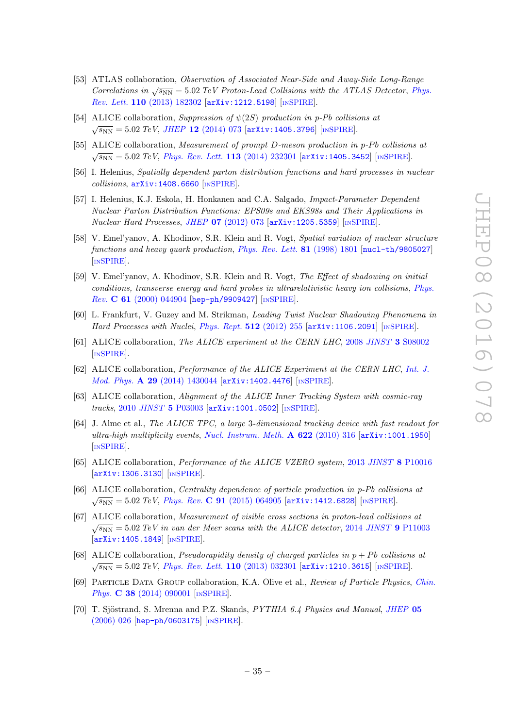- <span id="page-35-0"></span>[53] ATLAS collaboration, Observation of Associated Near-Side and Away-Side Long-Range Correlations in  $\sqrt{s_{NN}} = 5.02 \text{ TeV}$  Proton-Lead Collisions with the ATLAS Detector, [Phys.](http://dx.doi.org/10.1103/PhysRevLett.110.182302) Rev. Lett. 110 [\(2013\) 182302](http://dx.doi.org/10.1103/PhysRevLett.110.182302) [[arXiv:1212.5198](http://arxiv.org/abs/1212.5198)] [IN[SPIRE](http://inspirehep.net/search?p=find+EPRINT+arXiv:1212.5198)].
- <span id="page-35-1"></span>[54] ALICE collaboration, Suppression of  $\psi(2S)$  production in p-Pb collisions at  $\sqrt{s_{\rm NN}} = 5.02 \text{ TeV}, \text{ JHEP } 12 \text{ (2014) } 073 \text{ [arXiv:1405.3796] }$  $\sqrt{s_{\rm NN}} = 5.02 \text{ TeV}, \text{ JHEP } 12 \text{ (2014) } 073 \text{ [arXiv:1405.3796] }$  $\sqrt{s_{\rm NN}} = 5.02 \text{ TeV}, \text{ JHEP } 12 \text{ (2014) } 073 \text{ [arXiv:1405.3796] }$  [IN[SPIRE](http://inspirehep.net/search?p=find+EPRINT+arXiv:1405.3796)].
- <span id="page-35-2"></span>[55] ALICE collaboration, *Measurement of prompt D-meson production in p-Pb collisions at*  $\sqrt{s_{NN}} = 5.02 \text{ TeV}, \text{Phys. Rev. Lett. 113 (2014) 232301 [arXiv:1405.3452] [INSPIRE].}$  $\sqrt{s_{NN}} = 5.02 \text{ TeV}, \text{Phys. Rev. Lett. 113 (2014) 232301 [arXiv:1405.3452] [INSPIRE].}$  $\sqrt{s_{NN}} = 5.02 \text{ TeV}, \text{Phys. Rev. Lett. 113 (2014) 232301 [arXiv:1405.3452] [INSPIRE].}$  $\sqrt{s_{NN}} = 5.02 \text{ TeV}, \text{Phys. Rev. Lett. 113 (2014) 232301 [arXiv:1405.3452] [INSPIRE].}$  $\sqrt{s_{NN}} = 5.02 \text{ TeV}, \text{Phys. Rev. Lett. 113 (2014) 232301 [arXiv:1405.3452] [INSPIRE].}$  $\sqrt{s_{NN}} = 5.02 \text{ TeV}, \text{Phys. Rev. Lett. 113 (2014) 232301 [arXiv:1405.3452] [INSPIRE].}$  $\sqrt{s_{NN}} = 5.02 \text{ TeV}, \text{Phys. Rev. Lett. 113 (2014) 232301 [arXiv:1405.3452] [INSPIRE].}$
- <span id="page-35-3"></span>[56] I. Helenius, Spatially dependent parton distribution functions and hard processes in nuclear collisions, [arXiv:1408.6660](http://arxiv.org/abs/1408.6660) [IN[SPIRE](http://inspirehep.net/search?p=find+EPRINT+arXiv:1408.6660)].
- [57] I. Helenius, K.J. Eskola, H. Honkanen and C.A. Salgado, Impact-Parameter Dependent Nuclear Parton Distribution Functions: EPS09s and EKS98s and Their Applications in Nuclear Hard Processes, JHEP 07 [\(2012\) 073](http://dx.doi.org/10.1007/JHEP07(2012)073) [[arXiv:1205.5359](http://arxiv.org/abs/1205.5359)] [IN[SPIRE](http://inspirehep.net/search?p=find+EPRINT+arXiv:1205.5359)].
- [58] V. Emel'yanov, A. Khodinov, S.R. Klein and R. Vogt, Spatial variation of nuclear structure functions and heavy quark production, [Phys. Rev. Lett.](http://dx.doi.org/10.1103/PhysRevLett.81.1801) 81 (1998) 1801 [[nucl-th/9805027](http://arxiv.org/abs/nucl-th/9805027)] [IN[SPIRE](http://inspirehep.net/search?p=find+EPRINT+nucl-th/9805027)].
- <span id="page-35-4"></span>[59] V. Emel'yanov, A. Khodinov, S.R. Klein and R. Vogt, The Effect of shadowing on initial conditions, transverse energy and hard probes in ultrarelativistic heavy ion collisions, [Phys.](http://dx.doi.org/10.1103/PhysRevC.61.044904) Rev. C 61 [\(2000\) 044904](http://dx.doi.org/10.1103/PhysRevC.61.044904) [[hep-ph/9909427](http://arxiv.org/abs/hep-ph/9909427)] [IN[SPIRE](http://inspirehep.net/search?p=find+EPRINT+hep-ph/9909427)].
- <span id="page-35-5"></span>[60] L. Frankfurt, V. Guzey and M. Strikman, Leading Twist Nuclear Shadowing Phenomena in Hard Processes with Nuclei, [Phys. Rept.](http://dx.doi.org/10.1016/j.physrep.2011.12.002)  $512$  (2012) 255 [[arXiv:1106.2091](http://arxiv.org/abs/1106.2091)] [IN[SPIRE](http://inspirehep.net/search?p=find+EPRINT+arXiv:1106.2091)].
- <span id="page-35-6"></span>[61] ALICE collaboration, The ALICE experiment at the CERN LHC, 2008 JINST 3 [S08002](http://dx.doi.org/10.1088/1748-0221/3/08/S08002) [IN[SPIRE](http://inspirehep.net/search?p=find+J+%22JINST,3,S08002%22)].
- <span id="page-35-7"></span>[62] ALICE collaboration, Performance of the ALICE Experiment at the CERN LHC, [Int. J.](http://dx.doi.org/10.1142/S0217751X14300440) Mod. Phys. A 29 [\(2014\) 1430044](http://dx.doi.org/10.1142/S0217751X14300440) [[arXiv:1402.4476](http://arxiv.org/abs/1402.4476)] [IN[SPIRE](http://inspirehep.net/search?p=find+EPRINT+arXiv:1402.4476)].
- <span id="page-35-8"></span>[63] ALICE collaboration, Alignment of the ALICE Inner Tracking System with cosmic-ray tracks, 2010 JINST 5 [P03003](http://dx.doi.org/10.1088/1748-0221/5/03/P03003) [[arXiv:1001.0502](http://arxiv.org/abs/1001.0502)] [IN[SPIRE](http://inspirehep.net/search?p=find+EPRINT+arXiv:1001.0502)].
- <span id="page-35-9"></span>[64] J. Alme et al., The ALICE TPC, a large 3-dimensional tracking device with fast readout for ultra-high multiplicity events, [Nucl. Instrum. Meth.](http://dx.doi.org/10.1016/j.nima.2010.04.042)  $\mathbf{A}$  622 (2010) 316 [[arXiv:1001.1950](http://arxiv.org/abs/1001.1950)] [IN[SPIRE](http://inspirehep.net/search?p=find+EPRINT+arXiv:1001.1950)].
- <span id="page-35-10"></span>[65] ALICE collaboration, Performance of the ALICE VZERO system, 2013 JINST 8 [P10016](http://dx.doi.org/10.1088/1748-0221/8/10/P10016) [[arXiv:1306.3130](http://arxiv.org/abs/1306.3130)] [IN[SPIRE](http://inspirehep.net/search?p=find+EPRINT+arXiv:1306.3130)].
- <span id="page-35-11"></span>[66] ALICE collaboration, Centrality dependence of particle production in p-Pb collisions at  $\sqrt{s_{NN}} = 5.02 \text{ TeV}, \text{Phys. Rev. C } 91 \text{ (2015) } 064905 \text{ [arXiv:1412.6828] [INSPIRE].}$  $\sqrt{s_{NN}} = 5.02 \text{ TeV}, \text{Phys. Rev. C } 91 \text{ (2015) } 064905 \text{ [arXiv:1412.6828] [INSPIRE].}$  $\sqrt{s_{NN}} = 5.02 \text{ TeV}, \text{Phys. Rev. C } 91 \text{ (2015) } 064905 \text{ [arXiv:1412.6828] [INSPIRE].}$  $\sqrt{s_{NN}} = 5.02 \text{ TeV}, \text{Phys. Rev. C } 91 \text{ (2015) } 064905 \text{ [arXiv:1412.6828] [INSPIRE].}$  $\sqrt{s_{NN}} = 5.02 \text{ TeV}, \text{Phys. Rev. C } 91 \text{ (2015) } 064905 \text{ [arXiv:1412.6828] [INSPIRE].}$
- <span id="page-35-12"></span>[67] ALICE collaboration, Measurement of visible cross sections in proton-lead collisions at  $\sqrt{s_{NN}} = 5.02 \text{ TeV}$  in van der Meer scans with the ALICE detector, 2014 JINST 9 [P11003](http://dx.doi.org/10.1088/1748-0221/9/11/P11003) [[arXiv:1405.1849](http://arxiv.org/abs/1405.1849)] [IN[SPIRE](http://inspirehep.net/search?p=find+EPRINT+arXiv:1405.1849)].
- <span id="page-35-13"></span>[68] ALICE collaboration, *Pseudorapidity density of charged particles in*  $p + Pb$  *collisions at*  $\sqrt{s_{\rm NN}} = 5.02 \; TeV$ , *[Phys. Rev. Lett.](http://dx.doi.org/10.1103/PhysRevLett.110.032301)* **110** (2013) 032301 [[arXiv:1210.3615](http://arxiv.org/abs/1210.3615)] [IN[SPIRE](http://inspirehep.net/search?p=find+EPRINT+arXiv:1210.3615)].
- <span id="page-35-14"></span>[69] Particle Data Group collaboration, K.A. Olive et al., Review of Particle Physics, [Chin.](http://dx.doi.org/10.1088/1674-1137/38/9/090001) Phys. **C 38** [\(2014\) 090001](http://dx.doi.org/10.1088/1674-1137/38/9/090001) [IN[SPIRE](http://inspirehep.net/search?p=find+J+%22Chin.Phys.,C38,090001%22)].
- <span id="page-35-15"></span>[70] T. Sjöstrand, S. Mrenna and P.Z. Skands, PYTHIA 6.4 Physics and Manual, [JHEP](http://dx.doi.org/10.1088/1126-6708/2006/05/026) 05 [\(2006\) 026](http://dx.doi.org/10.1088/1126-6708/2006/05/026) [[hep-ph/0603175](http://arxiv.org/abs/hep-ph/0603175)] [IN[SPIRE](http://inspirehep.net/search?p=find+EPRINT+hep-ph/0603175)].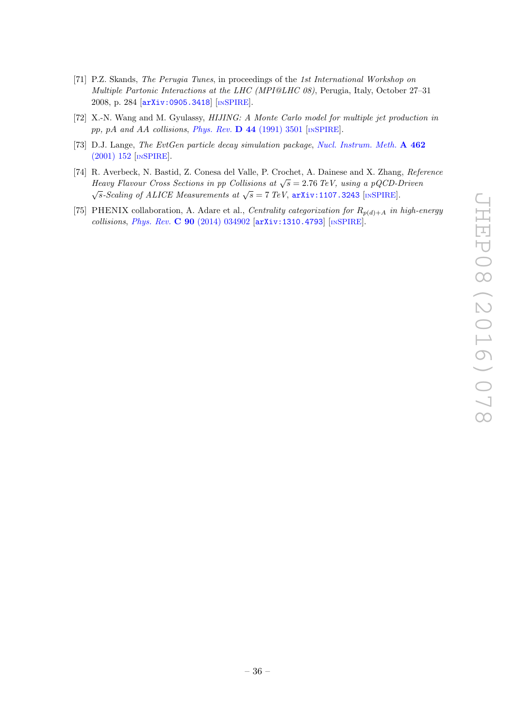- <span id="page-36-0"></span>[71] P.Z. Skands, The Perugia Tunes, in proceedings of the 1st International Workshop on Multiple Partonic Interactions at the LHC (MPI@LHC 08), Perugia, Italy, October 27–31 2008, p. 284 [[arXiv:0905.3418](http://arxiv.org/abs/0905.3418)] [IN[SPIRE](http://inspirehep.net/search?p=find+EPRINT+arXiv:0905.3418)].
- <span id="page-36-1"></span>[72] X.-N. Wang and M. Gyulassy, HIJING: A Monte Carlo model for multiple jet production in pp, pA and AA collisions, Phys. Rev.  $\bf{D}$  44 [\(1991\) 3501](http://dx.doi.org/10.1103/PhysRevD.44.3501) [IN[SPIRE](http://inspirehep.net/search?p=find+J+%22Phys.Rev.,D44,3501%22)].
- <span id="page-36-2"></span>[73] D.J. Lange, The EvtGen particle decay simulation package, [Nucl. Instrum. Meth.](http://dx.doi.org/10.1016/S0168-9002(01)00089-4) A 462 [\(2001\) 152](http://dx.doi.org/10.1016/S0168-9002(01)00089-4) [IN[SPIRE](http://inspirehep.net/search?p=find+J+%22Nucl.Instrum.Meth.,A462,152%22)].
- <span id="page-36-3"></span>[74] R. Averbeck, N. Bastid, Z. Conesa del Valle, P. Crochet, A. Dainese and X. Zhang, Reference Heavy Flavour Cross Sections in pp Collisions at  $\sqrt{s} = 2.76$  TeV, using a pQCD-Driven  $\sqrt{s}$ -Scaling of ALICE Measurements at  $\sqrt{s}$  = 7 TeV, [arXiv:1107.3243](http://arxiv.org/abs/1107.3243) [IN[SPIRE](http://inspirehep.net/search?p=find+EPRINT+arXiv:1107.3243)].
- <span id="page-36-4"></span>[75] PHENIX collaboration, A. Adare et al., Centrality categorization for  $R_{p(d)+A}$  in high-energy collisions, Phys. Rev. C 90 [\(2014\) 034902](http://dx.doi.org/10.1103/PhysRevC.90.034902) [[arXiv:1310.4793](http://arxiv.org/abs/1310.4793)] [IN[SPIRE](http://inspirehep.net/search?p=find+EPRINT+arXiv:1310.4793)].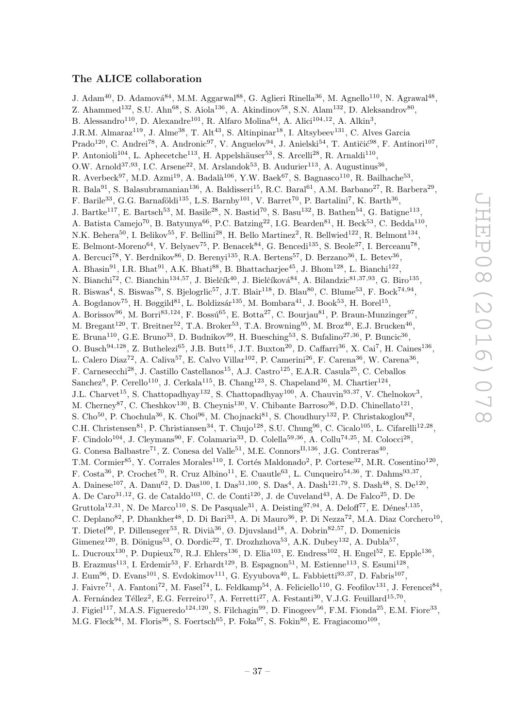## The ALICE collaboration

<span id="page-37-0"></span>J. Adam<sup>40</sup>, D. Adamová<sup>84</sup>, M.M. Aggarwal<sup>88</sup>, G. Aglieri Rinella<sup>36</sup>, M. Agnello<sup>110</sup>, N. Agrawal<sup>48</sup>, Z. Ahammed<sup>132</sup>, S.U. Ahn<sup>68</sup>, S. Aiola<sup>136</sup>, A. Akindinov<sup>58</sup>, S.N. Alam<sup>132</sup>, D. Aleksandrov<sup>80</sup>, B. Alessandro<sup>110</sup>, D. Alexandre<sup>101</sup>, R. Alfaro Molina<sup>64</sup>, A. Alici<sup>104,12</sup>, A. Alkin<sup>3</sup>, J.R.M. Almaraz<sup>119</sup>, J. Alme<sup>38</sup>, T. Alt<sup>43</sup>, S. Altinpinar<sup>18</sup>, I. Altsybeev<sup>131</sup>, C. Alves Garcia Prado<sup>120</sup>, C. Andrei<sup>78</sup>, A. Andronic<sup>97</sup>, V. Anguelov<sup>94</sup>, J. Anielski<sup>54</sup>, T. Antičić<sup>98</sup>, F. Antinori<sup>107</sup>, P. Antonioli<sup>104</sup>, L. Aphecetche<sup>113</sup>, H. Appelshäuser<sup>53</sup>, S. Arcelli<sup>28</sup>, R. Arnaldi<sup>110</sup>, O.W. Arnold<sup>37,93</sup>, I.C. Arsene<sup>22</sup>, M. Arslandok<sup>53</sup>, B. Audurier<sup>113</sup>, A. Augustinus<sup>36</sup>, R. Averbeck<sup>97</sup>, M.D. Azmi<sup>19</sup>, A. Badalà<sup>106</sup>, Y.W. Baek<sup>67</sup>, S. Bagnasco<sup>110</sup>, R. Bailhache<sup>53</sup>, R. Bala<sup>91</sup>, S. Balasubramanian<sup>136</sup>, A. Baldisseri<sup>15</sup>, R.C. Baral<sup>61</sup>, A.M. Barbano<sup>27</sup>, R. Barbera<sup>29</sup>, F. Barile<sup>33</sup>, G.G. Barnaföldi<sup>135</sup>, L.S. Barnby<sup>101</sup>, V. Barret<sup>70</sup>, P. Bartalini<sup>7</sup>, K. Barth<sup>36</sup>, J. Bartke<sup>117</sup>, E. Bartsch<sup>53</sup>, M. Basile<sup>28</sup>, N. Bastid<sup>70</sup>, S. Basu<sup>132</sup>, B. Bathen<sup>54</sup>, G. Batigne<sup>113</sup>, A. Batista Camejo<sup>70</sup>, B. Batyunya<sup>66</sup>, P.C. Batzing<sup>22</sup>, I.G. Bearden<sup>81</sup>, H. Beck<sup>53</sup>, C. Bedda<sup>110</sup>, N.K. Behera<sup>50</sup>, I. Belikov<sup>55</sup>, F. Bellini<sup>28</sup>, H. Bello Martinez<sup>2</sup>, R. Bellwied<sup>122</sup>, R. Belmont<sup>134</sup>, E. Belmont-Moreno<sup>64</sup>, V. Belyaev<sup>75</sup>, P. Benacek<sup>84</sup>, G. Bencedi<sup>135</sup>, S. Beole<sup>27</sup>, I. Berceanu<sup>78</sup>, A. Bercuci<sup>78</sup>, Y. Berdnikov<sup>86</sup>, D. Berenyi<sup>135</sup>, R.A. Bertens<sup>57</sup>, D. Berzano<sup>36</sup>, L. Betev<sup>36</sup>, A. Bhasin<sup>91</sup>, I.R. Bhat<sup>91</sup>, A.K. Bhati<sup>88</sup>, B. Bhattacharjee<sup>45</sup>, J. Bhom<sup>128</sup>, L. Bianchi<sup>122</sup>, N. Bianchi<sup>72</sup>, C. Bianchin<sup>134,57</sup>, J. Bielčík<sup>40</sup>, J. Bielčíková<sup>84</sup>, A. Bilandzic<sup>81,37,93</sup>, G. Biro<sup>135</sup>, R. Biswas<sup>4</sup>, S. Biswas<sup>79</sup>, S. Bjelogrlic<sup>57</sup>, J.T. Blair<sup>118</sup>, D. Blau<sup>80</sup>, C. Blume<sup>53</sup>, F. Bock<sup>74,94</sup>, A. Bogdanov<sup>75</sup>, H. Bøggild<sup>81</sup>, L. Boldizsár<sup>135</sup>, M. Bombara<sup>41</sup>, J. Book<sup>53</sup>, H. Borel<sup>15</sup>, A. Borissov<sup>96</sup>, M. Borri<sup>83,124</sup>, F. Bossú<sup>65</sup>, E. Botta<sup>27</sup>, C. Bourjau<sup>81</sup>, P. Braun-Munzinger<sup>97</sup>, M. Bregant<sup>120</sup>, T. Breitner<sup>52</sup>, T.A. Broker<sup>53</sup>, T.A. Browning<sup>95</sup>, M. Broz<sup>40</sup>, E.J. Brucken<sup>46</sup>, E. Bruna<sup>110</sup>, G.E. Bruno<sup>33</sup>, D. Budnikov<sup>99</sup>, H. Buesching<sup>53</sup>, S. Bufalino<sup>27,36</sup>, P. Buncic<sup>36</sup>, O. Busch<sup>94,128</sup>, Z. Buthelezi<sup>65</sup>, J.B. Butt<sup>16</sup>, J.T. Buxton<sup>20</sup>, D. Caffarri<sup>36</sup>, X. Cai<sup>7</sup>, H. Caines<sup>136</sup>, L. Calero Diaz<sup>72</sup>, A. Caliva<sup>57</sup>, E. Calvo Villar<sup>102</sup>, P. Camerini<sup>26</sup>, F. Carena<sup>36</sup>, W. Carena<sup>36</sup>, F. Carnesecchi<sup>28</sup>, J. Castillo Castellanos<sup>15</sup>, A.J. Castro<sup>125</sup>, E.A.R. Casula<sup>25</sup>, C. Ceballos Sanchez<sup>9</sup>, P. Cerello<sup>110</sup>, J. Cerkala<sup>115</sup>, B. Chang<sup>123</sup>, S. Chapeland<sup>36</sup>, M. Chartier<sup>124</sup>, J.L. Charvet<sup>15</sup>, S. Chattopadhyay<sup>132</sup>, S. Chattopadhyay<sup>100</sup>, A. Chauvin<sup>93,37</sup>, V. Chelnokov<sup>3</sup>, M. Cherney<sup>87</sup>, C. Cheshkov<sup>130</sup>, B. Cheynis<sup>130</sup>, V. Chibante Barroso<sup>36</sup>, D.D. Chinellato<sup>121</sup>, S. Cho<sup>50</sup>, P. Chochula<sup>36</sup>, K. Choi<sup>96</sup>, M. Chojnacki<sup>81</sup>, S. Choudhury<sup>132</sup>, P. Christakoglou<sup>82</sup>, C.H. Christensen<sup>81</sup>, P. Christiansen<sup>34</sup>, T. Chujo<sup>128</sup>, S.U. Chung<sup>96</sup>, C. Cicalo<sup>105</sup>, L. Cifarelli<sup>12,28</sup>, F. Cindolo<sup>104</sup>, J. Cleymans<sup>90</sup>, F. Colamaria<sup>33</sup>, D. Colella<sup>59,36</sup>, A. Collu<sup>74,25</sup>, M. Colocci<sup>28</sup>, G. Conesa Balbastre<sup>71</sup>, Z. Conesa del Valle<sup>51</sup>, M.E. Connors<sup>II,136</sup>, J.G. Contreras<sup>40</sup>, T.M. Cormier<sup>85</sup>, Y. Corrales Morales<sup>110</sup>, I. Cortés Maldonado<sup>2</sup>, P. Cortese<sup>32</sup>, M.R. Cosentino<sup>120</sup>, F. Costa<sup>36</sup>, P. Crochet<sup>70</sup>, R. Cruz Albino<sup>11</sup>, E. Cuautle<sup>63</sup>, L. Cunqueiro<sup>54,36</sup>, T. Dahms<sup>93,37</sup>, A. Dainese<sup>107</sup>, A. Danu<sup>62</sup>, D. Das<sup>100</sup>, I. Das<sup>51,100</sup>, S. Das<sup>4</sup>, A. Dash<sup>121,79</sup>, S. Dash<sup>48</sup>, S. De<sup>120</sup>, A. De Caro<sup>31,12</sup>, G. de Cataldo<sup>103</sup>, C. de Conti<sup>120</sup>, J. de Cuveland<sup>43</sup>, A. De Falco<sup>25</sup>, D. De Gruttola<sup>12,31</sup>, N. De Marco<sup>110</sup>, S. De Pasquale<sup>31</sup>, A. Deisting<sup>97,94</sup>, A. Deloff<sup>77</sup>, E. Dénes<sup>I,135</sup>, C. Deplano<sup>82</sup>, P. Dhankher<sup>48</sup>, D. Di Bari<sup>33</sup>, A. Di Mauro<sup>36</sup>, P. Di Nezza<sup>72</sup>, M.A. Diaz Corchero<sup>10</sup>, T. Dietel<sup>90</sup>, P. Dillenseger<sup>53</sup>, R. Divià<sup>36</sup>, Ø. Djuvsland<sup>18</sup>, A. Dobrin<sup>82,57</sup>, D. Domenicis Gimenez<sup>120</sup>, B. Dönigus<sup>53</sup>, O. Dordic<sup>22</sup>, T. Drozhzhova<sup>53</sup>, A.K. Dubey<sup>132</sup>, A. Dubla<sup>57</sup>, L. Ducroux<sup>130</sup>, P. Dupieux<sup>70</sup>, R.J. Ehlers<sup>136</sup>, D. Elia<sup>103</sup>, E. Endress<sup>102</sup>, H. Engel<sup>52</sup>, E. Epple<sup>136</sup>, B. Erazmus<sup>113</sup>, I. Erdemir<sup>53</sup>, F. Erhardt<sup>129</sup>, B. Espagnon<sup>51</sup>, M. Estienne<sup>113</sup>, S. Esumi<sup>128</sup>, J. Eum<sup>96</sup>, D. Evans<sup>101</sup>, S. Evdokimov<sup>111</sup>, G. Eyyubova<sup>40</sup>, L. Fabbietti<sup>93,37</sup>, D. Fabris<sup>107</sup>, J. Faivre<sup>71</sup>, A. Fantoni<sup>72</sup>, M. Fasel<sup>74</sup>, L. Feldkamp<sup>54</sup>, A. Feliciello<sup>110</sup>, G. Feofilov<sup>131</sup>, J. Ferencei<sup>84</sup>, A. Fernández Téllez<sup>2</sup>, E.G. Ferreiro<sup>17</sup>, A. Ferretti<sup>27</sup>, A. Festanti<sup>30</sup>, V.J.G. Feuillard<sup>15,70</sup>, J. Figiel<sup>117</sup>, M.A.S. Figueredo<sup>124,120</sup>, S. Filchagin<sup>99</sup>, D. Finogeev<sup>56</sup>, F.M. Fionda<sup>25</sup>, E.M. Fiore<sup>33</sup>, M.G. Fleck<sup>94</sup>, M. Floris<sup>36</sup>, S. Foertsch<sup>65</sup>, P. Foka<sup>97</sup>, S. Fokin<sup>80</sup>, E. Fragiacomo<sup>109</sup>,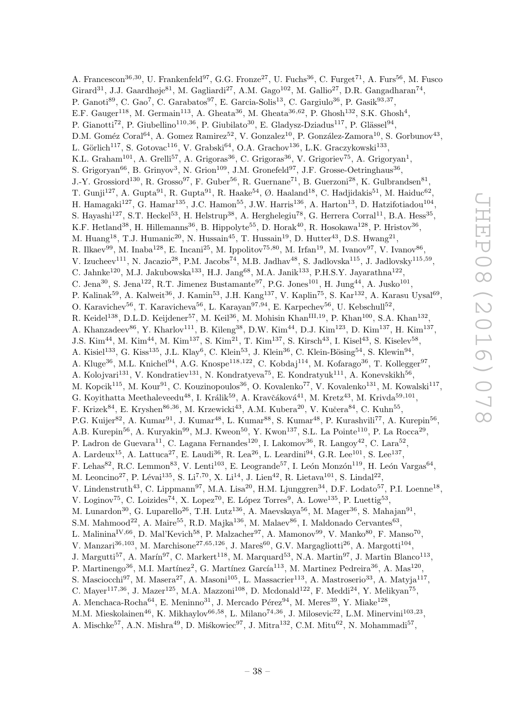A. Francescon<sup>36,30</sup>, U. Frankenfeld<sup>97</sup>, G.G. Fronze<sup>27</sup>, U. Fuchs<sup>36</sup>, C. Furget<sup>71</sup>, A. Furs<sup>56</sup>, M. Fusco Girard<sup>31</sup>, J.J. Gaardhøje<sup>81</sup>, M. Gagliardi<sup>27</sup>, A.M. Gago<sup>102</sup>, M. Gallio<sup>27</sup>, D.R. Gangadharan<sup>74</sup>, P. Ganoti<sup>89</sup>, C. Gao<sup>7</sup>, C. Garabatos<sup>97</sup>, E. Garcia-Solis<sup>13</sup>, C. Gargiulo<sup>36</sup>, P. Gasik<sup>93,37</sup>, E.F. Gauger<sup>118</sup>, M. Germain<sup>113</sup>, A. Gheata<sup>36</sup>, M. Gheata<sup>36,62</sup>, P. Ghosh<sup>132</sup>, S.K. Ghosh<sup>4</sup>, P. Gianotti<sup>72</sup>, P. Giubellino<sup>110,36</sup>, P. Giubilato<sup>30</sup>, E. Gladysz-Dziadus<sup>117</sup>, P. Glässel<sup>94</sup>, D.M. Goméz Coral<sup>64</sup>, A. Gomez Ramirez<sup>52</sup>, V. Gonzalez<sup>10</sup>, P. González-Zamora<sup>10</sup>, S. Gorbunov<sup>43</sup>, L. Görlich<sup>117</sup>, S. Gotovac<sup>116</sup>, V. Grabski<sup>64</sup>, O.A. Grachov<sup>136</sup>, L.K. Graczykowski<sup>133</sup>, K.L. Graham<sup>101</sup>, A. Grelli<sup>57</sup>, A. Grigoras<sup>36</sup>, C. Grigoras<sup>36</sup>, V. Grigoriev<sup>75</sup>, A. Grigoryan<sup>1</sup>, S. Grigoryan<sup>66</sup>, B. Grinyov<sup>3</sup>, N. Grion<sup>109</sup>, J.M. Gronefeld<sup>97</sup>, J.F. Grosse-Oetringhaus<sup>36</sup>, J.-Y. Grossiord<sup>130</sup>, R. Grosso<sup>97</sup>, F. Guber<sup>56</sup>, R. Guernane<sup>71</sup>, B. Guerzoni<sup>28</sup>, K. Gulbrandsen<sup>81</sup>, T. Gunji<sup>127</sup>, A. Gupta<sup>91</sup>, R. Gupta<sup>91</sup>, R. Haake<sup>54</sup>, Ø. Haaland<sup>18</sup>, C. Hadjidakis<sup>51</sup>, M. Haiduc<sup>62</sup>, H. Hamagaki<sup>127</sup>, G. Hamar<sup>135</sup>, J.C. Hamon<sup>55</sup>, J.W. Harris<sup>136</sup>, A. Harton<sup>13</sup>, D. Hatzifotiadou<sup>104</sup>, S. Hayashi<sup>127</sup>, S.T. Heckel<sup>53</sup>, H. Helstrup<sup>38</sup>, A. Herghelegiu<sup>78</sup>, G. Herrera Corral<sup>11</sup>, B.A. Hess<sup>35</sup>, K.F. Hetland<sup>38</sup>, H. Hillemanns<sup>36</sup>, B. Hippolyte<sup>55</sup>, D. Horak<sup>40</sup>, R. Hosokawa<sup>128</sup>, P. Hristov<sup>36</sup>, M. Huang<sup>18</sup>, T.J. Humanic<sup>20</sup>, N. Hussain<sup>45</sup>, T. Hussain<sup>19</sup>, D. Hutter<sup>43</sup>, D.S. Hwang<sup>21</sup>, R. Ilkaev<sup>99</sup>, M. Inaba<sup>128</sup>, E. Incani<sup>25</sup>, M. Ippolitov<sup>75,80</sup>, M. Irfan<sup>19</sup>, M. Ivanov<sup>97</sup>, V. Ivanov<sup>86</sup>, V. Izucheev<sup>111</sup>, N. Jacazio<sup>28</sup>, P.M. Jacobs<sup>74</sup>, M.B. Jadhav<sup>48</sup>, S. Jadlovska<sup>115</sup>, J. Jadlovsky<sup>115,59</sup>, C. Jahnke<sup>120</sup>, M.J. Jakubowska<sup>133</sup>, H.J. Jang<sup>68</sup>, M.A. Janik<sup>133</sup>, P.H.S.Y. Jayarathna<sup>122</sup>, C. Jena<sup>30</sup>, S. Jena<sup>122</sup>, R.T. Jimenez Bustamante<sup>97</sup>, P.G. Jones<sup>101</sup>, H. Jung<sup>44</sup>, A. Jusko<sup>101</sup>, P. Kalinak<sup>59</sup>, A. Kalweit<sup>36</sup>, J. Kamin<sup>53</sup>, J.H. Kang<sup>137</sup>, V. Kaplin<sup>75</sup>, S. Kar<sup>132</sup>, A. Karasu Uysal<sup>69</sup>, O. Karavichev<sup>56</sup>, T. Karavicheva<sup>56</sup>, L. Karayan<sup>97,94</sup>, E. Karpechev<sup>56</sup>, U. Kebschull<sup>52</sup>, R. Keidel<sup>138</sup>, D.L.D. Keijdener<sup>57</sup>, M. Keil<sup>36</sup>, M. Mohisin Khan<sup>III,19</sup>, P. Khan<sup>100</sup>, S.A. Khan<sup>132</sup>, A. Khanzadeev<sup>86</sup>, Y. Kharlov<sup>111</sup>, B. Kileng<sup>38</sup>, D.W. Kim<sup>44</sup>, D.J. Kim<sup>123</sup>, D. Kim<sup>137</sup>, H. Kim<sup>137</sup>, J.S. Kim<sup>44</sup>, M. Kim<sup>44</sup>, M. Kim<sup>137</sup>, S. Kim<sup>21</sup>, T. Kim<sup>137</sup>, S. Kirsch<sup>43</sup>, I. Kisel<sup>43</sup>, S. Kiselev<sup>58</sup>, A. Kisiel<sup>133</sup>, G. Kiss<sup>135</sup>, J.L. Klay<sup>6</sup>, C. Klein<sup>53</sup>, J. Klein<sup>36</sup>, C. Klein-Bösing<sup>54</sup>, S. Klewin<sup>94</sup>, A. Kluge<sup>36</sup>, M.L. Knichel<sup>94</sup>, A.G. Knospe<sup>118,122</sup>, C. Kobdaj<sup>114</sup>, M. Kofarago<sup>36</sup>, T. Kollegger<sup>97</sup>, A. Kolojvari<sup>131</sup>, V. Kondratiev<sup>131</sup>, N. Kondratyeva<sup>75</sup>, E. Kondratyuk<sup>111</sup>, A. Konevskikh<sup>56</sup>, M. Kopcik<sup>115</sup>, M. Kour<sup>91</sup>, C. Kouzinopoulos<sup>36</sup>, O. Kovalenko<sup>77</sup>, V. Kovalenko<sup>131</sup>, M. Kowalski<sup>117</sup>, G. Koyithatta Meethaleveedu<sup>48</sup>, I. Králik<sup>59</sup>, A. Kravčáková<sup>41</sup>, M. Kretz<sup>43</sup>, M. Krivda<sup>59,101</sup>, F. Krizek $^{84}$ , E. Kryshen $^{86,36}$ , M. Krzewicki $^{43}$ , A.M. Kubera $^{20}$ , V. Kučera $^{84}$ , C. Kuhn $^{55}$ , P.G. Kuijer<sup>82</sup>, A. Kumar<sup>91</sup>, J. Kumar<sup>48</sup>, L. Kumar<sup>88</sup>, S. Kumar<sup>48</sup>, P. Kurashvili<sup>77</sup>, A. Kurepin<sup>56</sup>, A.B. Kurepin<sup>56</sup>, A. Kuryakin<sup>99</sup>, M.J. Kweon<sup>50</sup>, Y. Kwon<sup>137</sup>, S.L. La Pointe<sup>110</sup>, P. La Rocca<sup>29</sup>, P. Ladron de Guevara<sup>11</sup>, C. Lagana Fernandes<sup>120</sup>, I. Lakomov<sup>36</sup>, R. Langoy<sup>42</sup>, C. Lara<sup>52</sup>, A. Lardeux<sup>15</sup>, A. Lattuca<sup>27</sup>, E. Laudi<sup>36</sup>, R. Lea<sup>26</sup>, L. Leardini<sup>94</sup>, G.R. Lee<sup>101</sup>, S. Lee<sup>137</sup>, F. Lehas<sup>82</sup>, R.C. Lemmon<sup>83</sup>, V. Lenti<sup>103</sup>, E. Leogrande<sup>57</sup>, I. León Monzón<sup>119</sup>, H. León Vargas<sup>64</sup>, M. Leoncino<sup>27</sup>, P. Lévai<sup>135</sup>, S. Li<sup>7,70</sup>, X. Li<sup>14</sup>, J. Lien<sup>42</sup>, R. Lietava<sup>101</sup>, S. Lindal<sup>22</sup>, V. Lindenstruth<sup>43</sup>, C. Lippmann<sup>97</sup>, M.A. Lisa<sup>20</sup>, H.M. Ljunggren<sup>34</sup>, D.F. Lodato<sup>57</sup>, P.I. Loenne<sup>18</sup>, V. Loginov<sup>75</sup>, C. Loizides<sup>74</sup>, X. Lopez<sup>70</sup>, E. López Torres<sup>9</sup>, A. Lowe<sup>135</sup>, P. Luettig<sup>53</sup>, M. Lunardon<sup>30</sup>, G. Luparello<sup>26</sup>, T.H. Lutz<sup>136</sup>, A. Maevskaya<sup>56</sup>, M. Mager<sup>36</sup>, S. Mahajan<sup>91</sup>, S.M. Mahmood<sup>22</sup>, A. Maire<sup>55</sup>, R.D. Majka<sup>136</sup>, M. Malaev<sup>86</sup>, I. Maldonado Cervantes<sup>63</sup>, L. Malinina<sup>IV,66</sup>, D. Mal'Kevich<sup>58</sup>, P. Malzacher<sup>97</sup>, A. Mamonov<sup>99</sup>, V. Manko<sup>80</sup>, F. Manso<sup>70</sup>, V. Manzari<sup>36,103</sup>, M. Marchisone<sup>27,65,126</sup>, J. Mareš<sup>60</sup>, G.V. Margagliotti<sup>26</sup>, A. Margotti<sup>104</sup>, J. Margutti<sup>57</sup>, A. Marín<sup>97</sup>, C. Markert<sup>118</sup>, M. Marquard<sup>53</sup>, N.A. Martin<sup>97</sup>, J. Martin Blanco<sup>113</sup>, P. Martinengo<sup>36</sup>, M.I. Martínez<sup>2</sup>, G. Martínez García<sup>113</sup>, M. Martinez Pedreira<sup>36</sup>, A. Mas<sup>120</sup>, S. Masciocchi<sup>97</sup>, M. Masera<sup>27</sup>, A. Masoni<sup>105</sup>, L. Massacrier<sup>113</sup>, A. Mastroserio<sup>33</sup>, A. Matyja<sup>117</sup>, C. Mayer<sup>117,36</sup>, J. Mazer<sup>125</sup>, M.A. Mazzoni<sup>108</sup>, D. Mcdonald<sup>122</sup>, F. Meddi<sup>24</sup>, Y. Melikyan<sup>75</sup>, A. Menchaca-Rocha<sup>64</sup>, E. Meninno<sup>31</sup>, J. Mercado Pérez<sup>94</sup>, M. Meres<sup>39</sup>, Y. Miake<sup>128</sup>,

M.M. Mieskolainen<sup>46</sup>, K. Mikhaylov<sup>66,58</sup>, L. Milano<sup>74,36</sup>, J. Milosevic<sup>22</sup>, L.M. Minervini<sup>103,23</sup>,

A. Mischke<sup>57</sup>, A.N. Mishra<sup>49</sup>, D. Miskowiec<sup>97</sup>, J. Mitra<sup>132</sup>, C.M. Mitu<sup>62</sup>, N. Mohammadi<sup>57</sup>,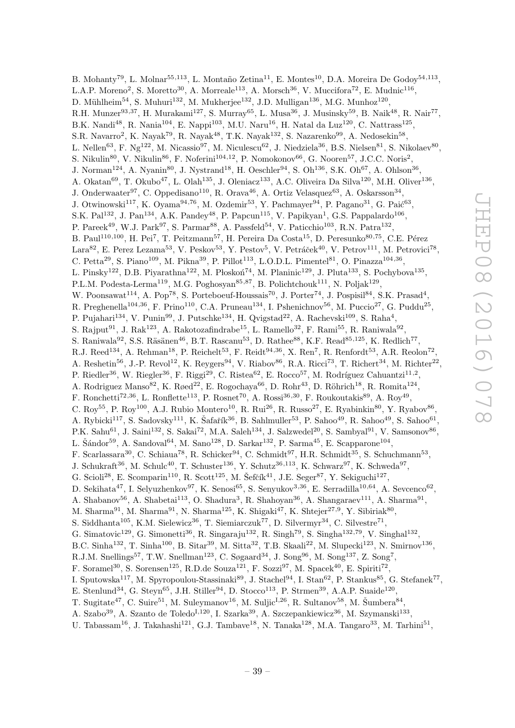B. Mohanty<sup>79</sup>, L. Molnar<sup>55,113</sup>, L. Montaño Zetina<sup>11</sup>, E. Montes<sup>10</sup>, D.A. Moreira De Godoy<sup>54,113</sup>, L.A.P. Moreno<sup>2</sup>, S. Moretto<sup>30</sup>, A. Morreale<sup>113</sup>, A. Morsch<sup>36</sup>, V. Muccifora<sup>72</sup>, E. Mudnic<sup>116</sup>, D. Mühlheim $^{54}$ , S. Muhuri $^{132}$ , M. Mukherjee $^{132}$ , J.D. Mulligan $^{136}$ , M.G. Munhoz $^{120}$ , R.H. Munzer $^{93,37}$ , H. Murakami $^{127}$ , S. Murray $^{65}$ , L. Musa $^{36}$ , J. Musinsky $^{59}$ , B. Naik $^{48}$ , R. Nair $^{77}$ , B.K. Nandi $^{48}$ , R. Nania $^{104}$ , E. Nappi $^{103}$ , M.U. Naru $^{16}$ , H. Natal da Luz $^{120}$ , C. Nattrass $^{125}$ , S.R. Navarro<sup>2</sup>, K. Nayak<sup>79</sup>, R. Nayak<sup>48</sup>, T.K. Nayak<sup>132</sup>, S. Nazarenko<sup>99</sup>, A. Nedosekin<sup>58</sup>, L. Nellen<sup>63</sup>, F. Ng<sup>122</sup>, M. Nicassio<sup>97</sup>, M. Niculescu<sup>62</sup>, J. Niedziela<sup>36</sup>, B.S. Nielsen<sup>81</sup>, S. Nikolaev<sup>80</sup>, S. Nikulin<sup>80</sup>, V. Nikulin<sup>86</sup>, F. Noferini<sup>104,12</sup>, P. Nomokonov<sup>66</sup>, G. Nooren<sup>57</sup>, J.C.C. Noris<sup>2</sup>, J. Norman<sup>124</sup>, A. Nyanin<sup>80</sup>, J. Nystrand<sup>18</sup>, H. Oeschler<sup>94</sup>, S. Oh<sup>136</sup>, S.K. Oh<sup>67</sup>, A. Ohlson<sup>36</sup>, A. Okatan<sup>69</sup>, T. Okubo<sup>47</sup>, L. Olah<sup>135</sup>, J. Oleniacz<sup>133</sup>, A.C. Oliveira Da Silva<sup>120</sup>, M.H. Oliver<sup>136</sup>, J. Onderwaater<sup>97</sup>, C. Oppedisano<sup>110</sup>, R. Orava<sup>46</sup>, A. Ortiz Velasquez<sup>63</sup>, A. Oskarsson<sup>34</sup>, J. Otwinowski<sup>117</sup>, K. Oyama<sup>94,76</sup>, M. Ozdemir<sup>53</sup>, Y. Pachmayer<sup>94</sup>, P. Pagano<sup>31</sup>, G. Paić<sup>63</sup>, S.K. Pal<sup>132</sup>, J. Pan<sup>134</sup>, A.K. Pandey<sup>48</sup>, P. Papcun<sup>115</sup>, V. Papikyan<sup>1</sup>, G.S. Pappalardo<sup>106</sup>, P. Pareek<sup>49</sup>, W.J. Park<sup>97</sup>, S. Parmar<sup>88</sup>, A. Passfeld<sup>54</sup>, V. Paticchio<sup>103</sup>, R.N. Patra<sup>132</sup>, B. Paul<sup>110,100</sup>, H. Pei<sup>7</sup>, T. Peitzmann<sup>57</sup>, H. Pereira Da Costa<sup>15</sup>, D. Peresunko<sup>80,75</sup>, C.E. Pérez Lara<sup>82</sup>, E. Perez Lezama<sup>53</sup>, V. Peskov<sup>53</sup>, Y. Pestov<sup>5</sup>, V. Petráček<sup>40</sup>, V. Petrov<sup>111</sup>, M. Petrovici<sup>78</sup>, C. Petta<sup>29</sup>, S. Piano<sup>109</sup>, M. Pikna<sup>39</sup>, P. Pillot<sup>113</sup>, L.O.D.L. Pimentel<sup>81</sup>, O. Pinazza<sup>104,36</sup>, L. Pinsky<sup>122</sup>, D.B. Piyarathna<sup>122</sup>, M. Płoskoń<sup>74</sup>, M. Planinic<sup>129</sup>, J. Pluta<sup>133</sup>, S. Pochybova<sup>135</sup>, P.L.M. Podesta-Lerma<sup>119</sup>, M.G. Poghosyan<sup>85,87</sup>, B. Polichtchouk<sup>111</sup>, N. Poljak<sup>129</sup>, W. Poonsawat<sup>114</sup>, A. Pop<sup>78</sup>, S. Porteboeuf-Houssais<sup>70</sup>, J. Porter<sup>74</sup>, J. Pospisil<sup>84</sup>, S.K. Prasad<sup>4</sup>, R. Preghenella<sup>104,36</sup>, F. Prino<sup>110</sup>, C.A. Pruneau<sup>134</sup>, I. Pshenichnov<sup>56</sup>, M. Puccio<sup>27</sup>, G. Puddu<sup>25</sup>, P. Pujahari<sup>134</sup>, V. Punin<sup>99</sup>, J. Putschke<sup>134</sup>, H. Qvigstad<sup>22</sup>, A. Rachevski<sup>109</sup>, S. Raha<sup>4</sup>, S. Rajput<sup>91</sup>, J. Rak<sup>123</sup>, A. Rakotozafindrabe<sup>15</sup>, L. Ramello<sup>32</sup>, F. Rami<sup>55</sup>, R. Raniwala<sup>92</sup>, S. Raniwala<sup>92</sup>, S.S. Räsänen<sup>46</sup>, B.T. Rascanu<sup>53</sup>, D. Rathee<sup>88</sup>, K.F. Read<sup>85,125</sup>, K. Redlich<sup>77</sup>, R.J. Reed<sup>134</sup>, A. Rehman<sup>18</sup>, P. Reichelt<sup>53</sup>, F. Reidt<sup>94,36</sup>, X. Ren<sup>7</sup>, R. Renfordt<sup>53</sup>, A.R. Reolon<sup>72</sup>, A. Reshetin<sup>56</sup>, J.-P. Revol<sup>12</sup>, K. Reygers<sup>94</sup>, V. Riabov<sup>86</sup>, R.A. Ricci<sup>73</sup>, T. Richert<sup>34</sup>, M. Richter<sup>22</sup>, P. Riedler<sup>36</sup>, W. Riegler<sup>36</sup>, F. Riggi<sup>29</sup>, C. Ristea<sup>62</sup>, E. Rocco<sup>57</sup>, M. Rodríguez Cahuantzi<sup>11,2</sup>, A. Rodriguez Manso<sup>82</sup>, K. Røed<sup>22</sup>, E. Rogochaya<sup>66</sup>, D. Rohr<sup>43</sup>, D. Röhrich<sup>18</sup>, R. Romita<sup>124</sup>, F. Ronchetti<sup>72,36</sup>, L. Ronflette<sup>113</sup>, P. Rosnet<sup>70</sup>, A. Rossi<sup>36,30</sup>, F. Roukoutakis<sup>89</sup>, A. Roy<sup>49</sup>, C. Roy<sup>55</sup>, P. Roy<sup>100</sup>, A.J. Rubio Montero<sup>10</sup>, R. Rui<sup>26</sup>, R. Russo<sup>27</sup>, E. Ryabinkin<sup>80</sup>, Y. Ryabov<sup>86</sup>, A. Rybicki<sup>117</sup>, S. Sadovsky<sup>111</sup>, K. Šafařík<sup>36</sup>, B. Sahlmuller<sup>53</sup>, P. Sahoo<sup>49</sup>, R. Sahoo<sup>49</sup>, S. Sahoo<sup>61</sup>, P.K. Sahu<sup>61</sup>, J. Saini<sup>132</sup>, S. Sakai<sup>72</sup>, M.A. Saleh<sup>134</sup>, J. Salzwedel<sup>20</sup>, S. Sambyal<sup>91</sup>, V. Samsonov<sup>86</sup>, L. Šándor<sup>59</sup>, A. Sandoval<sup>64</sup>, M. Sano<sup>128</sup>, D. Sarkar<sup>132</sup>, P. Sarma<sup>45</sup>, E. Scapparone<sup>104</sup>, F. Scarlassara<sup>30</sup>, C. Schiaua<sup>78</sup>, R. Schicker<sup>94</sup>, C. Schmidt<sup>97</sup>, H.R. Schmidt<sup>35</sup>, S. Schuchmann<sup>53</sup>, J. Schukraft<sup>36</sup>, M. Schulc<sup>40</sup>, T. Schuster<sup>136</sup>, Y. Schutz<sup>36,113</sup>, K. Schwarz<sup>97</sup>, K. Schweda<sup>97</sup>, G. Scioli<sup>28</sup>, E. Scomparin<sup>110</sup>, R. Scott<sup>125</sup>, M. Šefčík<sup>41</sup>, J.E. Seger<sup>87</sup>, Y. Sekiguchi<sup>127</sup>, D. Sekihata<sup>47</sup>, I. Selyuzhenkov<sup>97</sup>, K. Senosi<sup>65</sup>, S. Senyukov<sup>3,36</sup>, E. Serradilla<sup>10,64</sup>, A. Sevcenco<sup>62</sup>, A. Shabanov<sup>56</sup>, A. Shabetai<sup>113</sup>, O. Shadura<sup>3</sup>, R. Shahoyan<sup>36</sup>, A. Shangaraev<sup>111</sup>, A. Sharma<sup>91</sup>, M. Sharma<sup>91</sup>, M. Sharma<sup>91</sup>, N. Sharma<sup>125</sup>, K. Shigaki<sup>47</sup>, K. Shtejer<sup>27,9</sup>, Y. Sibiriak<sup>80</sup>, S. Siddhanta<sup>105</sup>, K.M. Sielewicz<sup>36</sup>, T. Siemiarczuk<sup>77</sup>, D. Silvermyr<sup>34</sup>, C. Silvestre<sup>71</sup>, G. Simatovic<sup>129</sup>, G. Simonetti<sup>36</sup>, R. Singaraju<sup>132</sup>, R. Singh<sup>79</sup>, S. Singha<sup>132,79</sup>, V. Singhal<sup>132</sup>, B.C. Sinha<sup>132</sup>, T. Sinha<sup>100</sup>, B. Sitar<sup>39</sup>, M. Sitta<sup>32</sup>, T.B. Skaali<sup>22</sup>, M. Slupecki<sup>123</sup>, N. Smirnov<sup>136</sup>, R.J.M. Snellings<sup>57</sup>, T.W. Snellman<sup>123</sup>, C. Søgaard<sup>34</sup>, J. Song<sup>96</sup>, M. Song<sup>137</sup>, Z. Song<sup>7</sup>, F. Soramel<sup>30</sup>, S. Sorensen<sup>125</sup>, R.D.de Souza<sup>121</sup>, F. Sozzi<sup>97</sup>, M. Spacek<sup>40</sup>, E. Spiriti<sup>72</sup>, I. Sputowska<sup>117</sup>, M. Spyropoulou-Stassinaki<sup>89</sup>, J. Stachel<sup>94</sup>, I. Stan<sup>62</sup>, P. Stankus<sup>85</sup>, G. Stefanek<sup>77</sup>, E. Stenlund<sup>34</sup>, G. Steyn<sup>65</sup>, J.H. Stiller<sup>94</sup>, D. Stocco<sup>113</sup>, P. Strmen<sup>39</sup>, A.A.P. Suaide<sup>120</sup>, T. Sugitate<sup>47</sup>, C. Suire<sup>51</sup>, M. Suleymanov<sup>16</sup>, M. Suljic<sup>I,26</sup>, R. Sultanov<sup>58</sup>, M. Šumbera<sup>84</sup>,

- A. Szabo<sup>39</sup>, A. Szanto de Toledo<sup>I,120</sup>, I. Szarka<sup>39</sup>, A. Szczepankiewicz<sup>36</sup>, M. Szymanski<sup>133</sup>,
- U. Tabassam<sup>16</sup>, J. Takahashi<sup>121</sup>, G.J. Tambave<sup>18</sup>, N. Tanaka<sup>128</sup>, M.A. Tangaro<sup>33</sup>, M. Tarhini<sup>51</sup>,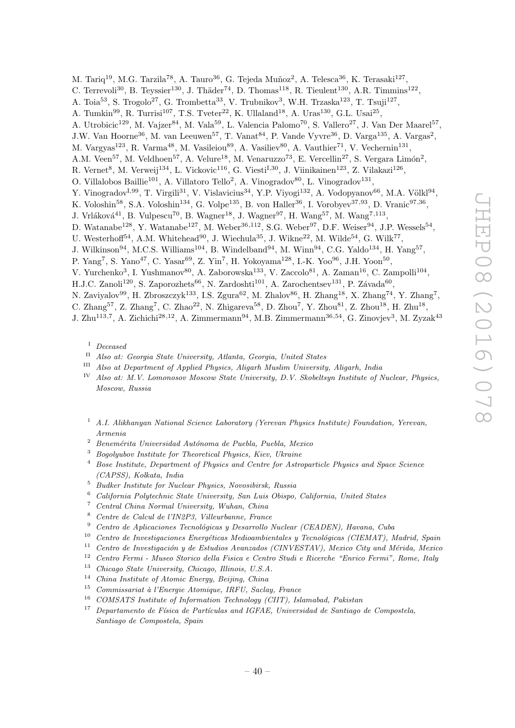M. Tariq<sup>19</sup>, M.G. Tarzila<sup>78</sup>, A. Tauro<sup>36</sup>, G. Tejeda Muñoz<sup>2</sup>, A. Telesca<sup>36</sup>, K. Terasaki<sup>127</sup>,

C. Terrevoli<sup>30</sup>, B. Teyssier<sup>130</sup>, J. Thäder<sup>74</sup>, D. Thomas<sup>118</sup>, R. Tieulent<sup>130</sup>, A.R. Timmins<sup>122</sup>,

- A. Toia<sup>53</sup>, S. Trogolo<sup>27</sup>, G. Trombetta<sup>33</sup>, V. Trubnikov<sup>3</sup>, W.H. Trzaska<sup>123</sup>, T. Tsuji<sup>127</sup>,
- A. Tumkin<sup>99</sup>, R. Turrisi<sup>107</sup>, T.S. Tveter<sup>22</sup>, K. Ullaland<sup>18</sup>, A. Uras<sup>130</sup>, G.L. Usai<sup>25</sup>,
- A. Utrobicic<sup>129</sup>, M. Vajzer<sup>84</sup>, M. Vala<sup>59</sup>, L. Valencia Palomo<sup>70</sup>, S. Vallero<sup>27</sup>, J. Van Der Maarel<sup>57</sup>,
- J.W. Van Hoorne<sup>36</sup>, M. van Leeuwen<sup>57</sup>, T. Vanat<sup>84</sup>, P. Vande Vyvre<sup>36</sup>, D. Varga<sup>135</sup>, A. Vargas<sup>2</sup>,
- M. Vargyas<sup>123</sup>, R. Varma<sup>48</sup>, M. Vasileiou<sup>89</sup>, A. Vasiliev<sup>80</sup>, A. Vauthier<sup>71</sup>, V. Vechernin<sup>131</sup>,
- A.M. Veen<sup>57</sup>, M. Veldhoen<sup>57</sup>, A. Velure<sup>18</sup>, M. Venaruzzo<sup>73</sup>, E. Vercellin<sup>27</sup>, S. Vergara Limón<sup>2</sup>,
- R. Vernet<sup>8</sup>, M. Verweij<sup>134</sup>, L. Vickovic<sup>116</sup>, G. Viesti<sup>I,30</sup>, J. Viinikainen<sup>123</sup>, Z. Vilakazi<sup>126</sup>,
- O. Villalobos Baillie<sup>101</sup>, A. Villatoro Tello<sup>2</sup>, A. Vinogradov<sup>80</sup>, L. Vinogradov<sup>131</sup>,
- Y. Vinogradov<sup>I,99</sup>, T. Virgili<sup>31</sup>, V. Vislavicius<sup>34</sup>, Y.P. Viyogi<sup>132</sup>, A. Vodopyanov<sup>66</sup>, M.A. Völkl<sup>94</sup>,
- K. Voloshin<sup>58</sup>, S.A. Voloshin<sup>134</sup>, G. Volpe<sup>135</sup>, B. von Haller<sup>36</sup>, I. Vorobyev<sup>37,93</sup>, D. Vranic<sup>97,36</sup>,
- J. Vrláková $^{41}$ , B. Vulpescu<sup>70</sup>, B. Wagner<sup>18</sup>, J. Wagner<sup>97</sup>, H. Wang<sup>57</sup>, M. Wang<sup>7,113</sup>,
- D. Watanabe<sup>128</sup>, Y. Watanabe<sup>127</sup>, M. Weber<sup>36,112</sup>, S.G. Weber<sup>97</sup>, D.F. Weiser<sup>94</sup>, J.P. Wessels<sup>54</sup>,
- U. Westerhoff<sup>54</sup>, A.M. Whitehead<sup>90</sup>, J. Wiechula<sup>35</sup>, J. Wikne<sup>22</sup>, M. Wilde<sup>54</sup>, G. Wilk<sup>77</sup>,
- J. Wilkinson<sup>94</sup>, M.C.S. Williams<sup>104</sup>, B. Windelband<sup>94</sup>, M. Winn<sup>94</sup>, C.G. Yaldo<sup>134</sup>, H. Yang<sup>57</sup>,
- P. Yang<sup>7</sup>, S. Yano<sup>47</sup>, C. Yasar<sup>69</sup>, Z. Yin<sup>7</sup>, H. Yokoyama<sup>128</sup>, I.-K. Yoo<sup>96</sup>, J.H. Yoon<sup>50</sup>,
- V. Yurchenko<sup>3</sup>, I. Yushmanov<sup>80</sup>, A. Zaborowska<sup>133</sup>, V. Zaccolo<sup>81</sup>, A. Zaman<sup>16</sup>, C. Zampolli<sup>104</sup>,
- H.J.C. Zanoli<sup>120</sup>, S. Zaporozhets<sup>66</sup>, N. Zardoshti<sup>101</sup>, A. Zarochentsev<sup>131</sup>, P. Závada<sup>60</sup>,
- N. Zaviyalov<sup>99</sup>, H. Zbroszczyk<sup>133</sup>, I.S. Zgura<sup>62</sup>, M. Zhalov<sup>86</sup>, H. Zhang<sup>18</sup>, X. Zhang<sup>74</sup>, Y. Zhang<sup>7</sup>,
- C. Zhang<sup>57</sup>, Z. Zhang<sup>7</sup>, C. Zhao<sup>22</sup>, N. Zhigareva<sup>58</sup>, D. Zhou<sup>7</sup>, Y. Zhou<sup>81</sup>, Z. Zhou<sup>18</sup>, H. Zhu<sup>18</sup>,
- J. Zhu<sup>113,7</sup>, A. Zichichi<sup>28,12</sup>, A. Zimmermann<sup>94</sup>, M.B. Zimmermann<sup>36,54</sup>, G. Zinovjev<sup>3</sup>, M. Zyzak<sup>43</sup>

<sup>I</sup> Deceased<br><sup>II</sup> Also at:

- Also at: Georgia State University, Atlanta, Georgia, United States
- III Also at Department of Applied Physics, Aligarh Muslim University, Aligarh, India
- IV Also at: M.V. Lomonosov Moscow State University, D.V. Skobeltsyn Institute of Nuclear, Physics, Moscow, Russia
- <sup>1</sup> A.I. Alikhanyan National Science Laboratory (Yerevan Physics Institute) Foundation, Yerevan, Armenia
- $2$  Benemérita Universidad Autónoma de Puebla, Puebla, Mexico
- <sup>3</sup> Bogolyubov Institute for Theoretical Physics, Kiev, Ukraine
- <sup>4</sup> Bose Institute, Department of Physics and Centre for Astroparticle Physics and Space Science (CAPSS), Kolkata, India
- <sup>5</sup> Budker Institute for Nuclear Physics, Novosibirsk, Russia
- <sup>6</sup> California Polytechnic State University, San Luis Obispo, California, United States
- <sup>7</sup> Central China Normal University, Wuhan, China
- <sup>8</sup> Centre de Calcul de l'IN2P3, Villeurbanne, France
- <sup>9</sup> Centro de Aplicaciones Tecnológicas y Desarrollo Nuclear (CEADEN), Havana, Cuba
- $10$  Centro de Investigaciones Energéticas Medioambientales y Tecnológicas (CIEMAT), Madrid, Spain
- <sup>11</sup> Centro de Investigación y de Estudios Avanzados (CINVESTAV), Mexico City and Mérida, Mexico
- <sup>12</sup> Centro Fermi Museo Storico della Fisica e Centro Studi e Ricerche "Enrico Fermi", Rome, Italy
- <sup>13</sup> Chicago State University, Chicago, Illinois, U.S.A.
- $14$  China Institute of Atomic Energy, Beijing, China
- $15$  Commissariat à l'Energie Atomique, IRFU, Saclay, France
- <sup>16</sup> COMSATS Institute of Information Technology (CIIT), Islamabad, Pakistan
- $17$  Departamento de Física de Partículas and IGFAE, Universidad de Santiago de Compostela, Santiago de Compostela, Spain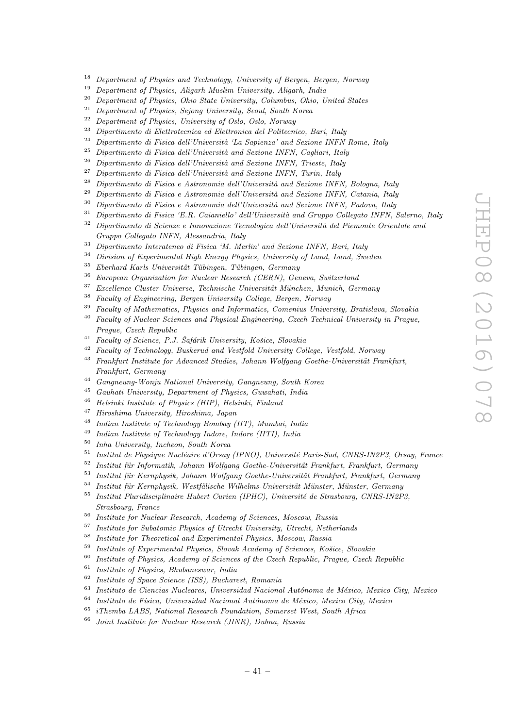- <sup>18</sup> Department of Physics and Technology, University of Bergen, Bergen, Norway
- <sup>19</sup> Department of Physics, Aligarh Muslim University, Aligarh, India<br><sup>20</sup> Department of Physics, Obje State University, Columbus, Obje J.
- <sup>20</sup> Department of Physics, Ohio State University, Columbus, Ohio, United States<br><sup>21</sup> Department of Physics, Sejona University, Seoul, South Korea
- <sup>21</sup> Department of Physics, Sejong University, Seoul, South Korea<br><sup>22</sup> Department of Physics, University of Osla, Osla, Newway
- <sup>22</sup> Department of Physics, University of Oslo, Oslo, Norway
- <sup>23</sup> Dipartimento di Elettrotecnica ed Elettronica del Politecnico, Bari, Italy<br><sup>24</sup> Dipartimento di Eisias dell'Università (Le Septembre) and Septembre INEN
- <sup>24</sup> Dipartimento di Fisica dell'Università 'La Sapienza' and Sezione INFN Rome, Italy
- <sup>25</sup> Dipartimento di Fisica dell'Università and Sezione INFN, Cagliari, Italy
- Dipartimento di Fisica dell'Università and Sezione INFN, Trieste, Italy
- $27$  Dipartimento di Fisica dell'Università and Sezione INFN, Turin, Italy
- <sup>28</sup> Dipartimento di Fisica e Astronomia dell'Università and Sezione INFN, Bologna, Italy<br><sup>29</sup> Dipartimente di Fisica e Astronomia dell'Università and Seriene INFN, Cetenia, Italy
- <sup>29</sup> Dipartimento di Fisica e Astronomia dell'Universit`a and Sezione INFN, Catania, Italy
- $30$  Dipartimento di Fisica e Astronomia dell'Università and Sezione INFN, Padova, Italy
- $31$  Dipartimento di Fisica 'E.R. Caianiello' dell'Università and Gruppo Collegato INFN, Salerno, Italy
- $32$  Dipartimento di Scienze e Innovazione Tecnologica dell'Università del Piemonte Orientale and Gruppo Collegato INFN, Alessandria, Italy
- <sup>33</sup> Dipartimento Interateneo di Fisica 'M. Merlin' and Sezione INFN, Bari, Italy
- <sup>34</sup> Division of Experimental High Energy Physics, University of Lund, Lund, Sweden
- $35$  Eberhard Karls Universität Tübingen, Tübingen, Germany
- <sup>36</sup> European Organization for Nuclear Research (CERN), Geneva, Switzerland
- $37$  Excellence Cluster Universe, Technische Universität München, Munich, Germany
- <sup>38</sup> Faculty of Engineering, Bergen University College, Bergen, Norway
- <sup>39</sup> Faculty of Mathematics, Physics and Informatics, Comenius University, Bratislava, Slovakia
- <sup>40</sup> Faculty of Nuclear Sciences and Physical Engineering, Czech Technical University in Prague, Prague, Czech Republic
- $^{41}$  Faculty of Science, P.J. Šafárik University, Košice, Slovakia
- <sup>42</sup> Faculty of Technology, Buskerud and Vestfold University College, Vestfold, Norway
- <sup>43</sup> Frankfurt Institute for Advanced Studies, Johann Wolfgang Goethe-Universität Frankfurt, Frankfurt, Germany
- <sup>44</sup> Gangneung-Wonju National University, Gangneung, South Korea<br><sup>45</sup> Carlynti University, Department of Physics, Guyvahati, India
- $^{45}$  Gauhati University, Department of Physics, Guwahati, India<br> $^{46}$  Helsinki Indiate of Physics (HD) Helsinki Figheral
- <sup>46</sup> Helsinki Institute of Physics (HIP), Helsinki, Finland<br><sup>47</sup> Hinskins Heimsite Hinskins Lyon
- <sup>47</sup> Hiroshima University, Hiroshima, Japan<br><sup>48</sup> Indian Institute of Technology Bernhau (
- <sup>48</sup> Indian Institute of Technology Bombay (IIT), Mumbai, India
- <sup>49</sup> Indian Institute of Technology Indore, Indore (IITI), India
- <sup>50</sup> Inha University, Incheon, South Korea
- $51$  Institut de Physique Nucléaire d'Orsay (IPNO), Université Paris-Sud, CNRS-IN2P3, Orsay, France
- $52$  Institut für Informatik, Johann Wolfgang Goethe-Universität Frankfurt, Frankfurt, Germany
- $53$  Institut für Kernphysik, Johann Wolfgang Goethe-Universität Frankfurt, Frankfurt, Germany
- $54$  Institut für Kernphysik, Westfälische Wilhelms-Universität Münster, Münster, Germany
- $55$  Institut Pluridisciplinaire Hubert Curien (IPHC), Université de Strasbourg, CNRS-IN2P3, Strasbourg, France
- <sup>56</sup> Institute for Nuclear Research, Academy of Sciences, Moscow, Russia
- $57$  Institute for Subatomic Physics of Utrecht University, Utrecht, Netherlands<br> $58$  Institute for Theoretical and Emerginantal Physics, Messay, Pussia
- <sup>58</sup> Institute for Theoretical and Experimental Physics, Moscow, Russia<br><sup>59</sup> Institute of Experimental Physics, Slovek Assetsus of Sciences, Koš
- Institute of Experimental Physics, Slovak Academy of Sciences, Košice, Slovakia
- $60$  Institute of Physics, Academy of Sciences of the Czech Republic, Prague, Czech Republic
- <sup>61</sup> Institute of Physics, Bhubaneswar, India
- <sup>62</sup> Institute of Space Science (ISS), Bucharest, Romania
- $63$  Instituto de Ciencias Nucleares, Universidad Nacional Autónoma de México, Mexico City, Mexico
- $64$  Instituto de Física, Universidad Nacional Autónoma de México, Mexico City, Mexico
- <sup>65</sup> iThemba LABS, National Research Foundation, Somerset West, South Africa
- <sup>66</sup> Joint Institute for Nuclear Research (JINR), Dubna, Russia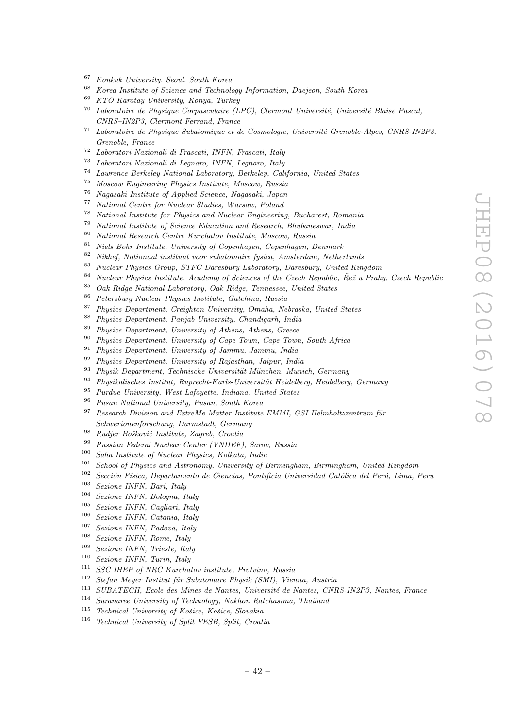- $^{67}$  Konkuk University, Seoul, South Korea<br> $^{68}$  Korea Institute of Science and Technola
- <sup>68</sup> Korea Institute of Science and Technology Information, Daejeon, South Korea
- <sup>69</sup> KTO Karatay University, Konya, Turkey
- Laboratoire de Physique Corpusculaire (LPC), Clermont Université, Université Blaise Pascal, CNRS–IN2P3, Clermont-Ferrand, France
- $71$  Laboratoire de Physique Subatomique et de Cosmologie, Université Grenoble-Alpes, CNRS-IN2P3, Grenoble, France
- <sup>72</sup> Laboratori Nazionali di Frascati, INFN, Frascati, Italy<br><sup>73</sup> Laboratori Nazionali di Lamong INFN, Lamong Italy
- Laboratori Nazionali di Legnaro, INFN, Legnaro, Italy
- <sup>74</sup> Lawrence Berkeley National Laboratory, Berkeley, California, United States
- <sup>75</sup> Moscow Engineering Physics Institute, Moscow, Russia
- <sup>76</sup> Nagasaki Institute of Applied Science, Nagasaki, Japan
- <sup>77</sup> National Centre for Nuclear Studies, Warsaw, Poland
- <sup>78</sup> National Institute for Physics and Nuclear Engineering, Bucharest, Romania<br><sup>79</sup> National Institute of Science Education and Because Physics and indic
- <sup>79</sup> National Institute of Science Education and Research, Bhubaneswar, India
- <sup>80</sup> National Research Centre Kurchatov Institute, Moscow, Russia
- <sup>81</sup> Niels Bohr Institute, University of Copenhagen, Copenhagen, Denmark
- $82$  Nikhef, Nationaal instituut voor subatomaire fysica, Amsterdam, Netherlands
- <sup>83</sup> Nuclear Physics Group, STFC Daresbury Laboratory, Daresbury, United Kingdom<br><sup>84</sup> Nuclear Physics Institute Assessment Grimma of the Graph Paulice Division Pract
- Nuclear Physics Institute, Academy of Sciences of the Czech Republic, Řež u Prahy, Czech Republic
- <sup>85</sup> Oak Ridge National Laboratory, Oak Ridge, Tennessee, United States
- <sup>86</sup> Petersburg Nuclear Physics Institute, Gatchina, Russia
- $87$  Physics Department, Creighton University, Omaha, Nebraska, United States
- <sup>88</sup> Physics Department, Panjab University, Chandigarh, India<br><sup>89</sup> Physics Department, University of Athens, Athens, Crosses
- <sup>89</sup> Physics Department, University of Athens, Athens, Greece
- <sup>90</sup> Physics Department, University of Cape Town, Cape Town, South Africa
- <sup>91</sup> Physics Department, University of Jammu, Jammu, India
- <sup>92</sup> Physics Department, University of Rajasthan, Jaipur, India
- <sup>93</sup> Physik Department, Technische Universität München, Munich, Germany<br><sup>94</sup> Physikalisches Institut, Pennacht Karls Universität Heidelberg, Heidelberg
- Physikalisches Institut, Ruprecht-Karls-Universität Heidelberg, Heidelberg, Germany
- <sup>95</sup> Purdue University, West Lafayette, Indiana, United States<br><sup>96</sup> Purem Metianal University Purem Stath Kana
- <sup>96</sup> Pusan National University, Pusan, South Korea<br><sup>97</sup> Proposed Division and Entra Made Matten Institute
- Research Division and ExtreMe Matter Institute EMMI, GSI Helmholtzzentrum für Schwerionenforschung, Darmstadt, Germany
- $98$  Rudjer Bošković Institute, Zagreb, Croatia
- <sup>99</sup> Russian Federal Nuclear Center (VNIIEF), Sarov, Russia
- <sup>100</sup> Saha Institute of Nuclear Physics, Kolkata, India
- <sup>101</sup> School of Physics and Astronomy, University of Birmingham, Birmingham, United Kingdom
- $102$  Sección Física, Departamento de Ciencias, Pontificia Universidad Católica del Perú, Lima, Peru
- <sup>103</sup> Sezione INFN, Bari, Italy
- <sup>104</sup> Sezione INFN, Bologna, Italy
- <sup>105</sup> Sezione INFN, Cagliari, Italy
- <sup>106</sup> Sezione INFN, Catania, Italy
- <sup>107</sup> Sezione INFN, Padova, Italy<br><sup>108</sup> Sezione INFN, Peme, Italy
- <sup>108</sup> Sezione INFN, Rome, Italy<br><sup>109</sup> Sezione INFN, Trieste Ital
- Sezione INFN, Trieste, Italy
- <sup>110</sup> Sezione INFN, Turin, Italy
- <sup>111</sup> SSC IHEP of NRC Kurchatov institute, Protvino, Russia
- $112$  Stefan Meyer Institut für Subatomare Physik (SMI), Vienna, Austria
- <sup>113</sup> SUBATECH, Ecole des Mines de Nantes, Université de Nantes, CNRS-IN2P3, Nantes, France
- <sup>114</sup> Suranaree University of Technology, Nakhon Ratchasima, Thailand<br><sup>115</sup> Technical University of Košice, Košice, Slovakia
- <sup>115</sup> Technical University of Košice, Košice, Slovakia<br><sup>116</sup> Technical University of Split FESB Split Croat
- <sup>116</sup> Technical University of Split FESB, Split, Croatia